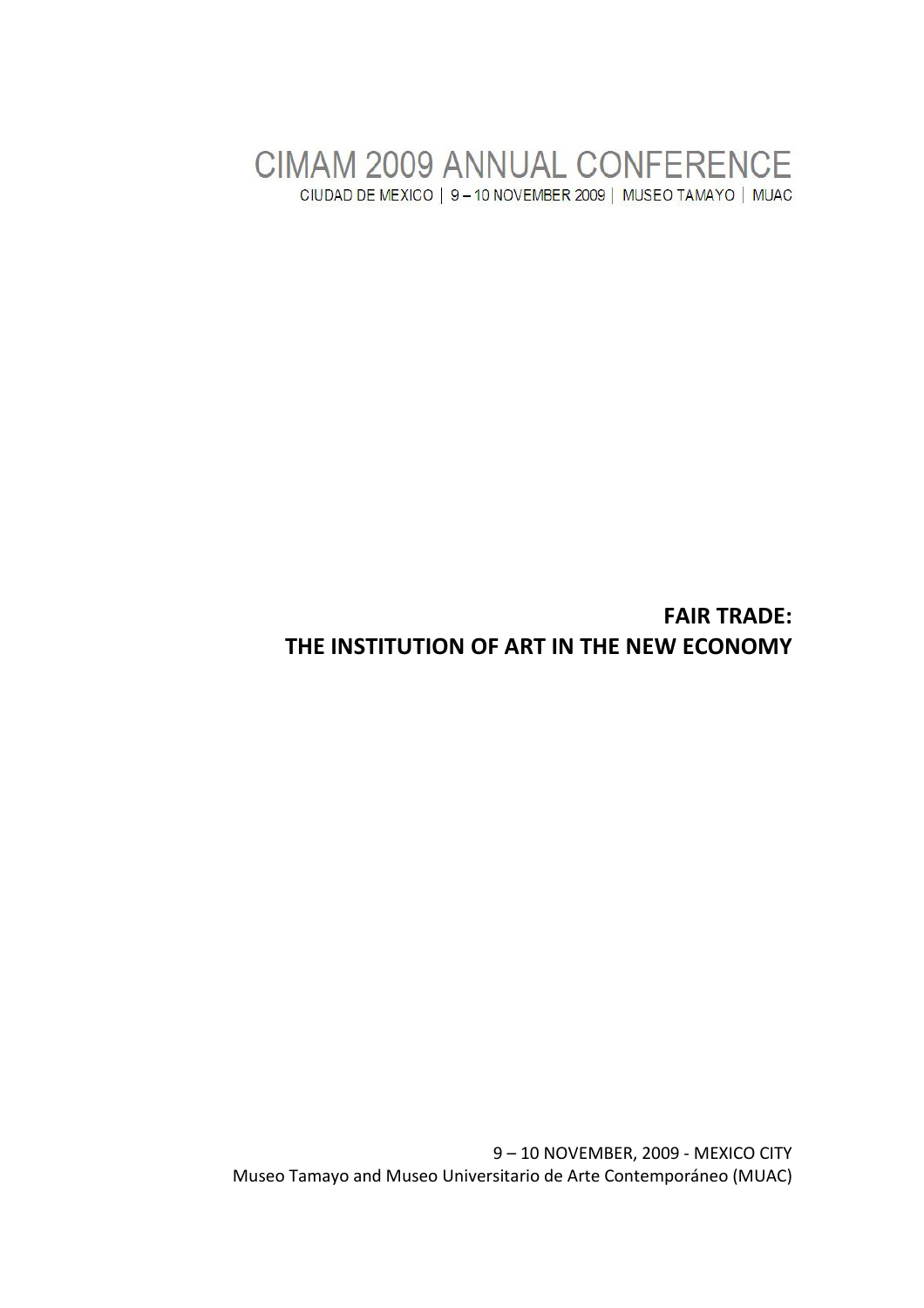CIMAM 2009 ANNUAL CONFERENCE CIUDAD DE MEXICO | 9-10 NOVEMBER 2009 | MUSEO TAMAYO | MUAC

# FAIR TRADE: THE INSTITUTION OF ART IN THE NEW ECONOMY

9 – 10 NOVEMBER, 2009 - MEXICO CITY Museo Tamayo and Museo Universitario de Arte Contemporáneo (MUAC)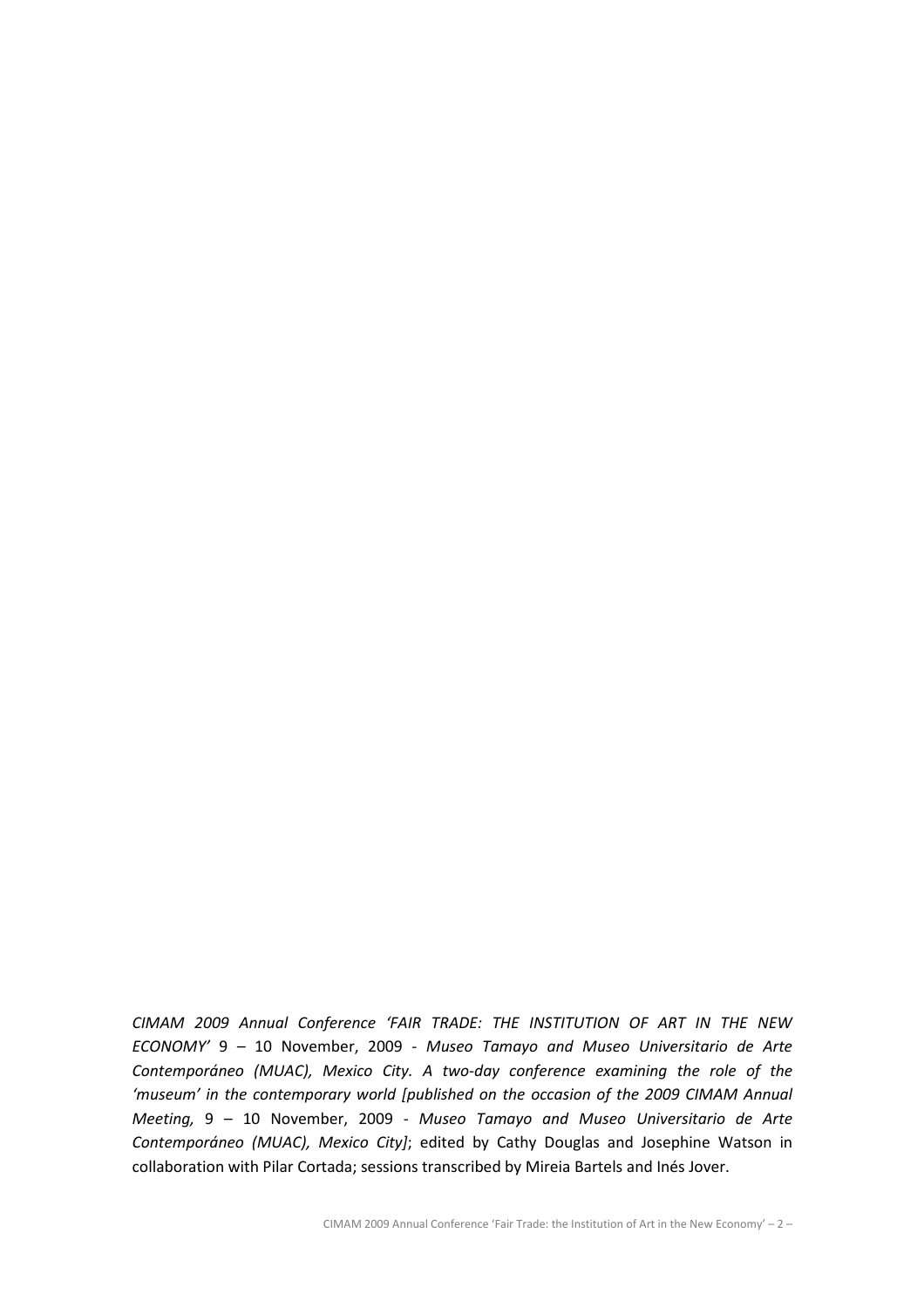CIMAM 2009 Annual Conference 'FAIR TRADE: THE INSTITUTION OF ART IN THE NEW ECONOMY' 9 – 10 November, 2009 - Museo Tamayo and Museo Universitario de Arte Contemporáneo (MUAC), Mexico City. A two-day conference examining the role of the 'museum' in the contemporary world [published on the occasion of the 2009 CIMAM Annual Meeting, 9 – 10 November, 2009 - Museo Tamayo and Museo Universitario de Arte Contemporáneo (MUAC), Mexico City]; edited by Cathy Douglas and Josephine Watson in collaboration with Pilar Cortada; sessions transcribed by Mireia Bartels and Inés Jover.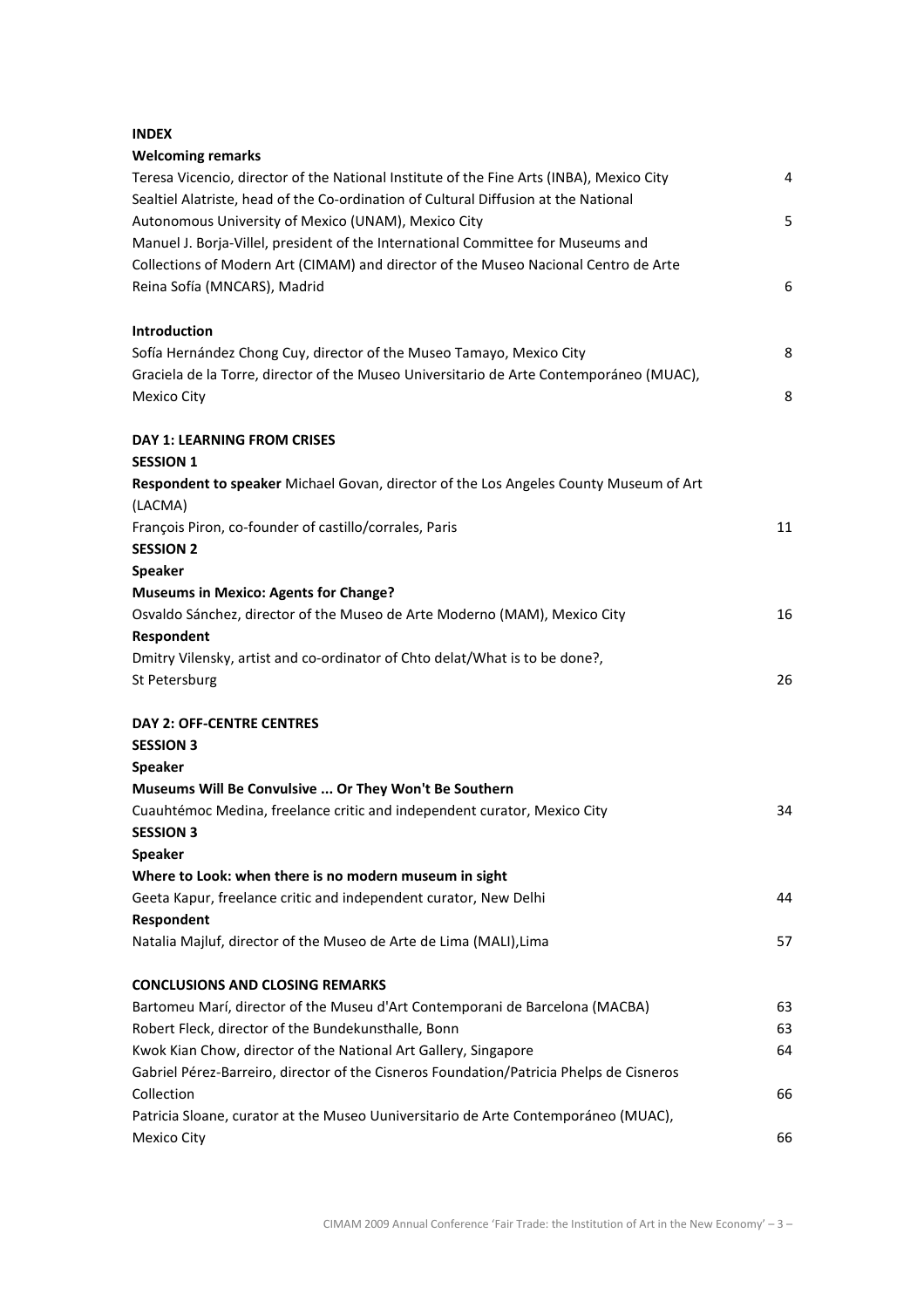# INDEX

| <b>Welcoming remarks</b>                                                                 |    |
|------------------------------------------------------------------------------------------|----|
| Teresa Vicencio, director of the National Institute of the Fine Arts (INBA), Mexico City | 4  |
| Sealtiel Alatriste, head of the Co-ordination of Cultural Diffusion at the National      |    |
| Autonomous University of Mexico (UNAM), Mexico City                                      | 5  |
| Manuel J. Borja-Villel, president of the International Committee for Museums and         |    |
| Collections of Modern Art (CIMAM) and director of the Museo Nacional Centro de Arte      |    |
| Reina Sofía (MNCARS), Madrid                                                             | 6  |
| Introduction                                                                             |    |
| Sofía Hernández Chong Cuy, director of the Museo Tamayo, Mexico City                     | 8  |
| Graciela de la Torre, director of the Museo Universitario de Arte Contemporáneo (MUAC),  |    |
| <b>Mexico City</b>                                                                       | 8  |
| <b>DAY 1: LEARNING FROM CRISES</b>                                                       |    |
| <b>SESSION 1</b>                                                                         |    |
| Respondent to speaker Michael Govan, director of the Los Angeles County Museum of Art    |    |
| (LACMA)                                                                                  |    |
| François Piron, co-founder of castillo/corrales, Paris                                   | 11 |
| <b>SESSION 2</b>                                                                         |    |
| <b>Speaker</b>                                                                           |    |
| <b>Museums in Mexico: Agents for Change?</b>                                             |    |
| Osvaldo Sánchez, director of the Museo de Arte Moderno (MAM), Mexico City                | 16 |
| Respondent                                                                               |    |
| Dmitry Vilensky, artist and co-ordinator of Chto delat/What is to be done?,              |    |
| St Petersburg                                                                            | 26 |
| <b>DAY 2: OFF-CENTRE CENTRES</b>                                                         |    |
| <b>SESSION 3</b>                                                                         |    |
| <b>Speaker</b>                                                                           |    |
| Museums Will Be Convulsive  Or They Won't Be Southern                                    |    |
| Cuauhtémoc Medina, freelance critic and independent curator, Mexico City                 | 34 |
| <b>SESSION 3</b>                                                                         |    |
| <b>Speaker</b>                                                                           |    |
| Where to Look: when there is no modern museum in sight                                   |    |
| Geeta Kapur, freelance critic and independent curator, New Delhi                         | 44 |
| Respondent                                                                               |    |
| Natalia Majluf, director of the Museo de Arte de Lima (MALI), Lima                       | 57 |
| <b>CONCLUSIONS AND CLOSING REMARKS</b>                                                   |    |
| Bartomeu Marí, director of the Museu d'Art Contemporani de Barcelona (MACBA)             | 63 |
| Robert Fleck, director of the Bundekunsthalle, Bonn                                      | 63 |
| Kwok Kian Chow, director of the National Art Gallery, Singapore                          | 64 |
| Gabriel Pérez-Barreiro, director of the Cisneros Foundation/Patricia Phelps de Cisneros  |    |
| Collection                                                                               | 66 |
| Patricia Sloane, curator at the Museo Uuniversitario de Arte Contemporáneo (MUAC),       |    |
| Mexico City                                                                              | 66 |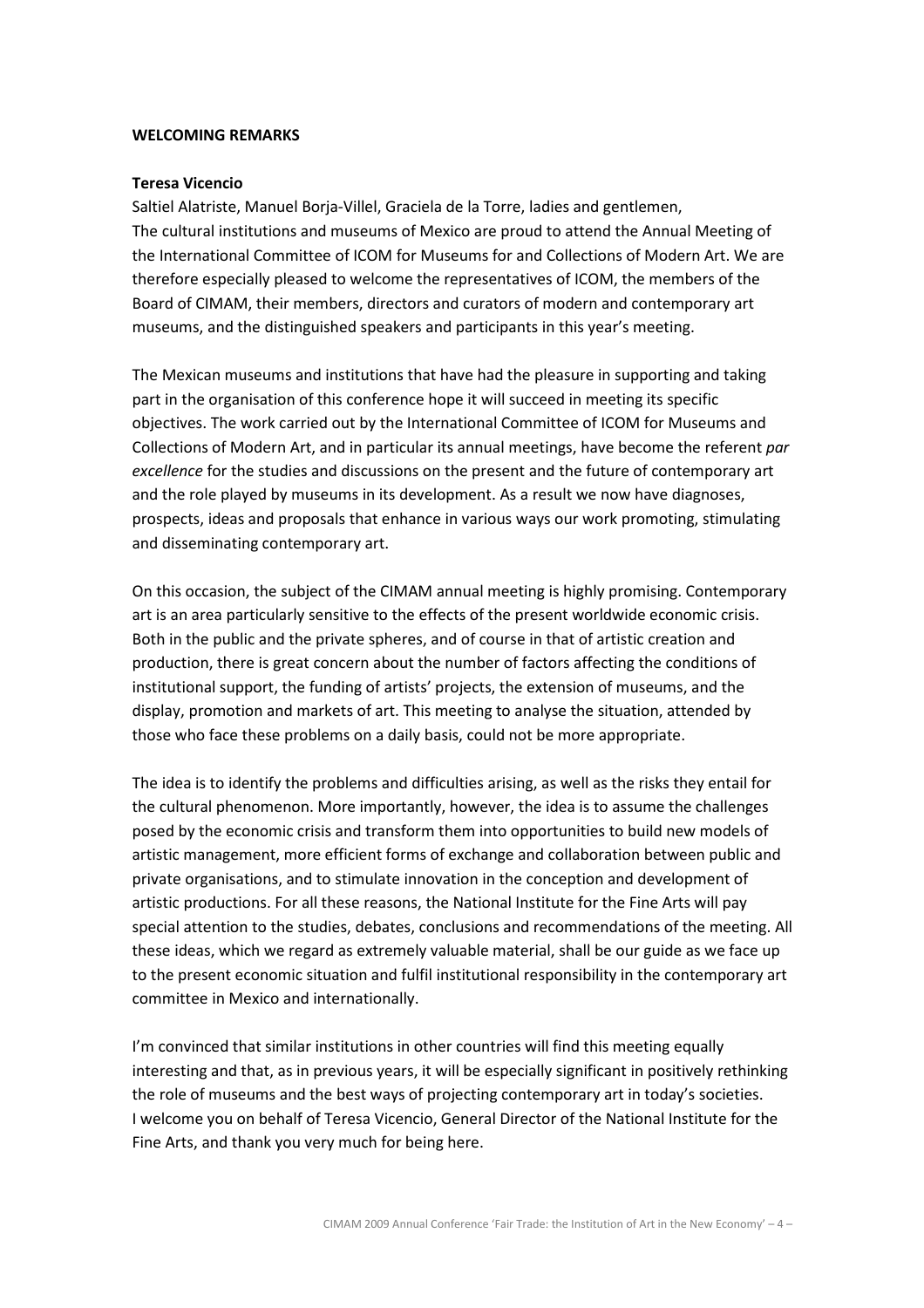#### WELCOMING REMARKS

#### Teresa Vicencio

Saltiel Alatriste, Manuel Borja-Villel, Graciela de la Torre, ladies and gentlemen, The cultural institutions and museums of Mexico are proud to attend the Annual Meeting of the International Committee of ICOM for Museums for and Collections of Modern Art. We are therefore especially pleased to welcome the representatives of ICOM, the members of the Board of CIMAM, their members, directors and curators of modern and contemporary art museums, and the distinguished speakers and participants in this year's meeting.

The Mexican museums and institutions that have had the pleasure in supporting and taking part in the organisation of this conference hope it will succeed in meeting its specific objectives. The work carried out by the International Committee of ICOM for Museums and Collections of Modern Art, and in particular its annual meetings, have become the referent par excellence for the studies and discussions on the present and the future of contemporary art and the role played by museums in its development. As a result we now have diagnoses, prospects, ideas and proposals that enhance in various ways our work promoting, stimulating and disseminating contemporary art.

On this occasion, the subject of the CIMAM annual meeting is highly promising. Contemporary art is an area particularly sensitive to the effects of the present worldwide economic crisis. Both in the public and the private spheres, and of course in that of artistic creation and production, there is great concern about the number of factors affecting the conditions of institutional support, the funding of artists' projects, the extension of museums, and the display, promotion and markets of art. This meeting to analyse the situation, attended by those who face these problems on a daily basis, could not be more appropriate.

The idea is to identify the problems and difficulties arising, as well as the risks they entail for the cultural phenomenon. More importantly, however, the idea is to assume the challenges posed by the economic crisis and transform them into opportunities to build new models of artistic management, more efficient forms of exchange and collaboration between public and private organisations, and to stimulate innovation in the conception and development of artistic productions. For all these reasons, the National Institute for the Fine Arts will pay special attention to the studies, debates, conclusions and recommendations of the meeting. All these ideas, which we regard as extremely valuable material, shall be our guide as we face up to the present economic situation and fulfil institutional responsibility in the contemporary art committee in Mexico and internationally.

I'm convinced that similar institutions in other countries will find this meeting equally interesting and that, as in previous years, it will be especially significant in positively rethinking the role of museums and the best ways of projecting contemporary art in today's societies. I welcome you on behalf of Teresa Vicencio, General Director of the National Institute for the Fine Arts, and thank you very much for being here.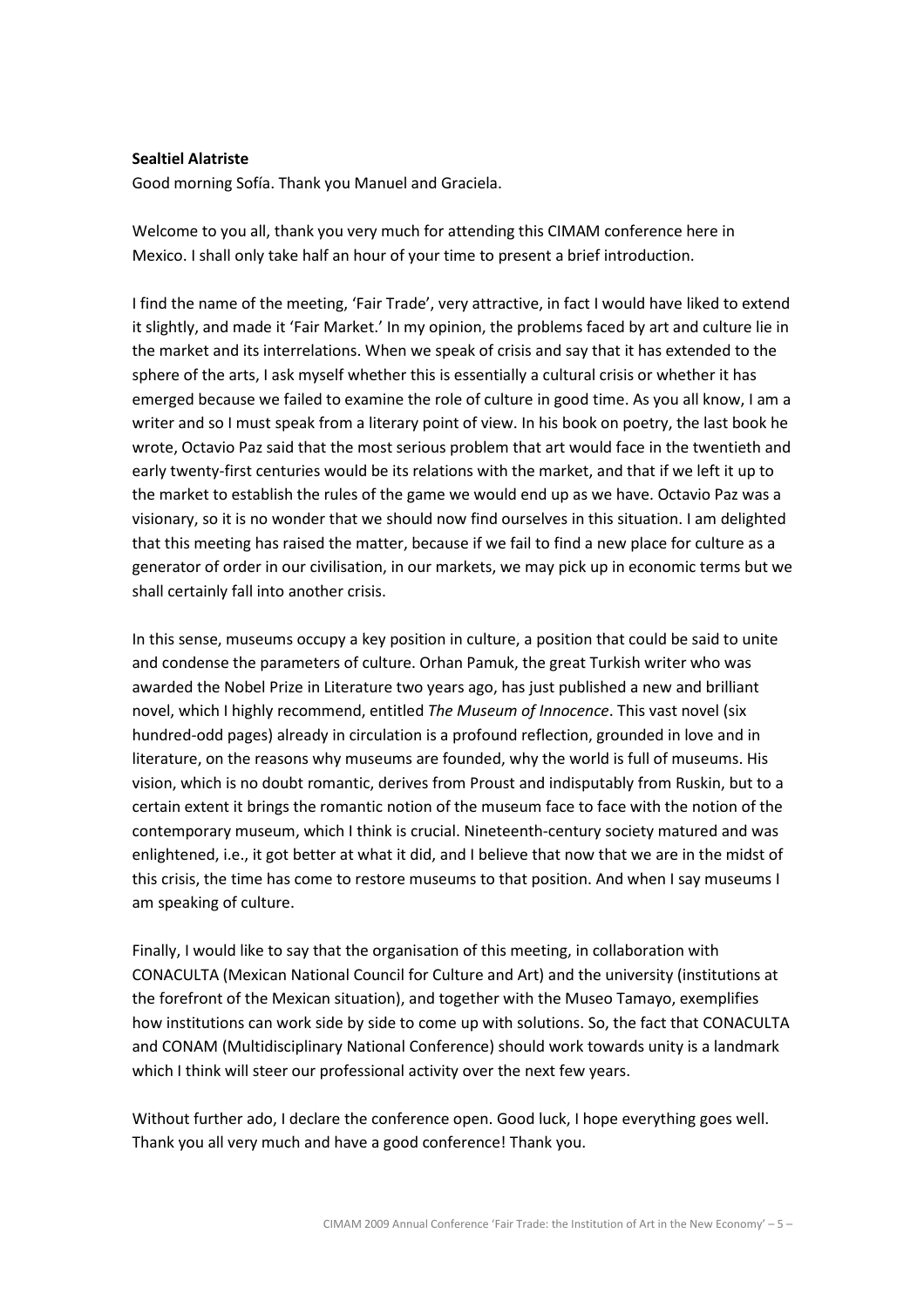### Sealtiel Alatriste

Good morning Sofía. Thank you Manuel and Graciela.

Welcome to you all, thank you very much for attending this CIMAM conference here in Mexico. I shall only take half an hour of your time to present a brief introduction.

I find the name of the meeting, 'Fair Trade', very attractive, in fact I would have liked to extend it slightly, and made it 'Fair Market.' In my opinion, the problems faced by art and culture lie in the market and its interrelations. When we speak of crisis and say that it has extended to the sphere of the arts, I ask myself whether this is essentially a cultural crisis or whether it has emerged because we failed to examine the role of culture in good time. As you all know, I am a writer and so I must speak from a literary point of view. In his book on poetry, the last book he wrote, Octavio Paz said that the most serious problem that art would face in the twentieth and early twenty-first centuries would be its relations with the market, and that if we left it up to the market to establish the rules of the game we would end up as we have. Octavio Paz was a visionary, so it is no wonder that we should now find ourselves in this situation. I am delighted that this meeting has raised the matter, because if we fail to find a new place for culture as a generator of order in our civilisation, in our markets, we may pick up in economic terms but we shall certainly fall into another crisis.

In this sense, museums occupy a key position in culture, a position that could be said to unite and condense the parameters of culture. Orhan Pamuk, the great Turkish writer who was awarded the Nobel Prize in Literature two years ago, has just published a new and brilliant novel, which I highly recommend, entitled The Museum of Innocence. This vast novel (six hundred-odd pages) already in circulation is a profound reflection, grounded in love and in literature, on the reasons why museums are founded, why the world is full of museums. His vision, which is no doubt romantic, derives from Proust and indisputably from Ruskin, but to a certain extent it brings the romantic notion of the museum face to face with the notion of the contemporary museum, which I think is crucial. Nineteenth-century society matured and was enlightened, i.e., it got better at what it did, and I believe that now that we are in the midst of this crisis, the time has come to restore museums to that position. And when I say museums I am speaking of culture.

Finally, I would like to say that the organisation of this meeting, in collaboration with CONACULTA (Mexican National Council for Culture and Art) and the university (institutions at the forefront of the Mexican situation), and together with the Museo Tamayo, exemplifies how institutions can work side by side to come up with solutions. So, the fact that CONACULTA and CONAM (Multidisciplinary National Conference) should work towards unity is a landmark which I think will steer our professional activity over the next few years.

Without further ado, I declare the conference open. Good luck, I hope everything goes well. Thank you all very much and have a good conference! Thank you.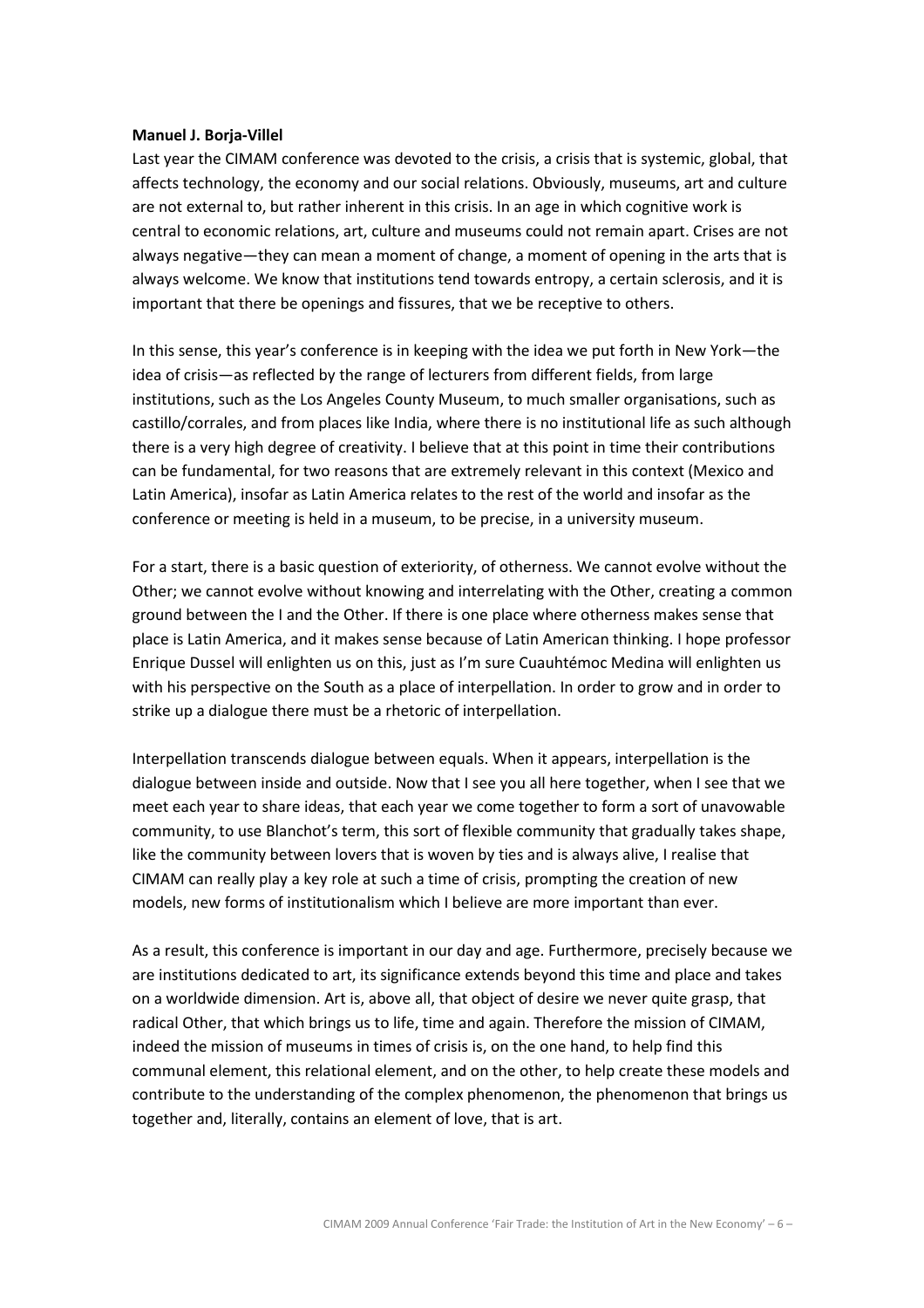#### Manuel J. Borja-Villel

Last year the CIMAM conference was devoted to the crisis, a crisis that is systemic, global, that affects technology, the economy and our social relations. Obviously, museums, art and culture are not external to, but rather inherent in this crisis. In an age in which cognitive work is central to economic relations, art, culture and museums could not remain apart. Crises are not always negative—they can mean a moment of change, a moment of opening in the arts that is always welcome. We know that institutions tend towards entropy, a certain sclerosis, and it is important that there be openings and fissures, that we be receptive to others.

In this sense, this year's conference is in keeping with the idea we put forth in New York—the idea of crisis—as reflected by the range of lecturers from different fields, from large institutions, such as the Los Angeles County Museum, to much smaller organisations, such as castillo/corrales, and from places like India, where there is no institutional life as such although there is a very high degree of creativity. I believe that at this point in time their contributions can be fundamental, for two reasons that are extremely relevant in this context (Mexico and Latin America), insofar as Latin America relates to the rest of the world and insofar as the conference or meeting is held in a museum, to be precise, in a university museum.

For a start, there is a basic question of exteriority, of otherness. We cannot evolve without the Other; we cannot evolve without knowing and interrelating with the Other, creating a common ground between the I and the Other. If there is one place where otherness makes sense that place is Latin America, and it makes sense because of Latin American thinking. I hope professor Enrique Dussel will enlighten us on this, just as I'm sure Cuauhtémoc Medina will enlighten us with his perspective on the South as a place of interpellation. In order to grow and in order to strike up a dialogue there must be a rhetoric of interpellation.

Interpellation transcends dialogue between equals. When it appears, interpellation is the dialogue between inside and outside. Now that I see you all here together, when I see that we meet each year to share ideas, that each year we come together to form a sort of unavowable community, to use Blanchot's term, this sort of flexible community that gradually takes shape, like the community between lovers that is woven by ties and is always alive, I realise that CIMAM can really play a key role at such a time of crisis, prompting the creation of new models, new forms of institutionalism which I believe are more important than ever.

As a result, this conference is important in our day and age. Furthermore, precisely because we are institutions dedicated to art, its significance extends beyond this time and place and takes on a worldwide dimension. Art is, above all, that object of desire we never quite grasp, that radical Other, that which brings us to life, time and again. Therefore the mission of CIMAM, indeed the mission of museums in times of crisis is, on the one hand, to help find this communal element, this relational element, and on the other, to help create these models and contribute to the understanding of the complex phenomenon, the phenomenon that brings us together and, literally, contains an element of love, that is art.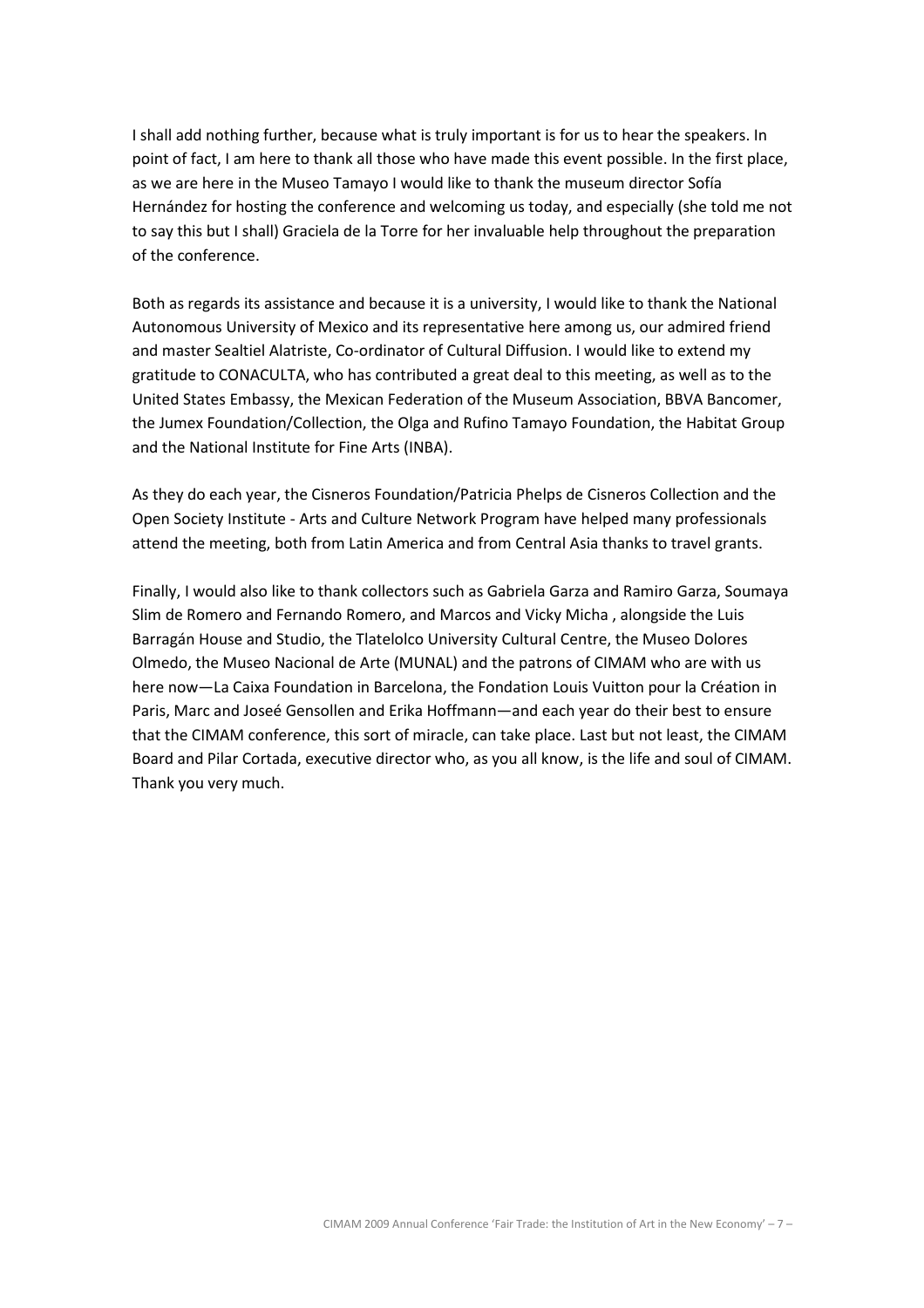I shall add nothing further, because what is truly important is for us to hear the speakers. In point of fact, I am here to thank all those who have made this event possible. In the first place, as we are here in the Museo Tamayo I would like to thank the museum director Sofía Hernández for hosting the conference and welcoming us today, and especially (she told me not to say this but I shall) Graciela de la Torre for her invaluable help throughout the preparation of the conference.

Both as regards its assistance and because it is a university, I would like to thank the National Autonomous University of Mexico and its representative here among us, our admired friend and master Sealtiel Alatriste, Co-ordinator of Cultural Diffusion. I would like to extend my gratitude to CONACULTA, who has contributed a great deal to this meeting, as well as to the United States Embassy, the Mexican Federation of the Museum Association, BBVA Bancomer, the Jumex Foundation/Collection, the Olga and Rufino Tamayo Foundation, the Habitat Group and the National Institute for Fine Arts (INBA).

As they do each year, the Cisneros Foundation/Patricia Phelps de Cisneros Collection and the Open Society Institute - Arts and Culture Network Program have helped many professionals attend the meeting, both from Latin America and from Central Asia thanks to travel grants.

Finally, I would also like to thank collectors such as Gabriela Garza and Ramiro Garza, Soumaya Slim de Romero and Fernando Romero, and Marcos and Vicky Micha , alongside the Luis Barragán House and Studio, the Tlatelolco University Cultural Centre, the Museo Dolores Olmedo, the Museo Nacional de Arte (MUNAL) and the patrons of CIMAM who are with us here now—La Caixa Foundation in Barcelona, the Fondation Louis Vuitton pour la Création in Paris, Marc and Joseé Gensollen and Erika Hoffmann—and each year do their best to ensure that the CIMAM conference, this sort of miracle, can take place. Last but not least, the CIMAM Board and Pilar Cortada, executive director who, as you all know, is the life and soul of CIMAM. Thank you very much.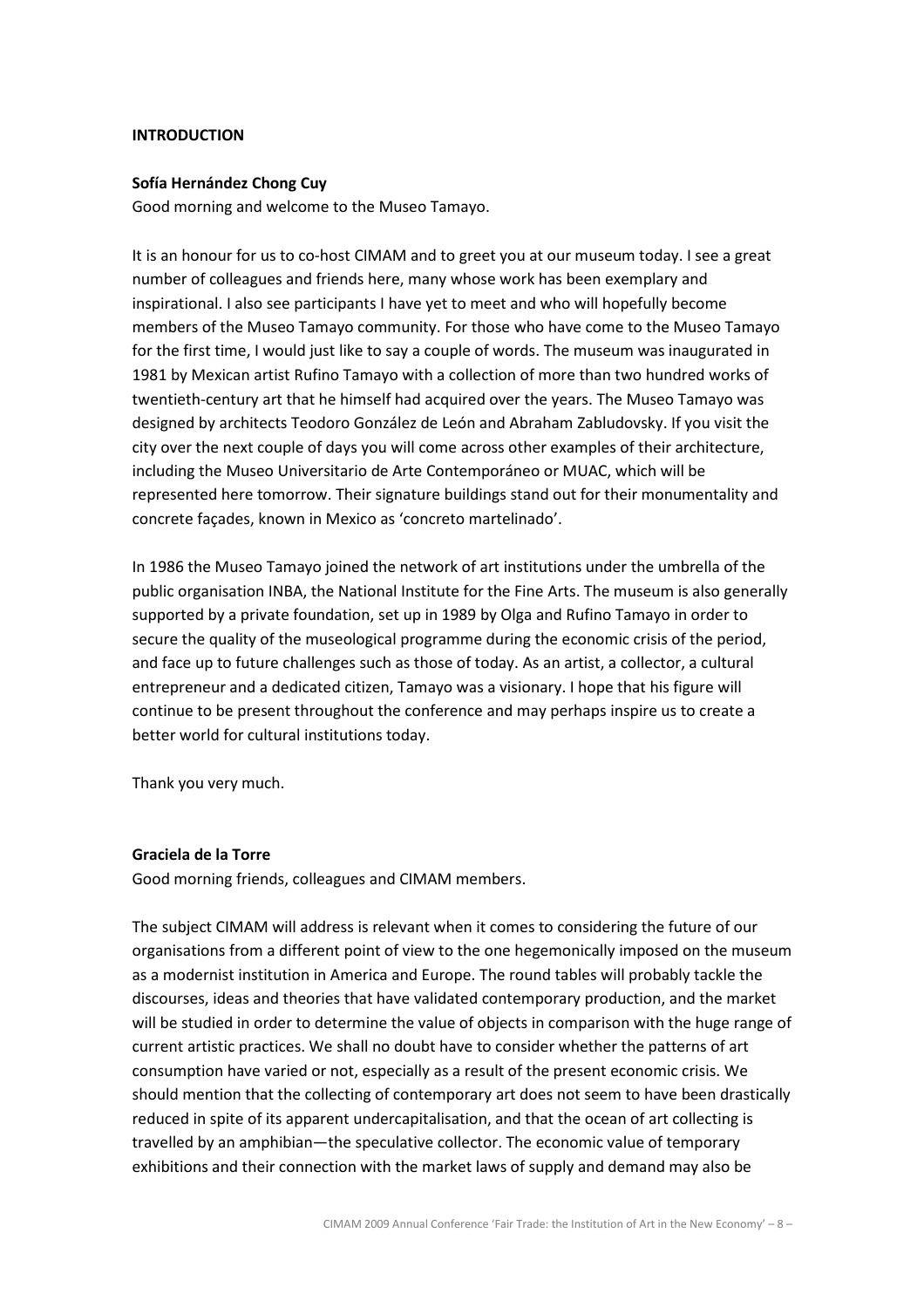### INTRODUCTION

#### Sofía Hernández Chong Cuy

Good morning and welcome to the Museo Tamayo.

It is an honour for us to co-host CIMAM and to greet you at our museum today. I see a great number of colleagues and friends here, many whose work has been exemplary and inspirational. I also see participants I have yet to meet and who will hopefully become members of the Museo Tamayo community. For those who have come to the Museo Tamayo for the first time, I would just like to say a couple of words. The museum was inaugurated in 1981 by Mexican artist Rufino Tamayo with a collection of more than two hundred works of twentieth-century art that he himself had acquired over the years. The Museo Tamayo was designed by architects Teodoro González de León and Abraham Zabludovsky. If you visit the city over the next couple of days you will come across other examples of their architecture, including the Museo Universitario de Arte Contemporáneo or MUAC, which will be represented here tomorrow. Their signature buildings stand out for their monumentality and concrete façades, known in Mexico as 'concreto martelinado'.

In 1986 the Museo Tamayo joined the network of art institutions under the umbrella of the public organisation INBA, the National Institute for the Fine Arts. The museum is also generally supported by a private foundation, set up in 1989 by Olga and Rufino Tamayo in order to secure the quality of the museological programme during the economic crisis of the period, and face up to future challenges such as those of today. As an artist, a collector, a cultural entrepreneur and a dedicated citizen, Tamayo was a visionary. I hope that his figure will continue to be present throughout the conference and may perhaps inspire us to create a better world for cultural institutions today.

Thank you very much.

#### Graciela de la Torre

Good morning friends, colleagues and CIMAM members.

The subject CIMAM will address is relevant when it comes to considering the future of our organisations from a different point of view to the one hegemonically imposed on the museum as a modernist institution in America and Europe. The round tables will probably tackle the discourses, ideas and theories that have validated contemporary production, and the market will be studied in order to determine the value of objects in comparison with the huge range of current artistic practices. We shall no doubt have to consider whether the patterns of art consumption have varied or not, especially as a result of the present economic crisis. We should mention that the collecting of contemporary art does not seem to have been drastically reduced in spite of its apparent undercapitalisation, and that the ocean of art collecting is travelled by an amphibian—the speculative collector. The economic value of temporary exhibitions and their connection with the market laws of supply and demand may also be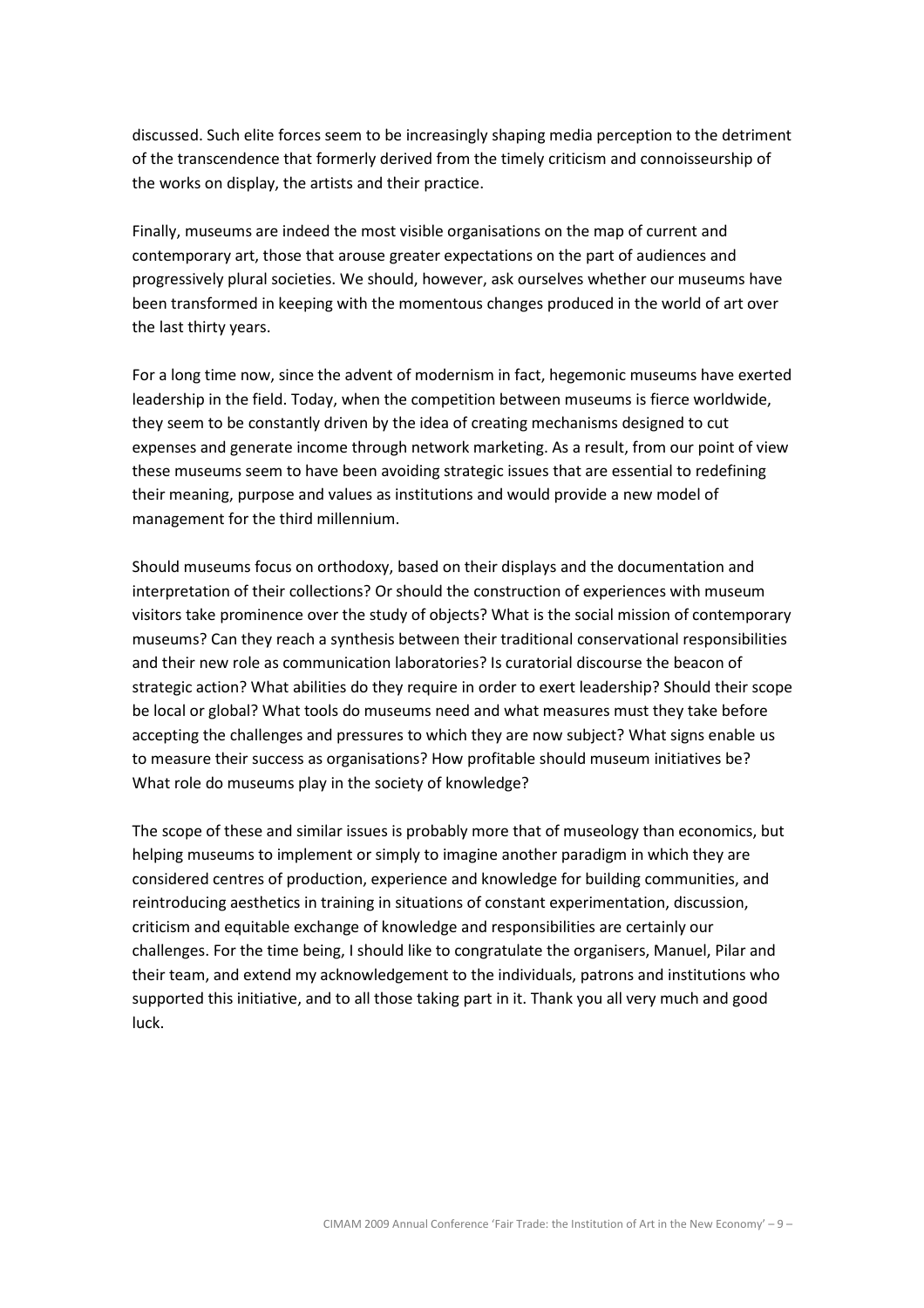discussed. Such elite forces seem to be increasingly shaping media perception to the detriment of the transcendence that formerly derived from the timely criticism and connoisseurship of the works on display, the artists and their practice.

Finally, museums are indeed the most visible organisations on the map of current and contemporary art, those that arouse greater expectations on the part of audiences and progressively plural societies. We should, however, ask ourselves whether our museums have been transformed in keeping with the momentous changes produced in the world of art over the last thirty years.

For a long time now, since the advent of modernism in fact, hegemonic museums have exerted leadership in the field. Today, when the competition between museums is fierce worldwide, they seem to be constantly driven by the idea of creating mechanisms designed to cut expenses and generate income through network marketing. As a result, from our point of view these museums seem to have been avoiding strategic issues that are essential to redefining their meaning, purpose and values as institutions and would provide a new model of management for the third millennium.

Should museums focus on orthodoxy, based on their displays and the documentation and interpretation of their collections? Or should the construction of experiences with museum visitors take prominence over the study of objects? What is the social mission of contemporary museums? Can they reach a synthesis between their traditional conservational responsibilities and their new role as communication laboratories? Is curatorial discourse the beacon of strategic action? What abilities do they require in order to exert leadership? Should their scope be local or global? What tools do museums need and what measures must they take before accepting the challenges and pressures to which they are now subject? What signs enable us to measure their success as organisations? How profitable should museum initiatives be? What role do museums play in the society of knowledge?

The scope of these and similar issues is probably more that of museology than economics, but helping museums to implement or simply to imagine another paradigm in which they are considered centres of production, experience and knowledge for building communities, and reintroducing aesthetics in training in situations of constant experimentation, discussion, criticism and equitable exchange of knowledge and responsibilities are certainly our challenges. For the time being, I should like to congratulate the organisers, Manuel, Pilar and their team, and extend my acknowledgement to the individuals, patrons and institutions who supported this initiative, and to all those taking part in it. Thank you all very much and good luck.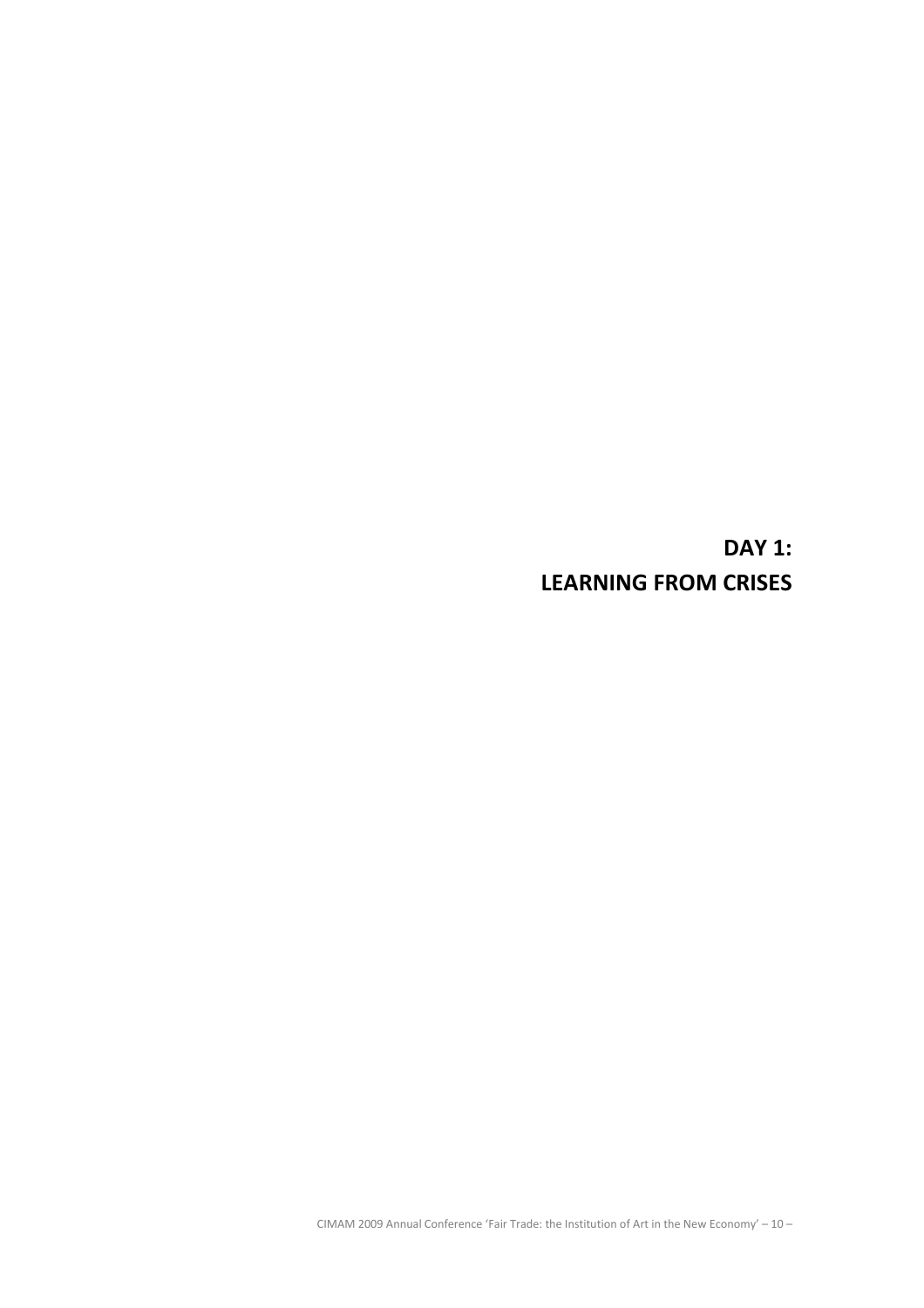DAY 1: LEARNING FROM CRISES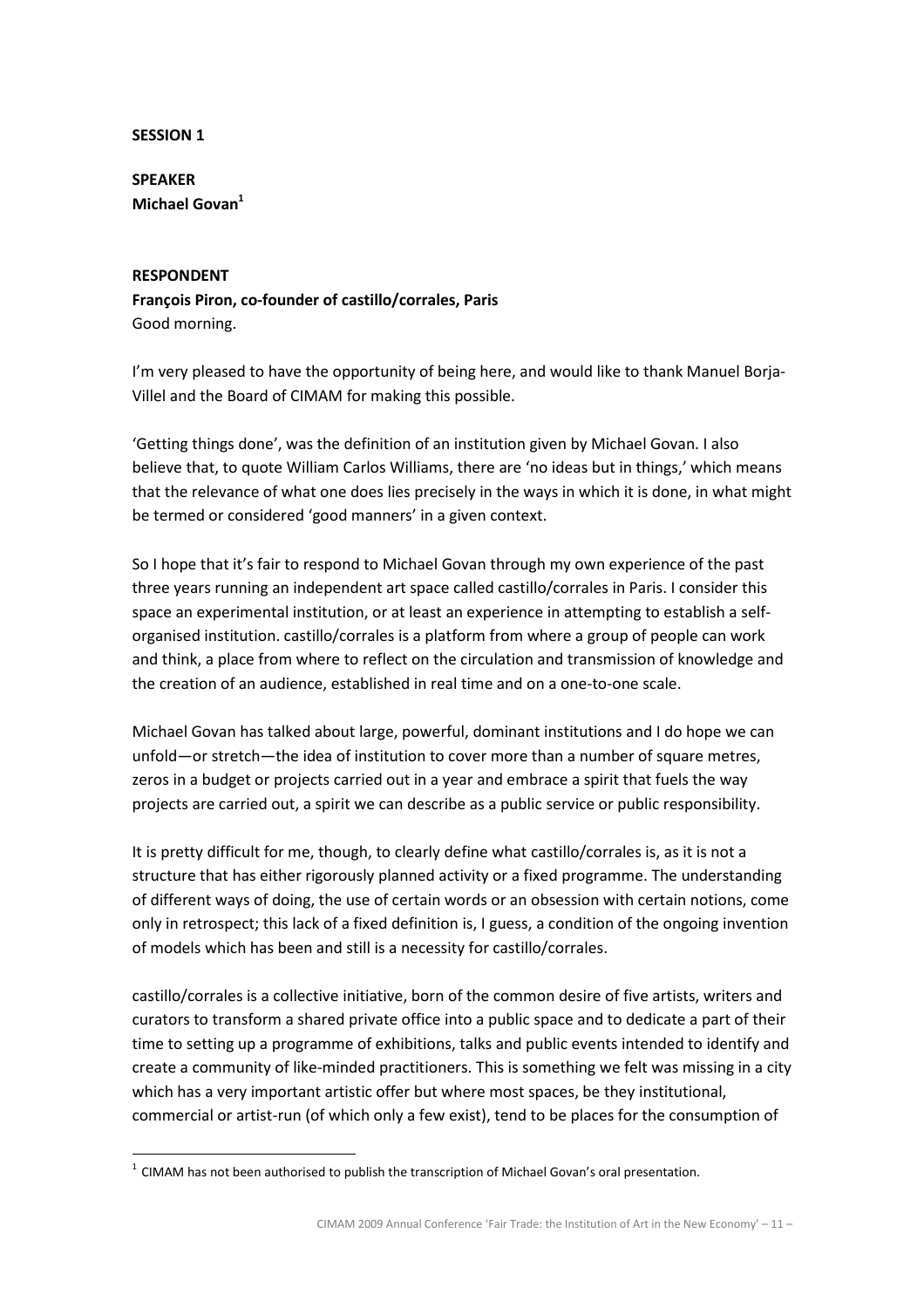## SESSION 1

SPEAKER Michael Govan<sup>1</sup>

### RESPONDENT

l.

François Piron, co-founder of castillo/corrales, Paris Good morning.

I'm very pleased to have the opportunity of being here, and would like to thank Manuel Borja-Villel and the Board of CIMAM for making this possible.

'Getting things done', was the definition of an institution given by Michael Govan. I also believe that, to quote William Carlos Williams, there are 'no ideas but in things,' which means that the relevance of what one does lies precisely in the ways in which it is done, in what might be termed or considered 'good manners' in a given context.

So I hope that it's fair to respond to Michael Govan through my own experience of the past three years running an independent art space called castillo/corrales in Paris. I consider this space an experimental institution, or at least an experience in attempting to establish a selforganised institution. castillo/corrales is a platform from where a group of people can work and think, a place from where to reflect on the circulation and transmission of knowledge and the creation of an audience, established in real time and on a one-to-one scale.

Michael Govan has talked about large, powerful, dominant institutions and I do hope we can unfold—or stretch—the idea of institution to cover more than a number of square metres, zeros in a budget or projects carried out in a year and embrace a spirit that fuels the way projects are carried out, a spirit we can describe as a public service or public responsibility.

It is pretty difficult for me, though, to clearly define what castillo/corrales is, as it is not a structure that has either rigorously planned activity or a fixed programme. The understanding of different ways of doing, the use of certain words or an obsession with certain notions, come only in retrospect; this lack of a fixed definition is, I guess, a condition of the ongoing invention of models which has been and still is a necessity for castillo/corrales.

castillo/corrales is a collective initiative, born of the common desire of five artists, writers and curators to transform a shared private office into a public space and to dedicate a part of their time to setting up a programme of exhibitions, talks and public events intended to identify and create a community of like-minded practitioners. This is something we felt was missing in a city which has a very important artistic offer but where most spaces, be they institutional, commercial or artist-run (of which only a few exist), tend to be places for the consumption of

 $<sup>1</sup>$  CIMAM has not been authorised to publish the transcription of Michael Govan's oral presentation.</sup>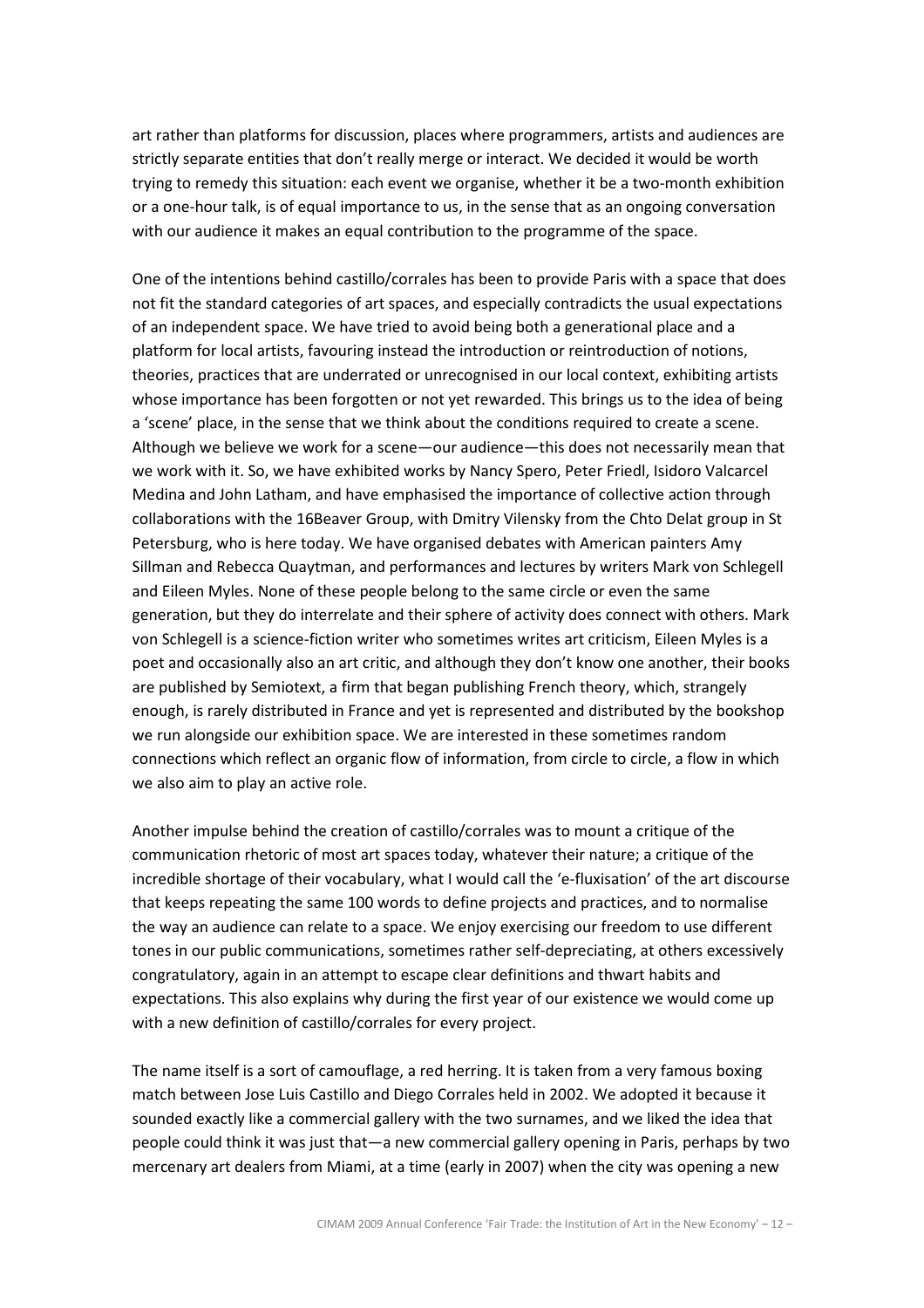art rather than platforms for discussion, places where programmers, artists and audiences are strictly separate entities that don't really merge or interact. We decided it would be worth trying to remedy this situation: each event we organise, whether it be a two-month exhibition or a one-hour talk, is of equal importance to us, in the sense that as an ongoing conversation with our audience it makes an equal contribution to the programme of the space.

One of the intentions behind castillo/corrales has been to provide Paris with a space that does not fit the standard categories of art spaces, and especially contradicts the usual expectations of an independent space. We have tried to avoid being both a generational place and a platform for local artists, favouring instead the introduction or reintroduction of notions, theories, practices that are underrated or unrecognised in our local context, exhibiting artists whose importance has been forgotten or not yet rewarded. This brings us to the idea of being a 'scene' place, in the sense that we think about the conditions required to create a scene. Although we believe we work for a scene—our audience—this does not necessarily mean that we work with it. So, we have exhibited works by Nancy Spero, Peter Friedl, Isidoro Valcarcel Medina and John Latham, and have emphasised the importance of collective action through collaborations with the 16Beaver Group, with Dmitry Vilensky from the Chto Delat group in St Petersburg, who is here today. We have organised debates with American painters Amy Sillman and Rebecca Quaytman, and performances and lectures by writers Mark von Schlegell and Eileen Myles. None of these people belong to the same circle or even the same generation, but they do interrelate and their sphere of activity does connect with others. Mark von Schlegell is a science-fiction writer who sometimes writes art criticism, Eileen Myles is a poet and occasionally also an art critic, and although they don't know one another, their books are published by Semiotext, a firm that began publishing French theory, which, strangely enough, is rarely distributed in France and yet is represented and distributed by the bookshop we run alongside our exhibition space. We are interested in these sometimes random connections which reflect an organic flow of information, from circle to circle, a flow in which we also aim to play an active role.

Another impulse behind the creation of castillo/corrales was to mount a critique of the communication rhetoric of most art spaces today, whatever their nature; a critique of the incredible shortage of their vocabulary, what I would call the 'e-fluxisation' of the art discourse that keeps repeating the same 100 words to define projects and practices, and to normalise the way an audience can relate to a space. We enjoy exercising our freedom to use different tones in our public communications, sometimes rather self-depreciating, at others excessively congratulatory, again in an attempt to escape clear definitions and thwart habits and expectations. This also explains why during the first year of our existence we would come up with a new definition of castillo/corrales for every project.

The name itself is a sort of camouflage, a red herring. It is taken from a very famous boxing match between Jose Luis Castillo and Diego Corrales held in 2002. We adopted it because it sounded exactly like a commercial gallery with the two surnames, and we liked the idea that people could think it was just that—a new commercial gallery opening in Paris, perhaps by two mercenary art dealers from Miami, at a time (early in 2007) when the city was opening a new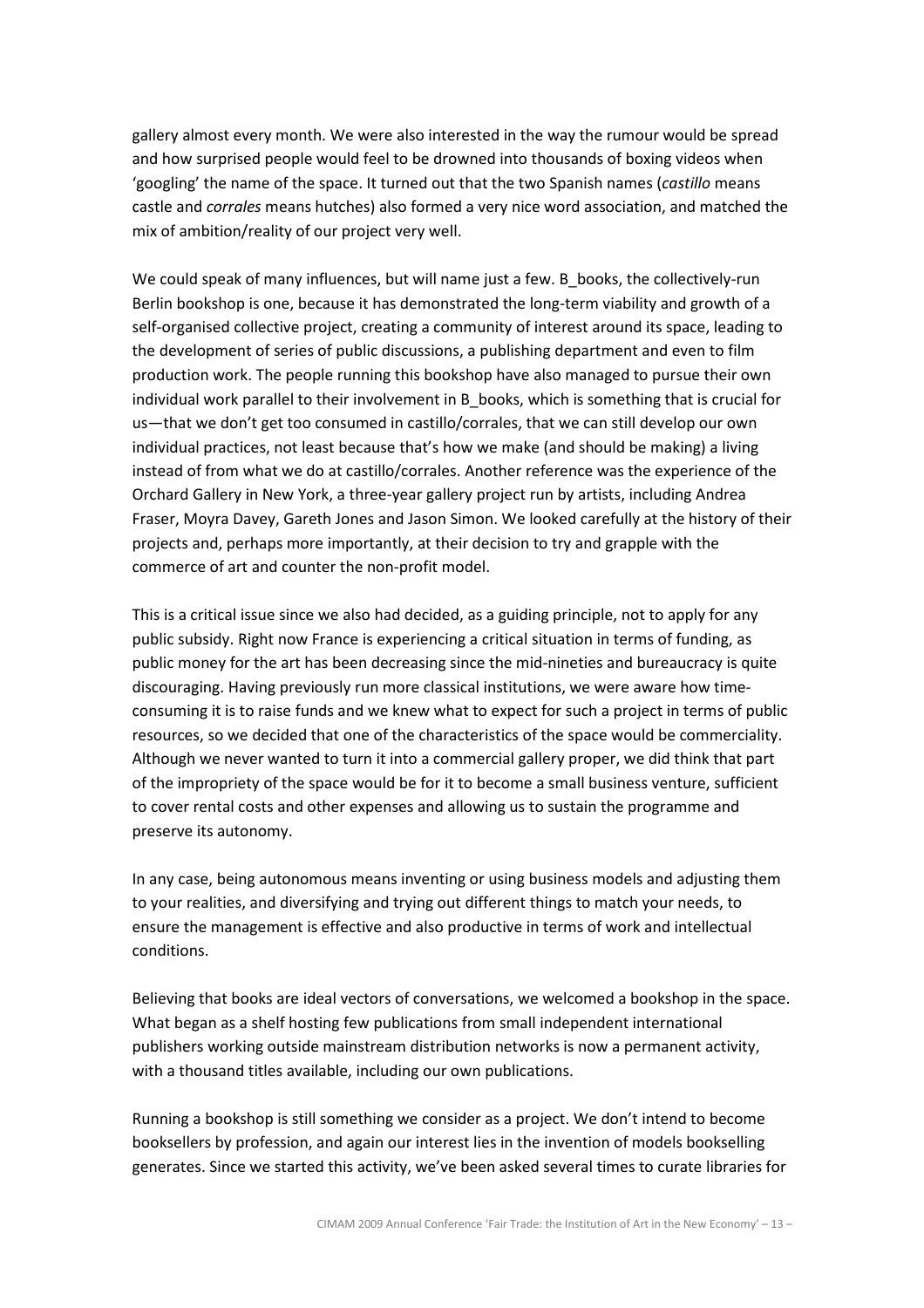gallery almost every month. We were also interested in the way the rumour would be spread and how surprised people would feel to be drowned into thousands of boxing videos when 'googling' the name of the space. It turned out that the two Spanish names (castillo means castle and corrales means hutches) also formed a very nice word association, and matched the mix of ambition/reality of our project very well.

We could speak of many influences, but will name just a few. B books, the collectively-run Berlin bookshop is one, because it has demonstrated the long-term viability and growth of a self-organised collective project, creating a community of interest around its space, leading to the development of series of public discussions, a publishing department and even to film production work. The people running this bookshop have also managed to pursue their own individual work parallel to their involvement in B\_books, which is something that is crucial for us—that we don't get too consumed in castillo/corrales, that we can still develop our own individual practices, not least because that's how we make (and should be making) a living instead of from what we do at castillo/corrales. Another reference was the experience of the Orchard Gallery in New York, a three-year gallery project run by artists, including Andrea Fraser, Moyra Davey, Gareth Jones and Jason Simon. We looked carefully at the history of their projects and, perhaps more importantly, at their decision to try and grapple with the commerce of art and counter the non-profit model.

This is a critical issue since we also had decided, as a guiding principle, not to apply for any public subsidy. Right now France is experiencing a critical situation in terms of funding, as public money for the art has been decreasing since the mid-nineties and bureaucracy is quite discouraging. Having previously run more classical institutions, we were aware how timeconsuming it is to raise funds and we knew what to expect for such a project in terms of public resources, so we decided that one of the characteristics of the space would be commerciality. Although we never wanted to turn it into a commercial gallery proper, we did think that part of the impropriety of the space would be for it to become a small business venture, sufficient to cover rental costs and other expenses and allowing us to sustain the programme and preserve its autonomy.

In any case, being autonomous means inventing or using business models and adjusting them to your realities, and diversifying and trying out different things to match your needs, to ensure the management is effective and also productive in terms of work and intellectual conditions.

Believing that books are ideal vectors of conversations, we welcomed a bookshop in the space. What began as a shelf hosting few publications from small independent international publishers working outside mainstream distribution networks is now a permanent activity, with a thousand titles available, including our own publications.

Running a bookshop is still something we consider as a project. We don't intend to become booksellers by profession, and again our interest lies in the invention of models bookselling generates. Since we started this activity, we've been asked several times to curate libraries for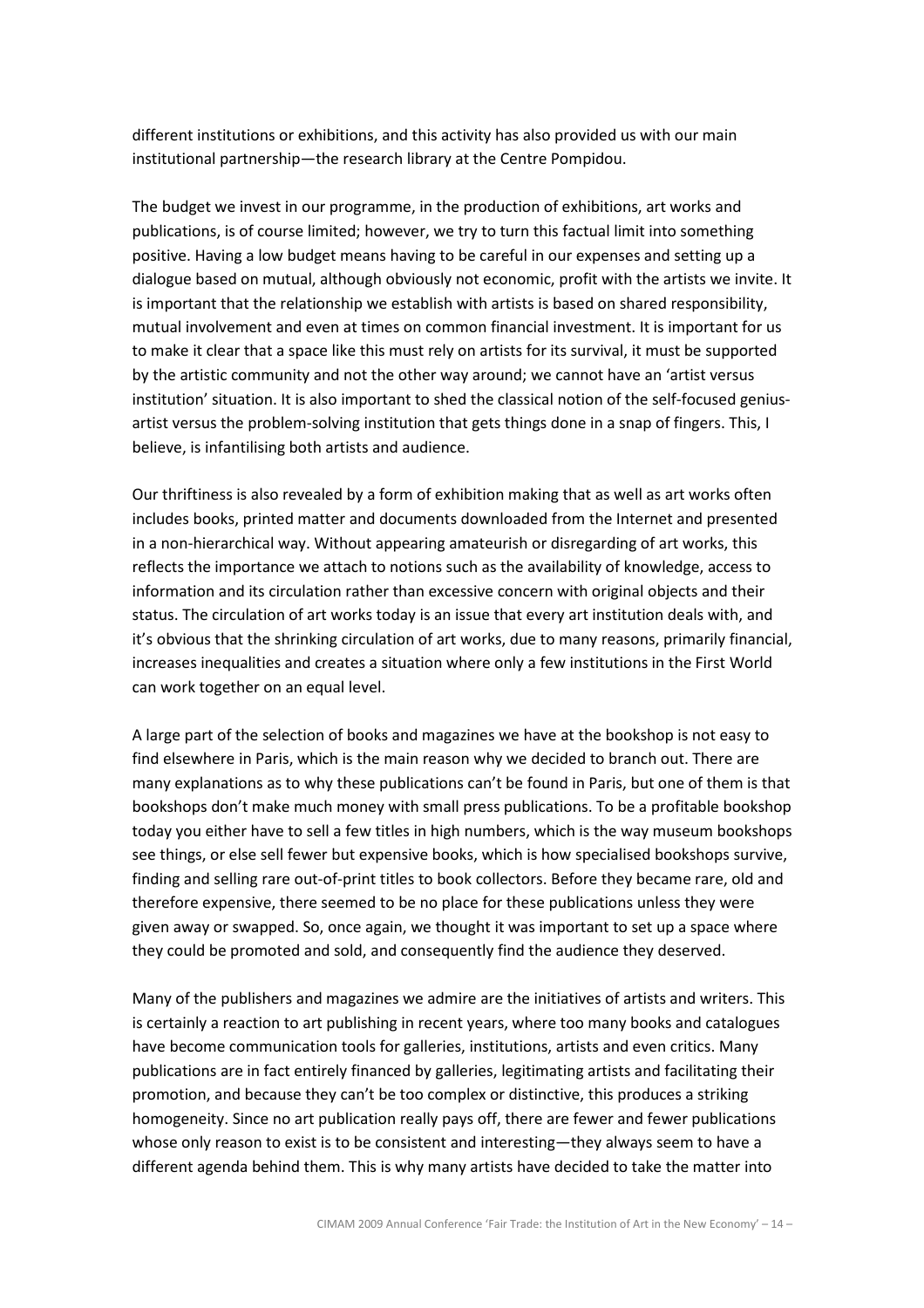different institutions or exhibitions, and this activity has also provided us with our main institutional partnership—the research library at the Centre Pompidou.

The budget we invest in our programme, in the production of exhibitions, art works and publications, is of course limited; however, we try to turn this factual limit into something positive. Having a low budget means having to be careful in our expenses and setting up a dialogue based on mutual, although obviously not economic, profit with the artists we invite. It is important that the relationship we establish with artists is based on shared responsibility, mutual involvement and even at times on common financial investment. It is important for us to make it clear that a space like this must rely on artists for its survival, it must be supported by the artistic community and not the other way around; we cannot have an 'artist versus institution' situation. It is also important to shed the classical notion of the self-focused geniusartist versus the problem-solving institution that gets things done in a snap of fingers. This, I believe, is infantilising both artists and audience.

Our thriftiness is also revealed by a form of exhibition making that as well as art works often includes books, printed matter and documents downloaded from the Internet and presented in a non-hierarchical way. Without appearing amateurish or disregarding of art works, this reflects the importance we attach to notions such as the availability of knowledge, access to information and its circulation rather than excessive concern with original objects and their status. The circulation of art works today is an issue that every art institution deals with, and it's obvious that the shrinking circulation of art works, due to many reasons, primarily financial, increases inequalities and creates a situation where only a few institutions in the First World can work together on an equal level.

A large part of the selection of books and magazines we have at the bookshop is not easy to find elsewhere in Paris, which is the main reason why we decided to branch out. There are many explanations as to why these publications can't be found in Paris, but one of them is that bookshops don't make much money with small press publications. To be a profitable bookshop today you either have to sell a few titles in high numbers, which is the way museum bookshops see things, or else sell fewer but expensive books, which is how specialised bookshops survive, finding and selling rare out-of-print titles to book collectors. Before they became rare, old and therefore expensive, there seemed to be no place for these publications unless they were given away or swapped. So, once again, we thought it was important to set up a space where they could be promoted and sold, and consequently find the audience they deserved.

Many of the publishers and magazines we admire are the initiatives of artists and writers. This is certainly a reaction to art publishing in recent years, where too many books and catalogues have become communication tools for galleries, institutions, artists and even critics. Many publications are in fact entirely financed by galleries, legitimating artists and facilitating their promotion, and because they can't be too complex or distinctive, this produces a striking homogeneity. Since no art publication really pays off, there are fewer and fewer publications whose only reason to exist is to be consistent and interesting—they always seem to have a different agenda behind them. This is why many artists have decided to take the matter into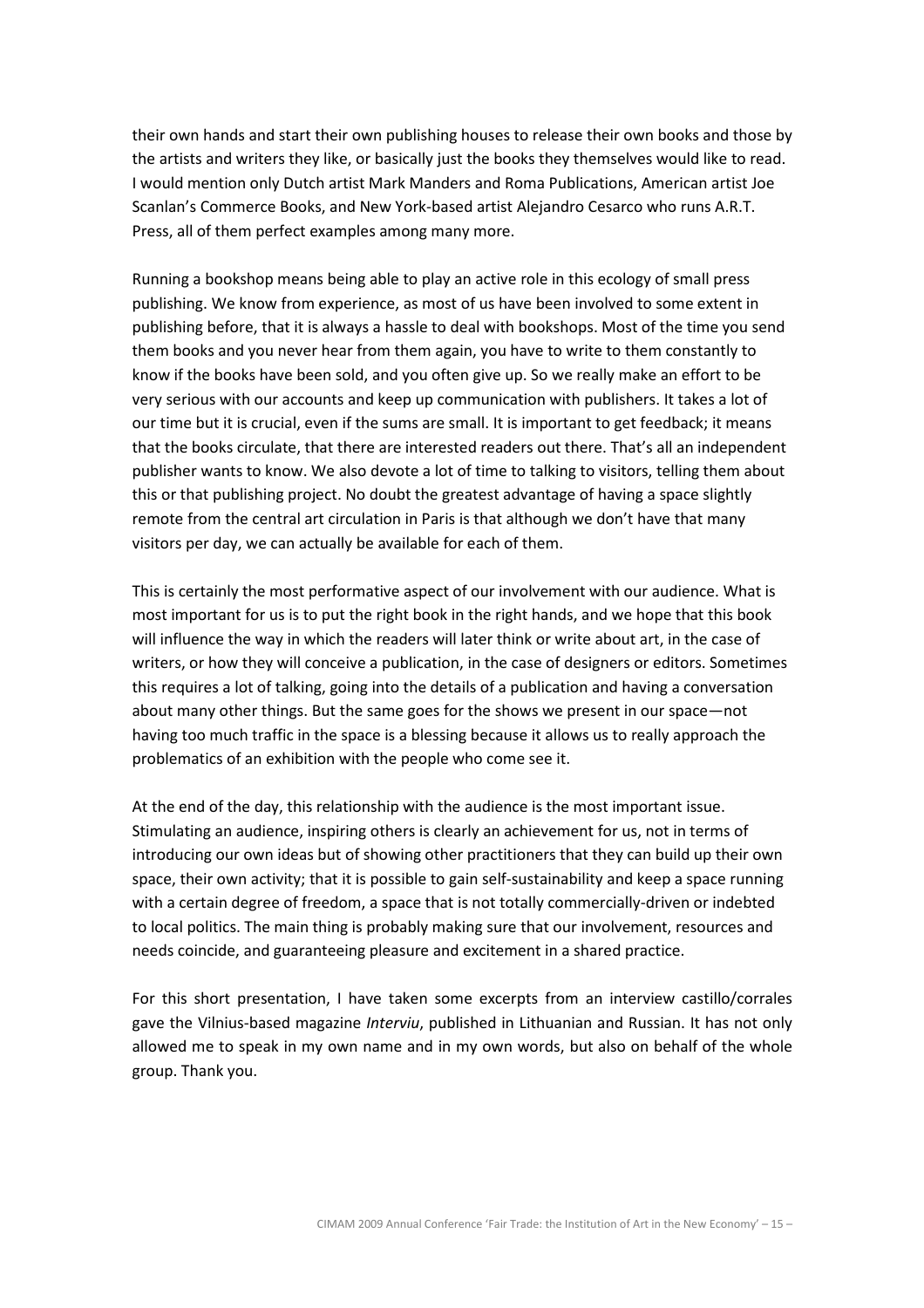their own hands and start their own publishing houses to release their own books and those by the artists and writers they like, or basically just the books they themselves would like to read. I would mention only Dutch artist Mark Manders and Roma Publications, American artist Joe Scanlan's Commerce Books, and New York-based artist Alejandro Cesarco who runs A.R.T. Press, all of them perfect examples among many more.

Running a bookshop means being able to play an active role in this ecology of small press publishing. We know from experience, as most of us have been involved to some extent in publishing before, that it is always a hassle to deal with bookshops. Most of the time you send them books and you never hear from them again, you have to write to them constantly to know if the books have been sold, and you often give up. So we really make an effort to be very serious with our accounts and keep up communication with publishers. It takes a lot of our time but it is crucial, even if the sums are small. It is important to get feedback; it means that the books circulate, that there are interested readers out there. That's all an independent publisher wants to know. We also devote a lot of time to talking to visitors, telling them about this or that publishing project. No doubt the greatest advantage of having a space slightly remote from the central art circulation in Paris is that although we don't have that many visitors per day, we can actually be available for each of them.

This is certainly the most performative aspect of our involvement with our audience. What is most important for us is to put the right book in the right hands, and we hope that this book will influence the way in which the readers will later think or write about art, in the case of writers, or how they will conceive a publication, in the case of designers or editors. Sometimes this requires a lot of talking, going into the details of a publication and having a conversation about many other things. But the same goes for the shows we present in our space—not having too much traffic in the space is a blessing because it allows us to really approach the problematics of an exhibition with the people who come see it.

At the end of the day, this relationship with the audience is the most important issue. Stimulating an audience, inspiring others is clearly an achievement for us, not in terms of introducing our own ideas but of showing other practitioners that they can build up their own space, their own activity; that it is possible to gain self-sustainability and keep a space running with a certain degree of freedom, a space that is not totally commercially-driven or indebted to local politics. The main thing is probably making sure that our involvement, resources and needs coincide, and guaranteeing pleasure and excitement in a shared practice.

For this short presentation, I have taken some excerpts from an interview castillo/corrales gave the Vilnius-based magazine *Interviu*, published in Lithuanian and Russian. It has not only allowed me to speak in my own name and in my own words, but also on behalf of the whole group. Thank you.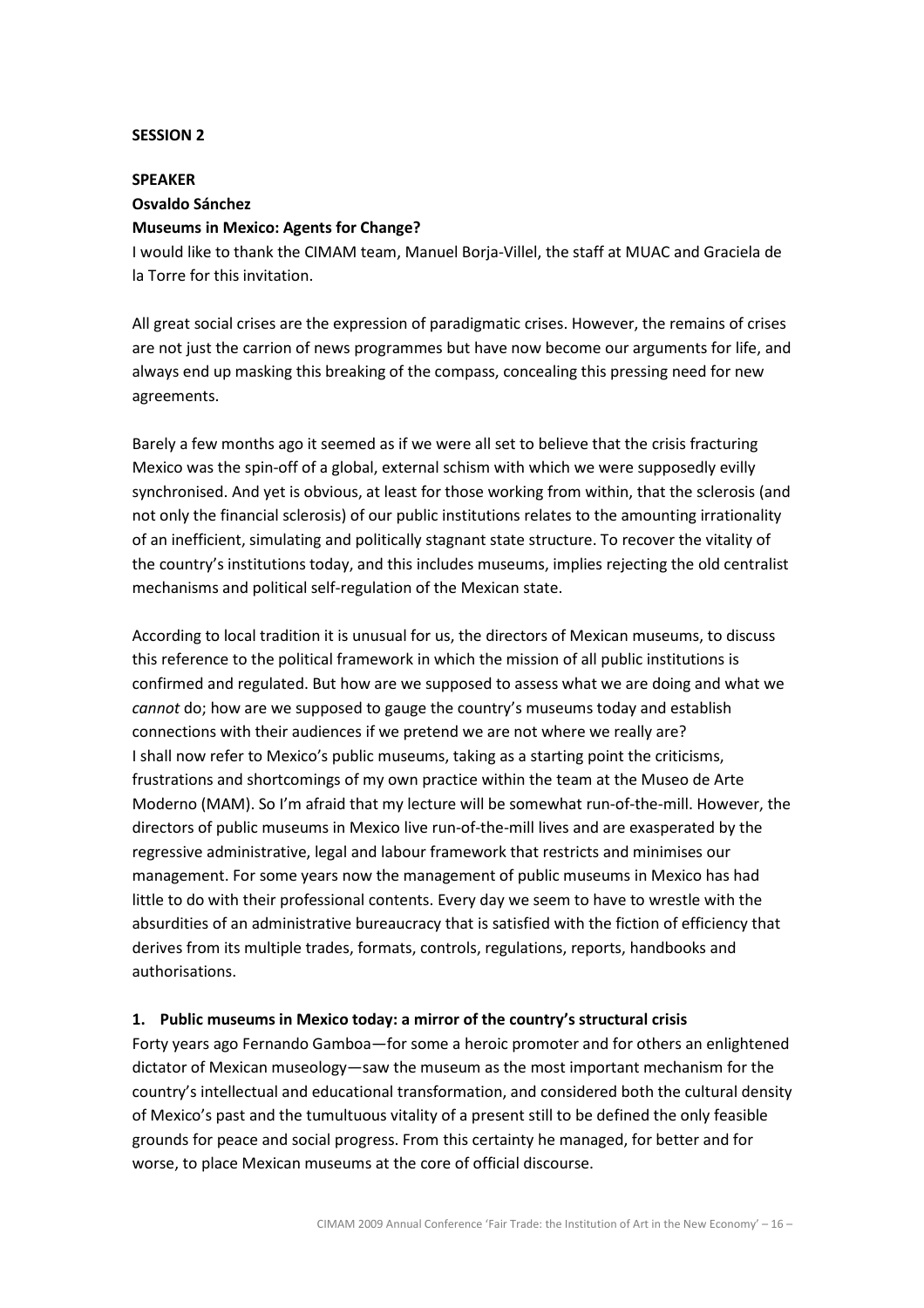## SESSION 2

#### SPEAKER

#### Osvaldo Sánchez

### Museums in Mexico: Agents for Change?

I would like to thank the CIMAM team, Manuel Borja-Villel, the staff at MUAC and Graciela de la Torre for this invitation.

All great social crises are the expression of paradigmatic crises. However, the remains of crises are not just the carrion of news programmes but have now become our arguments for life, and always end up masking this breaking of the compass, concealing this pressing need for new agreements.

Barely a few months ago it seemed as if we were all set to believe that the crisis fracturing Mexico was the spin-off of a global, external schism with which we were supposedly evilly synchronised. And yet is obvious, at least for those working from within, that the sclerosis (and not only the financial sclerosis) of our public institutions relates to the amounting irrationality of an inefficient, simulating and politically stagnant state structure. To recover the vitality of the country's institutions today, and this includes museums, implies rejecting the old centralist mechanisms and political self-regulation of the Mexican state.

According to local tradition it is unusual for us, the directors of Mexican museums, to discuss this reference to the political framework in which the mission of all public institutions is confirmed and regulated. But how are we supposed to assess what we are doing and what we cannot do; how are we supposed to gauge the country's museums today and establish connections with their audiences if we pretend we are not where we really are? I shall now refer to Mexico's public museums, taking as a starting point the criticisms, frustrations and shortcomings of my own practice within the team at the Museo de Arte Moderno (MAM). So I'm afraid that my lecture will be somewhat run-of-the-mill. However, the directors of public museums in Mexico live run-of-the-mill lives and are exasperated by the regressive administrative, legal and labour framework that restricts and minimises our management. For some years now the management of public museums in Mexico has had little to do with their professional contents. Every day we seem to have to wrestle with the absurdities of an administrative bureaucracy that is satisfied with the fiction of efficiency that derives from its multiple trades, formats, controls, regulations, reports, handbooks and authorisations.

# 1. Public museums in Mexico today: a mirror of the country's structural crisis

Forty years ago Fernando Gamboa—for some a heroic promoter and for others an enlightened dictator of Mexican museology—saw the museum as the most important mechanism for the country's intellectual and educational transformation, and considered both the cultural density of Mexico's past and the tumultuous vitality of a present still to be defined the only feasible grounds for peace and social progress. From this certainty he managed, for better and for worse, to place Mexican museums at the core of official discourse.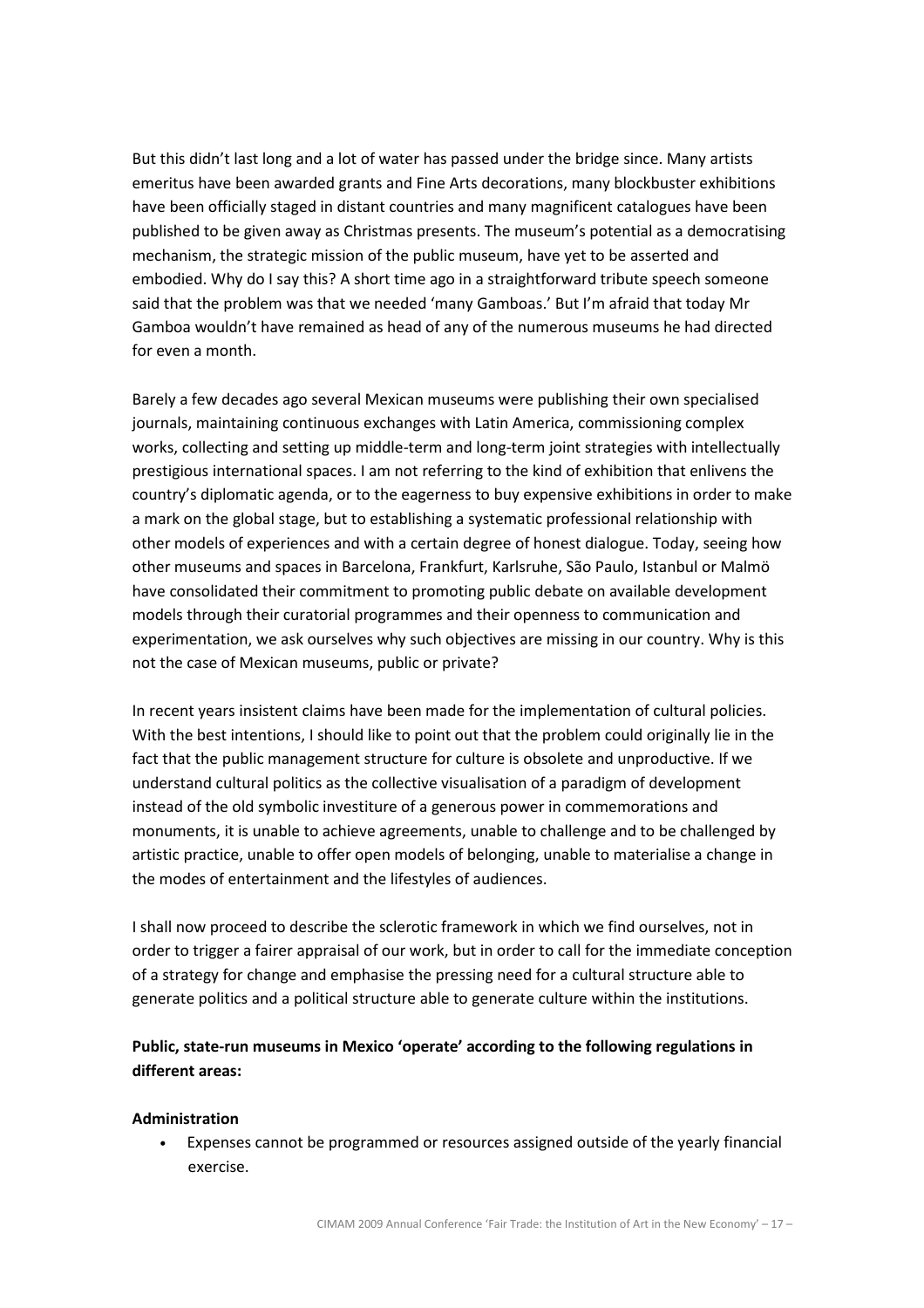But this didn't last long and a lot of water has passed under the bridge since. Many artists emeritus have been awarded grants and Fine Arts decorations, many blockbuster exhibitions have been officially staged in distant countries and many magnificent catalogues have been published to be given away as Christmas presents. The museum's potential as a democratising mechanism, the strategic mission of the public museum, have yet to be asserted and embodied. Why do I say this? A short time ago in a straightforward tribute speech someone said that the problem was that we needed 'many Gamboas.' But I'm afraid that today Mr Gamboa wouldn't have remained as head of any of the numerous museums he had directed for even a month.

Barely a few decades ago several Mexican museums were publishing their own specialised journals, maintaining continuous exchanges with Latin America, commissioning complex works, collecting and setting up middle-term and long-term joint strategies with intellectually prestigious international spaces. I am not referring to the kind of exhibition that enlivens the country's diplomatic agenda, or to the eagerness to buy expensive exhibitions in order to make a mark on the global stage, but to establishing a systematic professional relationship with other models of experiences and with a certain degree of honest dialogue. Today, seeing how other museums and spaces in Barcelona, Frankfurt, Karlsruhe, São Paulo, Istanbul or Malmö have consolidated their commitment to promoting public debate on available development models through their curatorial programmes and their openness to communication and experimentation, we ask ourselves why such objectives are missing in our country. Why is this not the case of Mexican museums, public or private?

In recent years insistent claims have been made for the implementation of cultural policies. With the best intentions, I should like to point out that the problem could originally lie in the fact that the public management structure for culture is obsolete and unproductive. If we understand cultural politics as the collective visualisation of a paradigm of development instead of the old symbolic investiture of a generous power in commemorations and monuments, it is unable to achieve agreements, unable to challenge and to be challenged by artistic practice, unable to offer open models of belonging, unable to materialise a change in the modes of entertainment and the lifestyles of audiences.

I shall now proceed to describe the sclerotic framework in which we find ourselves, not in order to trigger a fairer appraisal of our work, but in order to call for the immediate conception of a strategy for change and emphasise the pressing need for a cultural structure able to generate politics and a political structure able to generate culture within the institutions.

# Public, state-run museums in Mexico 'operate' according to the following regulations in different areas:

#### Administration

• Expenses cannot be programmed or resources assigned outside of the yearly financial exercise.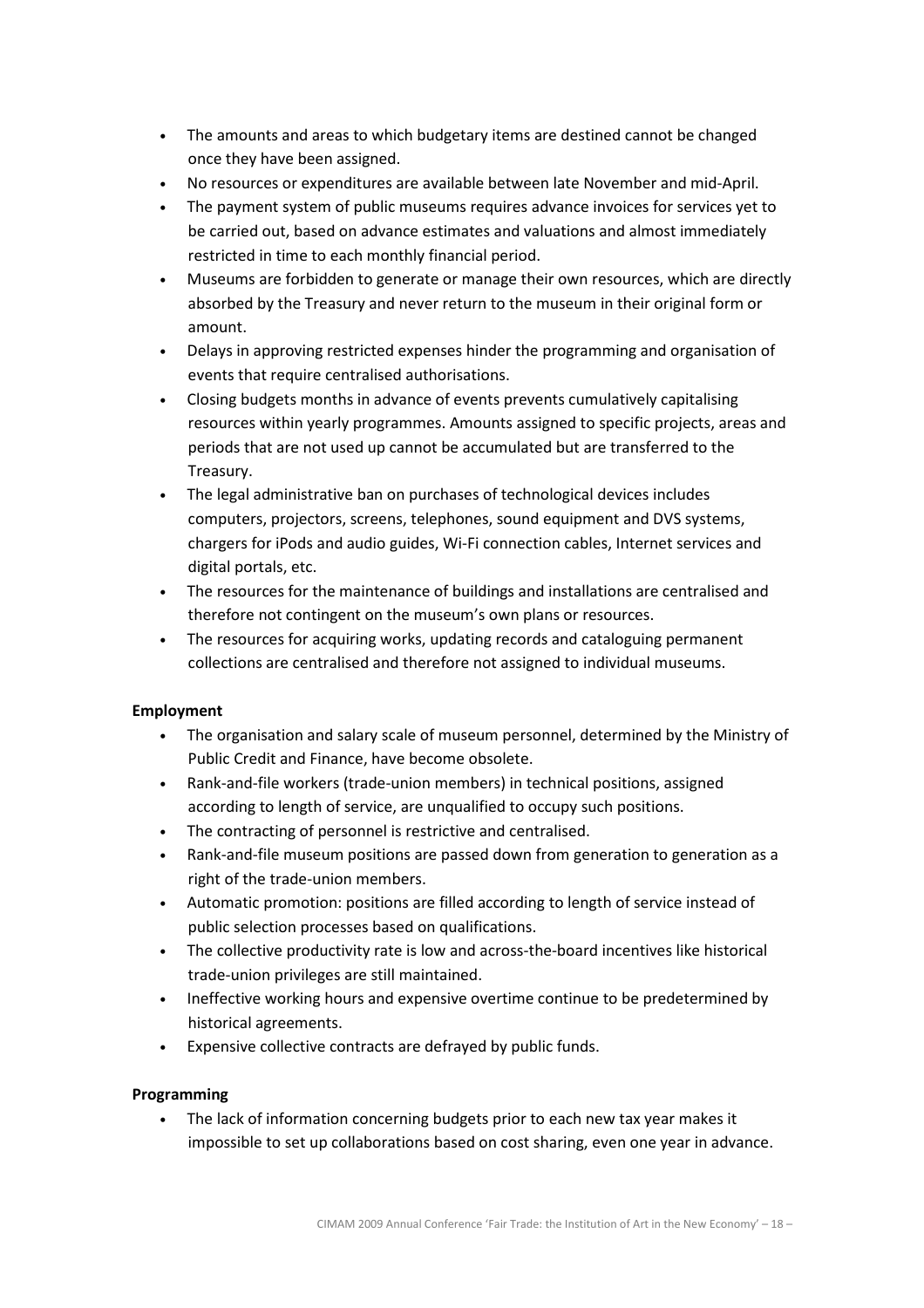- The amounts and areas to which budgetary items are destined cannot be changed once they have been assigned.
- No resources or expenditures are available between late November and mid-April.
- The payment system of public museums requires advance invoices for services yet to be carried out, based on advance estimates and valuations and almost immediately restricted in time to each monthly financial period.
- Museums are forbidden to generate or manage their own resources, which are directly absorbed by the Treasury and never return to the museum in their original form or amount.
- Delays in approving restricted expenses hinder the programming and organisation of events that require centralised authorisations.
- Closing budgets months in advance of events prevents cumulatively capitalising resources within yearly programmes. Amounts assigned to specific projects, areas and periods that are not used up cannot be accumulated but are transferred to the Treasury.
- The legal administrative ban on purchases of technological devices includes computers, projectors, screens, telephones, sound equipment and DVS systems, chargers for iPods and audio guides, Wi-Fi connection cables, Internet services and digital portals, etc.
- The resources for the maintenance of buildings and installations are centralised and therefore not contingent on the museum's own plans or resources.
- The resources for acquiring works, updating records and cataloguing permanent collections are centralised and therefore not assigned to individual museums.

# Employment

- The organisation and salary scale of museum personnel, determined by the Ministry of Public Credit and Finance, have become obsolete.
- Rank-and-file workers (trade-union members) in technical positions, assigned according to length of service, are unqualified to occupy such positions.
- The contracting of personnel is restrictive and centralised.
- Rank-and-file museum positions are passed down from generation to generation as a right of the trade-union members.
- Automatic promotion: positions are filled according to length of service instead of public selection processes based on qualifications.
- The collective productivity rate is low and across-the-board incentives like historical trade-union privileges are still maintained.
- Ineffective working hours and expensive overtime continue to be predetermined by historical agreements.
- Expensive collective contracts are defrayed by public funds.

# Programming

• The lack of information concerning budgets prior to each new tax year makes it impossible to set up collaborations based on cost sharing, even one year in advance.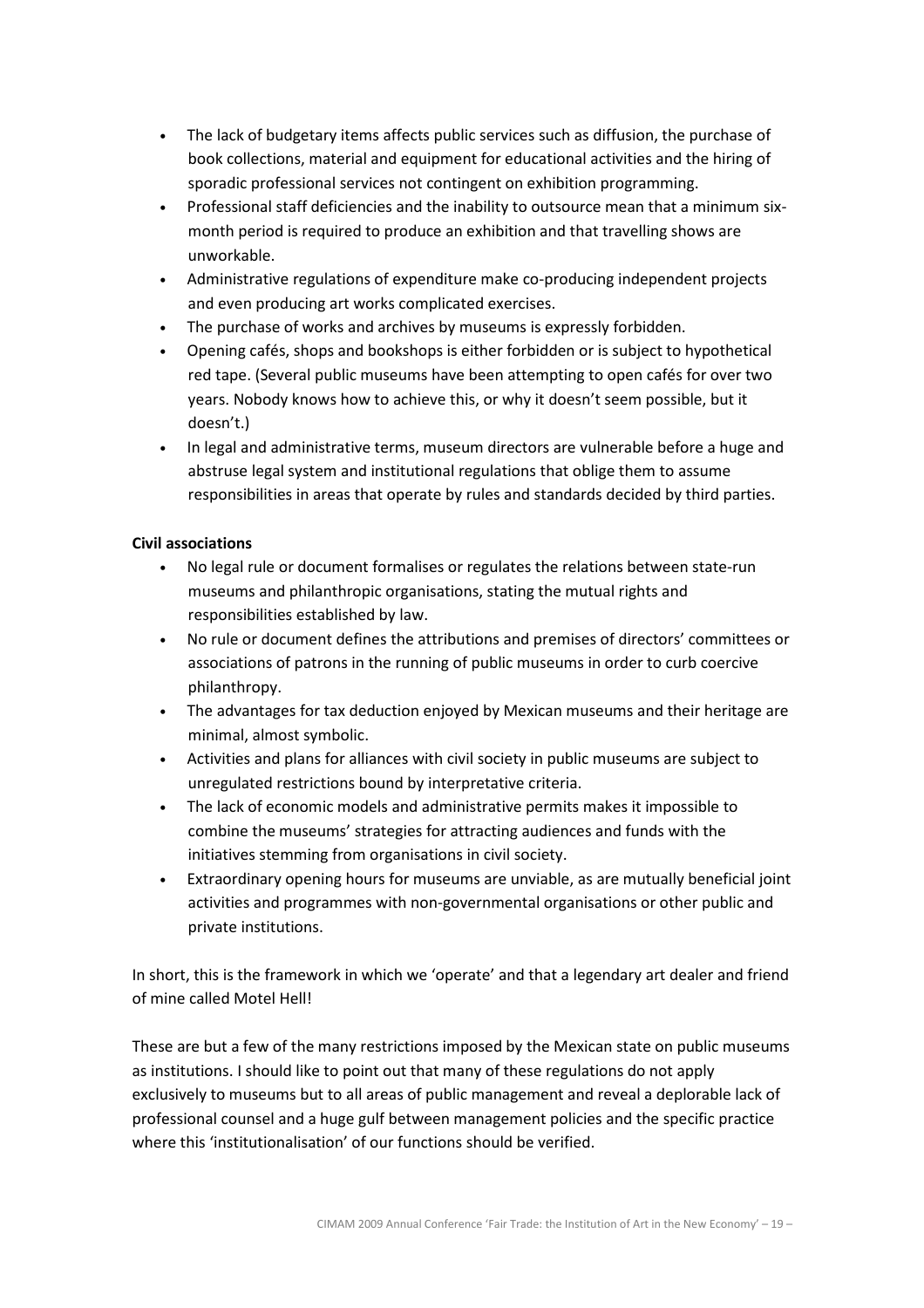- The lack of budgetary items affects public services such as diffusion, the purchase of book collections, material and equipment for educational activities and the hiring of sporadic professional services not contingent on exhibition programming.
- Professional staff deficiencies and the inability to outsource mean that a minimum sixmonth period is required to produce an exhibition and that travelling shows are unworkable.
- Administrative regulations of expenditure make co-producing independent projects and even producing art works complicated exercises.
- The purchase of works and archives by museums is expressly forbidden.
- Opening cafés, shops and bookshops is either forbidden or is subject to hypothetical red tape. (Several public museums have been attempting to open cafés for over two years. Nobody knows how to achieve this, or why it doesn't seem possible, but it doesn't.)
- In legal and administrative terms, museum directors are vulnerable before a huge and abstruse legal system and institutional regulations that oblige them to assume responsibilities in areas that operate by rules and standards decided by third parties.

# Civil associations

- No legal rule or document formalises or regulates the relations between state-run museums and philanthropic organisations, stating the mutual rights and responsibilities established by law.
- No rule or document defines the attributions and premises of directors' committees or associations of patrons in the running of public museums in order to curb coercive philanthropy.
- The advantages for tax deduction enjoyed by Mexican museums and their heritage are minimal, almost symbolic.
- Activities and plans for alliances with civil society in public museums are subject to unregulated restrictions bound by interpretative criteria.
- The lack of economic models and administrative permits makes it impossible to combine the museums' strategies for attracting audiences and funds with the initiatives stemming from organisations in civil society.
- Extraordinary opening hours for museums are unviable, as are mutually beneficial joint activities and programmes with non-governmental organisations or other public and private institutions.

In short, this is the framework in which we 'operate' and that a legendary art dealer and friend of mine called Motel Hell!

These are but a few of the many restrictions imposed by the Mexican state on public museums as institutions. I should like to point out that many of these regulations do not apply exclusively to museums but to all areas of public management and reveal a deplorable lack of professional counsel and a huge gulf between management policies and the specific practice where this 'institutionalisation' of our functions should be verified.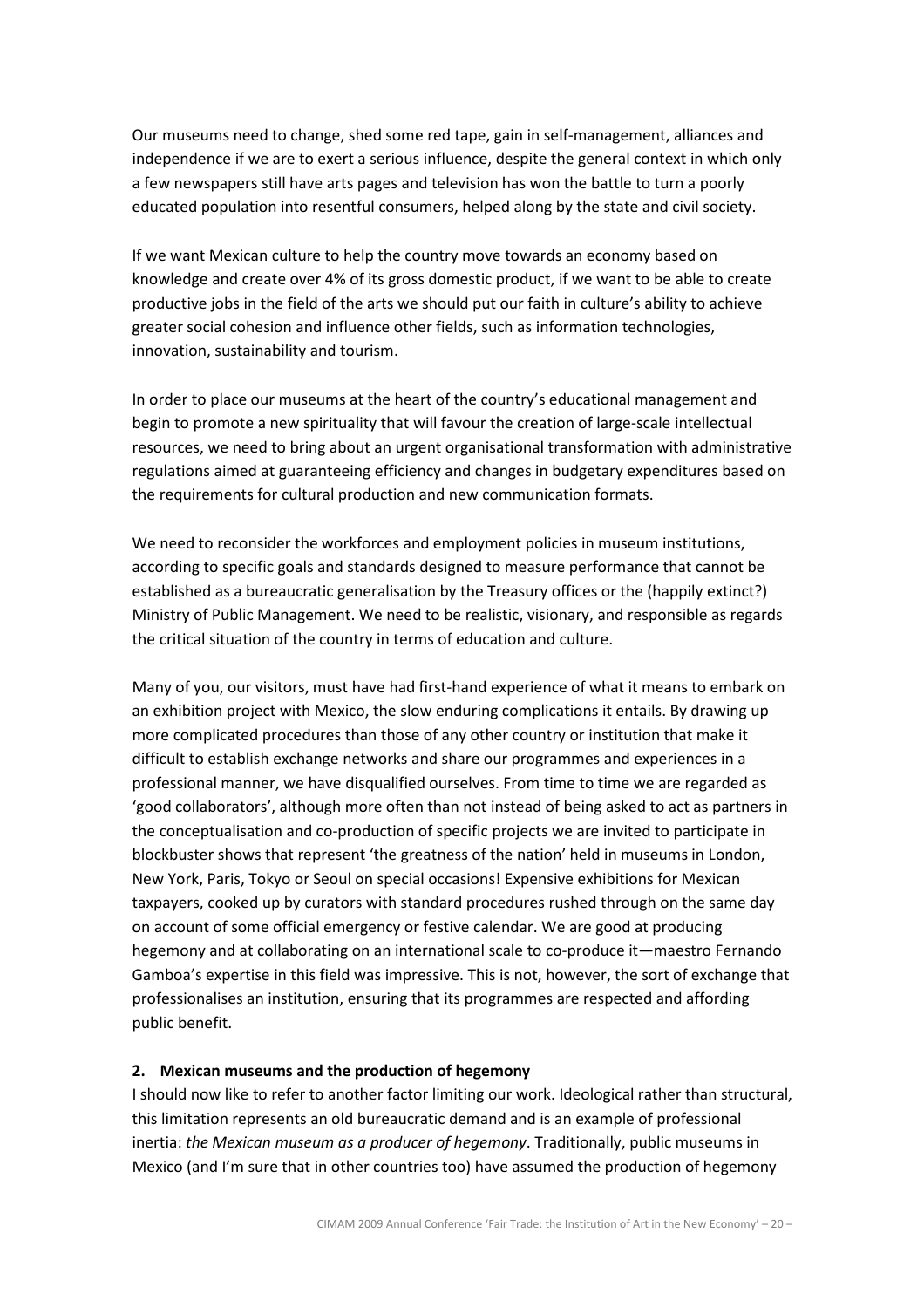Our museums need to change, shed some red tape, gain in self-management, alliances and independence if we are to exert a serious influence, despite the general context in which only a few newspapers still have arts pages and television has won the battle to turn a poorly educated population into resentful consumers, helped along by the state and civil society.

If we want Mexican culture to help the country move towards an economy based on knowledge and create over 4% of its gross domestic product, if we want to be able to create productive jobs in the field of the arts we should put our faith in culture's ability to achieve greater social cohesion and influence other fields, such as information technologies, innovation, sustainability and tourism.

In order to place our museums at the heart of the country's educational management and begin to promote a new spirituality that will favour the creation of large-scale intellectual resources, we need to bring about an urgent organisational transformation with administrative regulations aimed at guaranteeing efficiency and changes in budgetary expenditures based on the requirements for cultural production and new communication formats.

We need to reconsider the workforces and employment policies in museum institutions, according to specific goals and standards designed to measure performance that cannot be established as a bureaucratic generalisation by the Treasury offices or the (happily extinct?) Ministry of Public Management. We need to be realistic, visionary, and responsible as regards the critical situation of the country in terms of education and culture.

Many of you, our visitors, must have had first-hand experience of what it means to embark on an exhibition project with Mexico, the slow enduring complications it entails. By drawing up more complicated procedures than those of any other country or institution that make it difficult to establish exchange networks and share our programmes and experiences in a professional manner, we have disqualified ourselves. From time to time we are regarded as 'good collaborators', although more often than not instead of being asked to act as partners in the conceptualisation and co-production of specific projects we are invited to participate in blockbuster shows that represent 'the greatness of the nation' held in museums in London, New York, Paris, Tokyo or Seoul on special occasions! Expensive exhibitions for Mexican taxpayers, cooked up by curators with standard procedures rushed through on the same day on account of some official emergency or festive calendar. We are good at producing hegemony and at collaborating on an international scale to co-produce it—maestro Fernando Gamboa's expertise in this field was impressive. This is not, however, the sort of exchange that professionalises an institution, ensuring that its programmes are respected and affording public benefit.

#### 2. Mexican museums and the production of hegemony

I should now like to refer to another factor limiting our work. Ideological rather than structural, this limitation represents an old bureaucratic demand and is an example of professional inertia: the Mexican museum as a producer of hegemony. Traditionally, public museums in Mexico (and I'm sure that in other countries too) have assumed the production of hegemony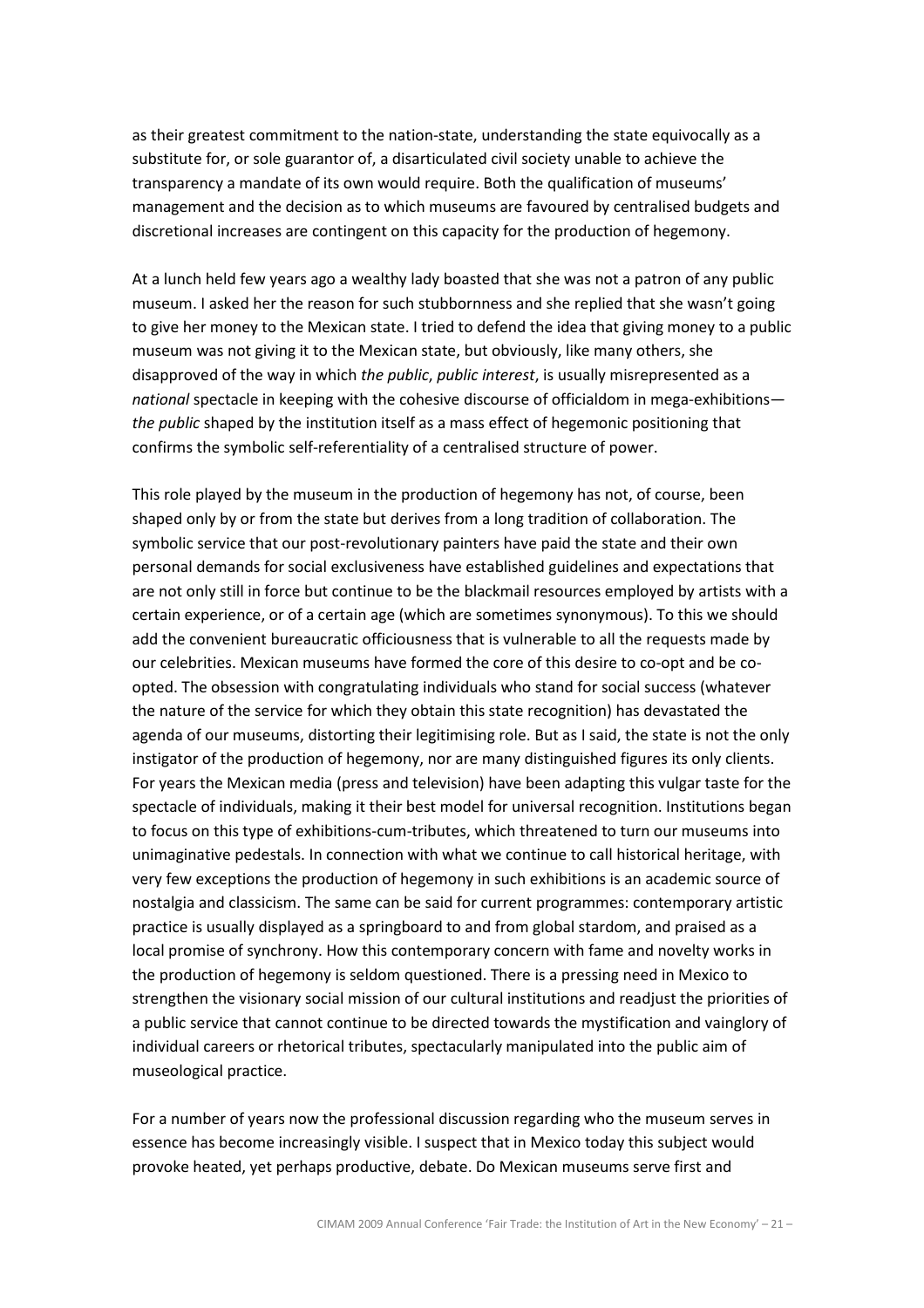as their greatest commitment to the nation-state, understanding the state equivocally as a substitute for, or sole guarantor of, a disarticulated civil society unable to achieve the transparency a mandate of its own would require. Both the qualification of museums' management and the decision as to which museums are favoured by centralised budgets and discretional increases are contingent on this capacity for the production of hegemony.

At a lunch held few years ago a wealthy lady boasted that she was not a patron of any public museum. I asked her the reason for such stubbornness and she replied that she wasn't going to give her money to the Mexican state. I tried to defend the idea that giving money to a public museum was not giving it to the Mexican state, but obviously, like many others, she disapproved of the way in which the public, public interest, is usually misrepresented as a national spectacle in keeping with the cohesive discourse of officialdom in mega-exhibitions the public shaped by the institution itself as a mass effect of hegemonic positioning that confirms the symbolic self-referentiality of a centralised structure of power.

This role played by the museum in the production of hegemony has not, of course, been shaped only by or from the state but derives from a long tradition of collaboration. The symbolic service that our post-revolutionary painters have paid the state and their own personal demands for social exclusiveness have established guidelines and expectations that are not only still in force but continue to be the blackmail resources employed by artists with a certain experience, or of a certain age (which are sometimes synonymous). To this we should add the convenient bureaucratic officiousness that is vulnerable to all the requests made by our celebrities. Mexican museums have formed the core of this desire to co-opt and be coopted. The obsession with congratulating individuals who stand for social success (whatever the nature of the service for which they obtain this state recognition) has devastated the agenda of our museums, distorting their legitimising role. But as I said, the state is not the only instigator of the production of hegemony, nor are many distinguished figures its only clients. For years the Mexican media (press and television) have been adapting this vulgar taste for the spectacle of individuals, making it their best model for universal recognition. Institutions began to focus on this type of exhibitions-cum-tributes, which threatened to turn our museums into unimaginative pedestals. In connection with what we continue to call historical heritage, with very few exceptions the production of hegemony in such exhibitions is an academic source of nostalgia and classicism. The same can be said for current programmes: contemporary artistic practice is usually displayed as a springboard to and from global stardom, and praised as a local promise of synchrony. How this contemporary concern with fame and novelty works in the production of hegemony is seldom questioned. There is a pressing need in Mexico to strengthen the visionary social mission of our cultural institutions and readjust the priorities of a public service that cannot continue to be directed towards the mystification and vainglory of individual careers or rhetorical tributes, spectacularly manipulated into the public aim of museological practice.

For a number of years now the professional discussion regarding who the museum serves in essence has become increasingly visible. I suspect that in Mexico today this subject would provoke heated, yet perhaps productive, debate. Do Mexican museums serve first and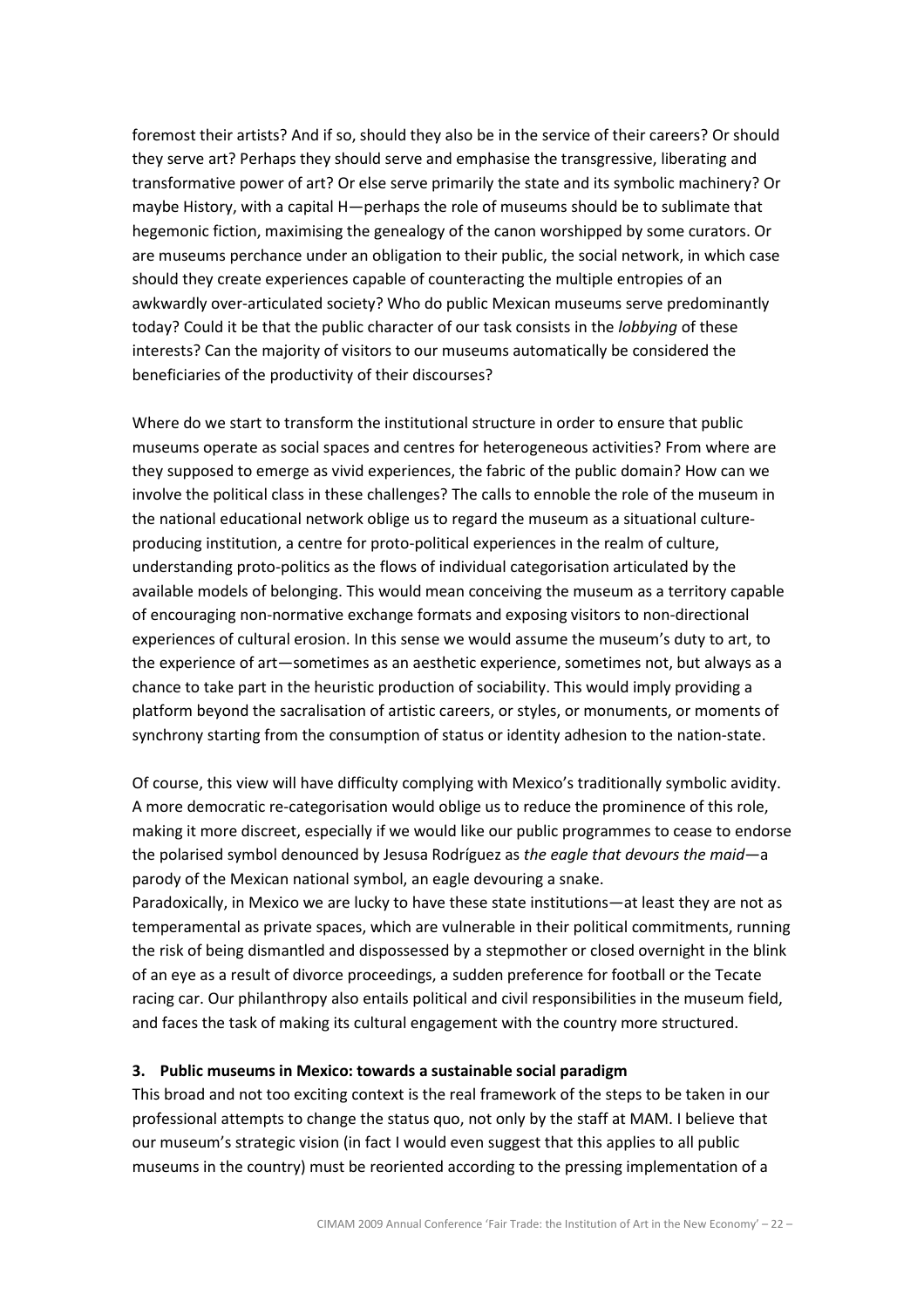foremost their artists? And if so, should they also be in the service of their careers? Or should they serve art? Perhaps they should serve and emphasise the transgressive, liberating and transformative power of art? Or else serve primarily the state and its symbolic machinery? Or maybe History, with a capital H—perhaps the role of museums should be to sublimate that hegemonic fiction, maximising the genealogy of the canon worshipped by some curators. Or are museums perchance under an obligation to their public, the social network, in which case should they create experiences capable of counteracting the multiple entropies of an awkwardly over-articulated society? Who do public Mexican museums serve predominantly today? Could it be that the public character of our task consists in the lobbying of these interests? Can the majority of visitors to our museums automatically be considered the beneficiaries of the productivity of their discourses?

Where do we start to transform the institutional structure in order to ensure that public museums operate as social spaces and centres for heterogeneous activities? From where are they supposed to emerge as vivid experiences, the fabric of the public domain? How can we involve the political class in these challenges? The calls to ennoble the role of the museum in the national educational network oblige us to regard the museum as a situational cultureproducing institution, a centre for proto-political experiences in the realm of culture, understanding proto-politics as the flows of individual categorisation articulated by the available models of belonging. This would mean conceiving the museum as a territory capable of encouraging non-normative exchange formats and exposing visitors to non-directional experiences of cultural erosion. In this sense we would assume the museum's duty to art, to the experience of art—sometimes as an aesthetic experience, sometimes not, but always as a chance to take part in the heuristic production of sociability. This would imply providing a platform beyond the sacralisation of artistic careers, or styles, or monuments, or moments of synchrony starting from the consumption of status or identity adhesion to the nation-state.

Of course, this view will have difficulty complying with Mexico's traditionally symbolic avidity. A more democratic re-categorisation would oblige us to reduce the prominence of this role, making it more discreet, especially if we would like our public programmes to cease to endorse the polarised symbol denounced by Jesusa Rodríguez as the eagle that devours the maid—a parody of the Mexican national symbol, an eagle devouring a snake.

Paradoxically, in Mexico we are lucky to have these state institutions—at least they are not as temperamental as private spaces, which are vulnerable in their political commitments, running the risk of being dismantled and dispossessed by a stepmother or closed overnight in the blink of an eye as a result of divorce proceedings, a sudden preference for football or the Tecate racing car. Our philanthropy also entails political and civil responsibilities in the museum field, and faces the task of making its cultural engagement with the country more structured.

### 3. Public museums in Mexico: towards a sustainable social paradigm

This broad and not too exciting context is the real framework of the steps to be taken in our professional attempts to change the status quo, not only by the staff at MAM. I believe that our museum's strategic vision (in fact I would even suggest that this applies to all public museums in the country) must be reoriented according to the pressing implementation of a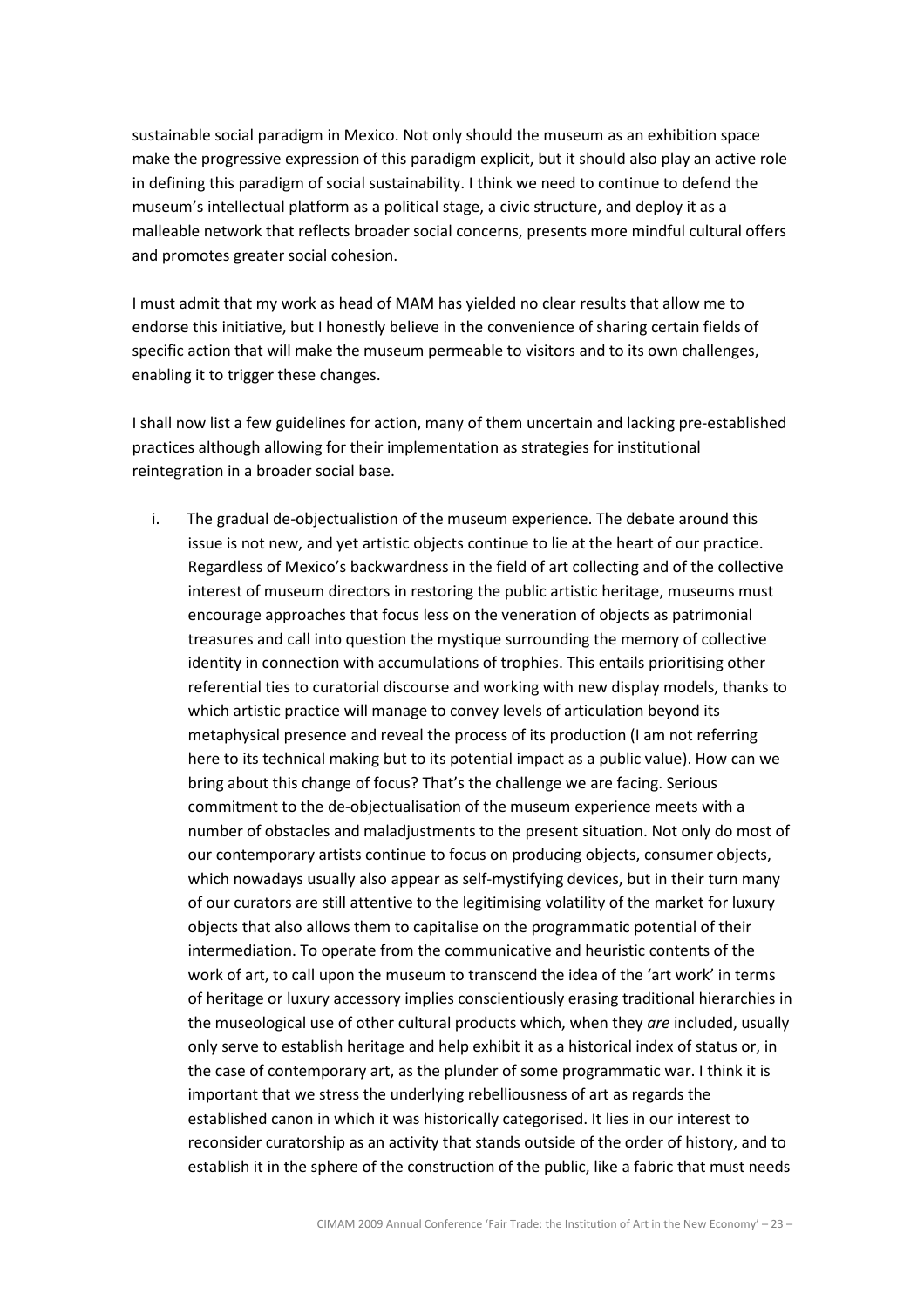sustainable social paradigm in Mexico. Not only should the museum as an exhibition space make the progressive expression of this paradigm explicit, but it should also play an active role in defining this paradigm of social sustainability. I think we need to continue to defend the museum's intellectual platform as a political stage, a civic structure, and deploy it as a malleable network that reflects broader social concerns, presents more mindful cultural offers and promotes greater social cohesion.

I must admit that my work as head of MAM has yielded no clear results that allow me to endorse this initiative, but I honestly believe in the convenience of sharing certain fields of specific action that will make the museum permeable to visitors and to its own challenges, enabling it to trigger these changes.

I shall now list a few guidelines for action, many of them uncertain and lacking pre-established practices although allowing for their implementation as strategies for institutional reintegration in a broader social base.

i. The gradual de-objectualistion of the museum experience. The debate around this issue is not new, and yet artistic objects continue to lie at the heart of our practice. Regardless of Mexico's backwardness in the field of art collecting and of the collective interest of museum directors in restoring the public artistic heritage, museums must encourage approaches that focus less on the veneration of objects as patrimonial treasures and call into question the mystique surrounding the memory of collective identity in connection with accumulations of trophies. This entails prioritising other referential ties to curatorial discourse and working with new display models, thanks to which artistic practice will manage to convey levels of articulation beyond its metaphysical presence and reveal the process of its production (I am not referring here to its technical making but to its potential impact as a public value). How can we bring about this change of focus? That's the challenge we are facing. Serious commitment to the de-objectualisation of the museum experience meets with a number of obstacles and maladjustments to the present situation. Not only do most of our contemporary artists continue to focus on producing objects, consumer objects, which nowadays usually also appear as self-mystifying devices, but in their turn many of our curators are still attentive to the legitimising volatility of the market for luxury objects that also allows them to capitalise on the programmatic potential of their intermediation. To operate from the communicative and heuristic contents of the work of art, to call upon the museum to transcend the idea of the 'art work' in terms of heritage or luxury accessory implies conscientiously erasing traditional hierarchies in the museological use of other cultural products which, when they are included, usually only serve to establish heritage and help exhibit it as a historical index of status or, in the case of contemporary art, as the plunder of some programmatic war. I think it is important that we stress the underlying rebelliousness of art as regards the established canon in which it was historically categorised. It lies in our interest to reconsider curatorship as an activity that stands outside of the order of history, and to establish it in the sphere of the construction of the public, like a fabric that must needs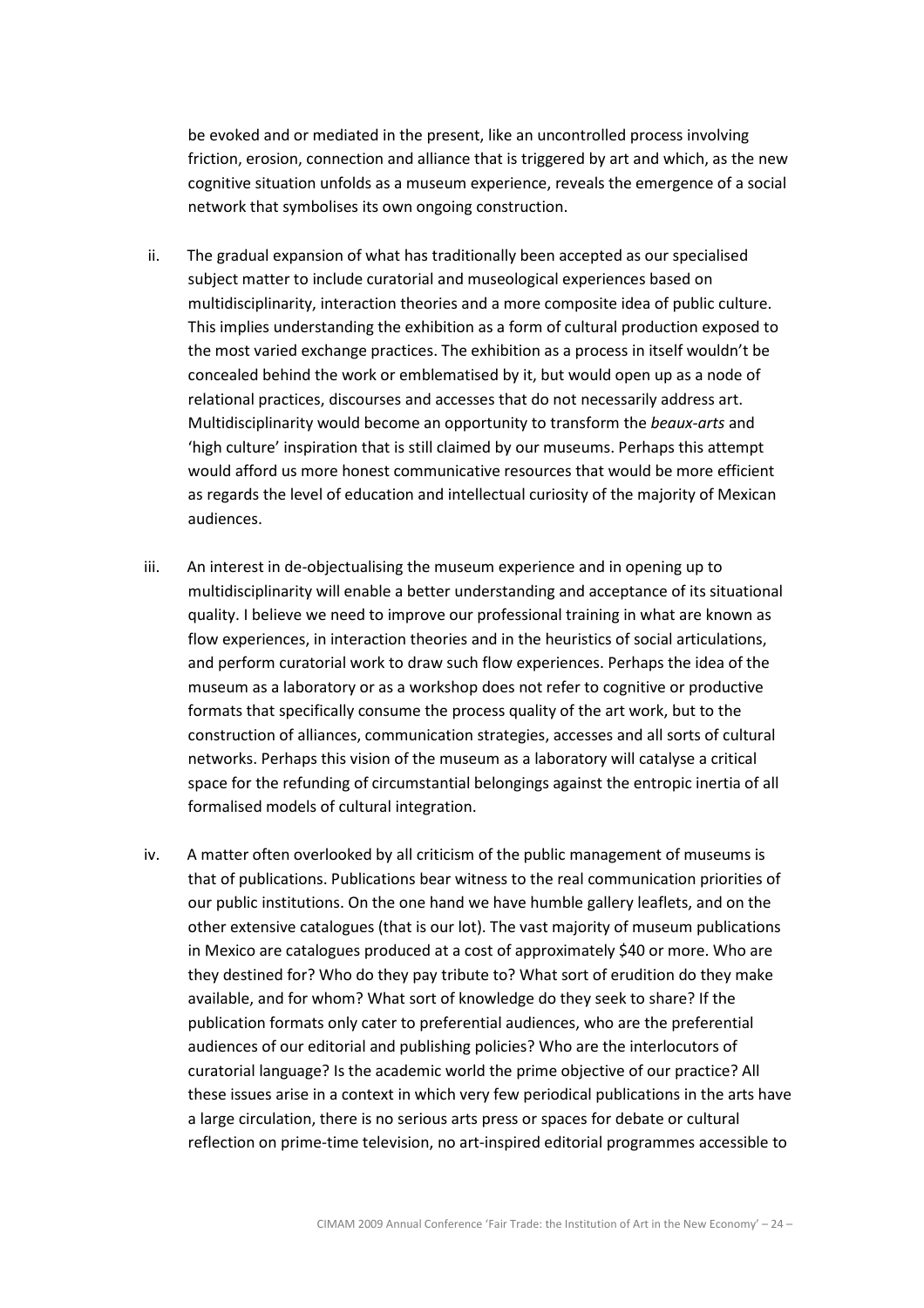be evoked and or mediated in the present, like an uncontrolled process involving friction, erosion, connection and alliance that is triggered by art and which, as the new cognitive situation unfolds as a museum experience, reveals the emergence of a social network that symbolises its own ongoing construction.

- ii. The gradual expansion of what has traditionally been accepted as our specialised subject matter to include curatorial and museological experiences based on multidisciplinarity, interaction theories and a more composite idea of public culture. This implies understanding the exhibition as a form of cultural production exposed to the most varied exchange practices. The exhibition as a process in itself wouldn't be concealed behind the work or emblematised by it, but would open up as a node of relational practices, discourses and accesses that do not necessarily address art. Multidisciplinarity would become an opportunity to transform the *beaux-arts* and 'high culture' inspiration that is still claimed by our museums. Perhaps this attempt would afford us more honest communicative resources that would be more efficient as regards the level of education and intellectual curiosity of the majority of Mexican audiences.
- iii. An interest in de-objectualising the museum experience and in opening up to multidisciplinarity will enable a better understanding and acceptance of its situational quality. I believe we need to improve our professional training in what are known as flow experiences, in interaction theories and in the heuristics of social articulations, and perform curatorial work to draw such flow experiences. Perhaps the idea of the museum as a laboratory or as a workshop does not refer to cognitive or productive formats that specifically consume the process quality of the art work, but to the construction of alliances, communication strategies, accesses and all sorts of cultural networks. Perhaps this vision of the museum as a laboratory will catalyse a critical space for the refunding of circumstantial belongings against the entropic inertia of all formalised models of cultural integration.
- iv. A matter often overlooked by all criticism of the public management of museums is that of publications. Publications bear witness to the real communication priorities of our public institutions. On the one hand we have humble gallery leaflets, and on the other extensive catalogues (that is our lot). The vast majority of museum publications in Mexico are catalogues produced at a cost of approximately \$40 or more. Who are they destined for? Who do they pay tribute to? What sort of erudition do they make available, and for whom? What sort of knowledge do they seek to share? If the publication formats only cater to preferential audiences, who are the preferential audiences of our editorial and publishing policies? Who are the interlocutors of curatorial language? Is the academic world the prime objective of our practice? All these issues arise in a context in which very few periodical publications in the arts have a large circulation, there is no serious arts press or spaces for debate or cultural reflection on prime-time television, no art-inspired editorial programmes accessible to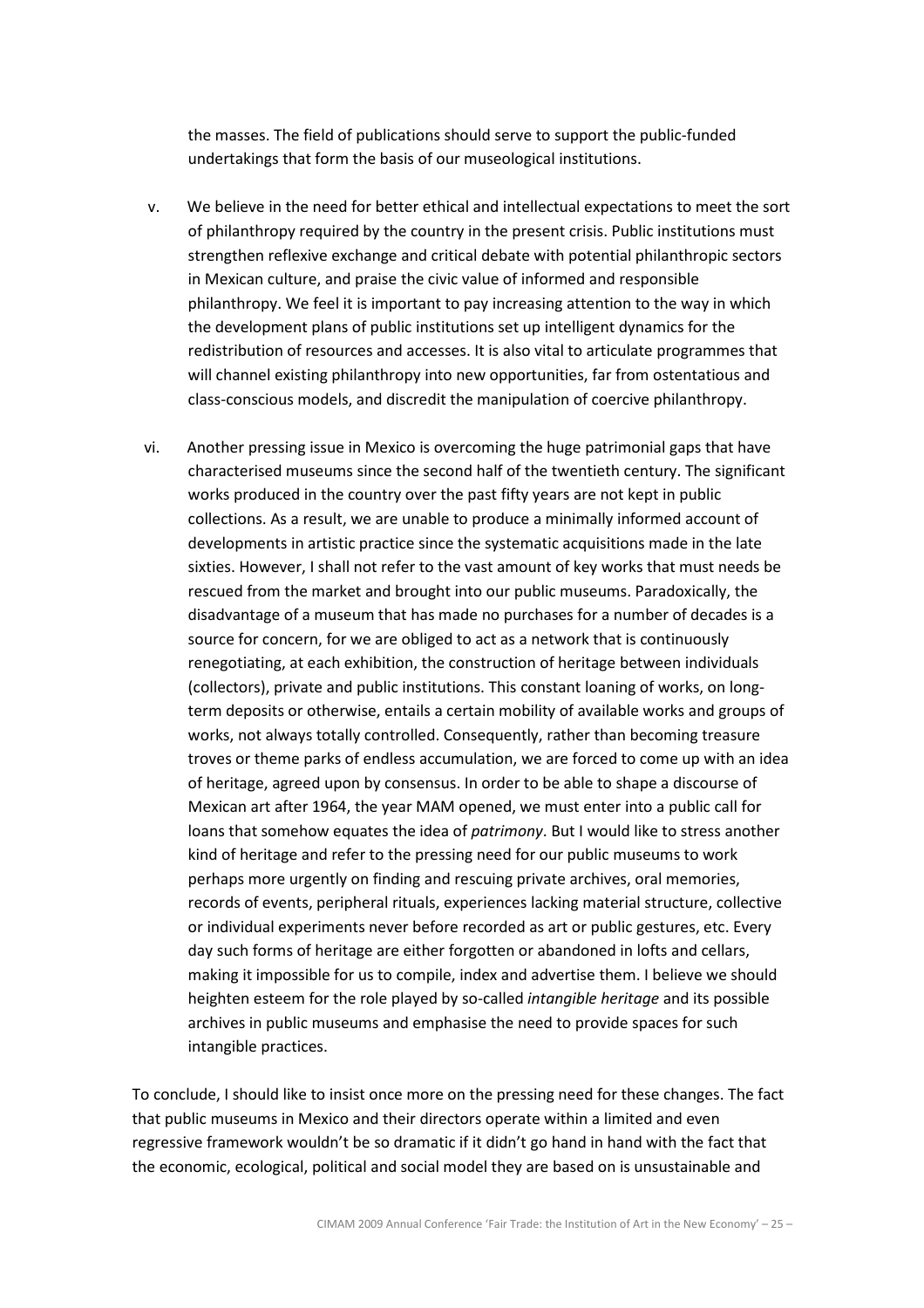the masses. The field of publications should serve to support the public-funded undertakings that form the basis of our museological institutions.

- v. We believe in the need for better ethical and intellectual expectations to meet the sort of philanthropy required by the country in the present crisis. Public institutions must strengthen reflexive exchange and critical debate with potential philanthropic sectors in Mexican culture, and praise the civic value of informed and responsible philanthropy. We feel it is important to pay increasing attention to the way in which the development plans of public institutions set up intelligent dynamics for the redistribution of resources and accesses. It is also vital to articulate programmes that will channel existing philanthropy into new opportunities, far from ostentatious and class-conscious models, and discredit the manipulation of coercive philanthropy.
- vi. Another pressing issue in Mexico is overcoming the huge patrimonial gaps that have characterised museums since the second half of the twentieth century. The significant works produced in the country over the past fifty years are not kept in public collections. As a result, we are unable to produce a minimally informed account of developments in artistic practice since the systematic acquisitions made in the late sixties. However, I shall not refer to the vast amount of key works that must needs be rescued from the market and brought into our public museums. Paradoxically, the disadvantage of a museum that has made no purchases for a number of decades is a source for concern, for we are obliged to act as a network that is continuously renegotiating, at each exhibition, the construction of heritage between individuals (collectors), private and public institutions. This constant loaning of works, on longterm deposits or otherwise, entails a certain mobility of available works and groups of works, not always totally controlled. Consequently, rather than becoming treasure troves or theme parks of endless accumulation, we are forced to come up with an idea of heritage, agreed upon by consensus. In order to be able to shape a discourse of Mexican art after 1964, the year MAM opened, we must enter into a public call for loans that somehow equates the idea of patrimony. But I would like to stress another kind of heritage and refer to the pressing need for our public museums to work perhaps more urgently on finding and rescuing private archives, oral memories, records of events, peripheral rituals, experiences lacking material structure, collective or individual experiments never before recorded as art or public gestures, etc. Every day such forms of heritage are either forgotten or abandoned in lofts and cellars, making it impossible for us to compile, index and advertise them. I believe we should heighten esteem for the role played by so-called intangible heritage and its possible archives in public museums and emphasise the need to provide spaces for such intangible practices.

To conclude, I should like to insist once more on the pressing need for these changes. The fact that public museums in Mexico and their directors operate within a limited and even regressive framework wouldn't be so dramatic if it didn't go hand in hand with the fact that the economic, ecological, political and social model they are based on is unsustainable and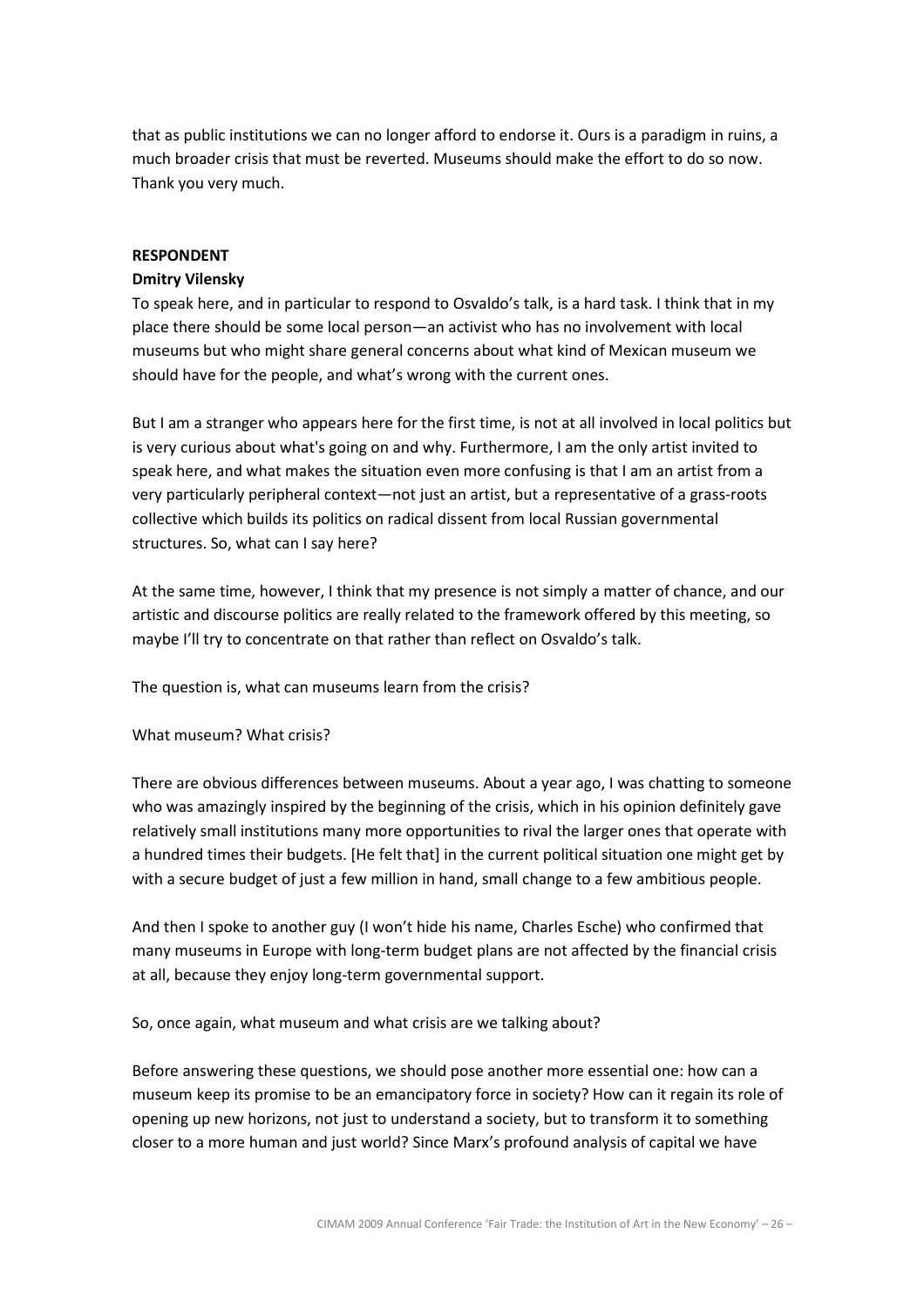that as public institutions we can no longer afford to endorse it. Ours is a paradigm in ruins, a much broader crisis that must be reverted. Museums should make the effort to do so now. Thank you very much.

### RESPONDENT

# Dmitry Vilensky

To speak here, and in particular to respond to Osvaldo's talk, is a hard task. I think that in my place there should be some local person—an activist who has no involvement with local museums but who might share general concerns about what kind of Mexican museum we should have for the people, and what's wrong with the current ones.

But I am a stranger who appears here for the first time, is not at all involved in local politics but is very curious about what's going on and why. Furthermore, I am the only artist invited to speak here, and what makes the situation even more confusing is that I am an artist from a very particularly peripheral context—not just an artist, but a representative of a grass-roots collective which builds its politics on radical dissent from local Russian governmental structures. So, what can I say here?

At the same time, however, I think that my presence is not simply a matter of chance, and our artistic and discourse politics are really related to the framework offered by this meeting, so maybe I'll try to concentrate on that rather than reflect on Osvaldo's talk.

The question is, what can museums learn from the crisis?

#### What museum? What crisis?

There are obvious differences between museums. About a year ago, I was chatting to someone who was amazingly inspired by the beginning of the crisis, which in his opinion definitely gave relatively small institutions many more opportunities to rival the larger ones that operate with a hundred times their budgets. [He felt that] in the current political situation one might get by with a secure budget of just a few million in hand, small change to a few ambitious people.

And then I spoke to another guy (I won't hide his name, Charles Esche) who confirmed that many museums in Europe with long-term budget plans are not affected by the financial crisis at all, because they enjoy long-term governmental support.

So, once again, what museum and what crisis are we talking about?

Before answering these questions, we should pose another more essential one: how can a museum keep its promise to be an emancipatory force in society? How can it regain its role of opening up new horizons, not just to understand a society, but to transform it to something closer to a more human and just world? Since Marx's profound analysis of capital we have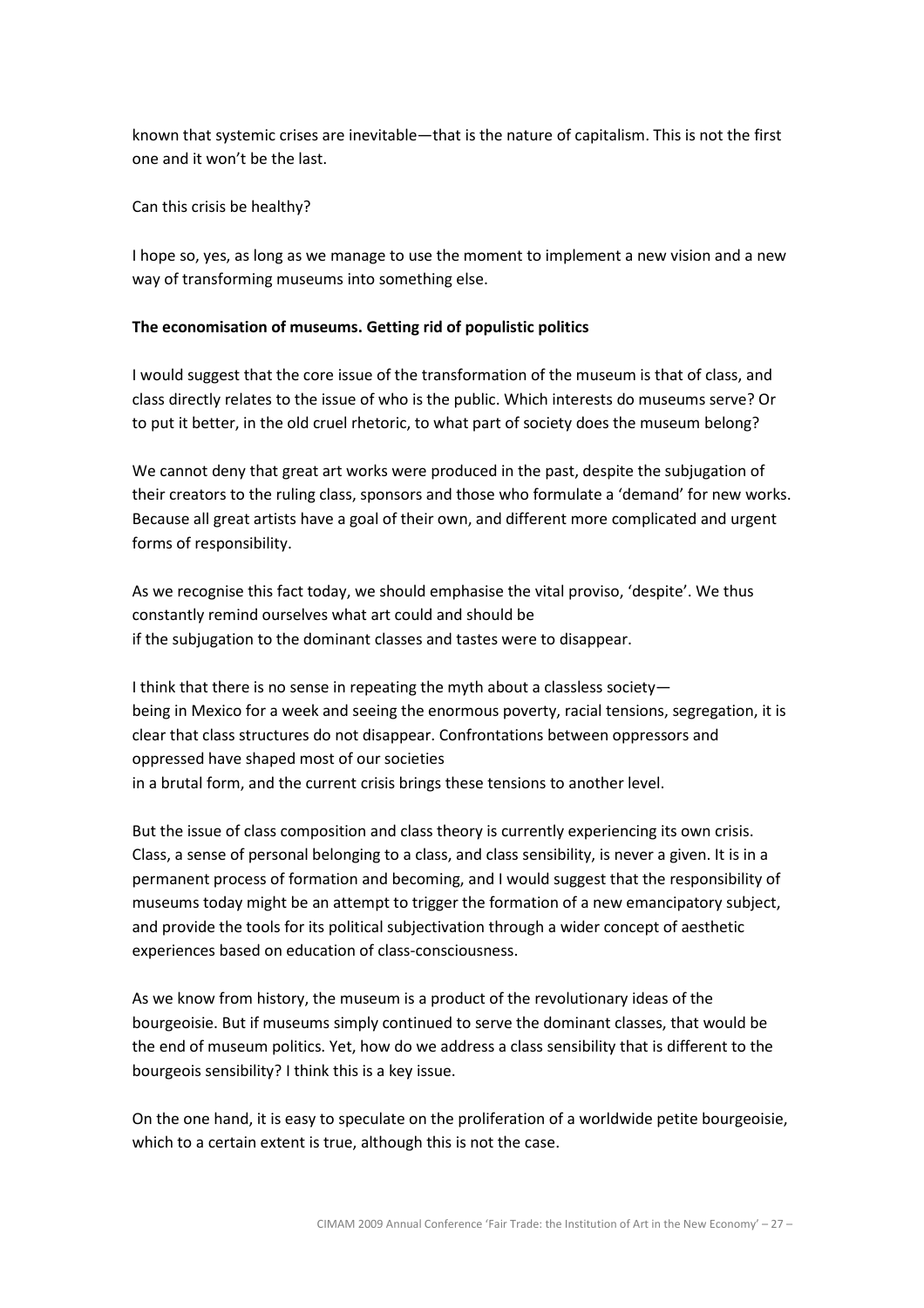known that systemic crises are inevitable—that is the nature of capitalism. This is not the first one and it won't be the last.

Can this crisis be healthy?

I hope so, yes, as long as we manage to use the moment to implement a new vision and a new way of transforming museums into something else.

### The economisation of museums. Getting rid of populistic politics

I would suggest that the core issue of the transformation of the museum is that of class, and class directly relates to the issue of who is the public. Which interests do museums serve? Or to put it better, in the old cruel rhetoric, to what part of society does the museum belong?

We cannot deny that great art works were produced in the past, despite the subjugation of their creators to the ruling class, sponsors and those who formulate a 'demand' for new works. Because all great artists have a goal of their own, and different more complicated and urgent forms of responsibility.

As we recognise this fact today, we should emphasise the vital proviso, 'despite'. We thus constantly remind ourselves what art could and should be if the subjugation to the dominant classes and tastes were to disappear.

I think that there is no sense in repeating the myth about a classless society being in Mexico for a week and seeing the enormous poverty, racial tensions, segregation, it is clear that class structures do not disappear. Confrontations between oppressors and oppressed have shaped most of our societies in a brutal form, and the current crisis brings these tensions to another level.

But the issue of class composition and class theory is currently experiencing its own crisis. Class, a sense of personal belonging to a class, and class sensibility, is never a given. It is in a permanent process of formation and becoming, and I would suggest that the responsibility of museums today might be an attempt to trigger the formation of a new emancipatory subject, and provide the tools for its political subjectivation through a wider concept of aesthetic experiences based on education of class-consciousness.

As we know from history, the museum is a product of the revolutionary ideas of the bourgeoisie. But if museums simply continued to serve the dominant classes, that would be the end of museum politics. Yet, how do we address a class sensibility that is different to the bourgeois sensibility? I think this is a key issue.

On the one hand, it is easy to speculate on the proliferation of a worldwide petite bourgeoisie, which to a certain extent is true, although this is not the case.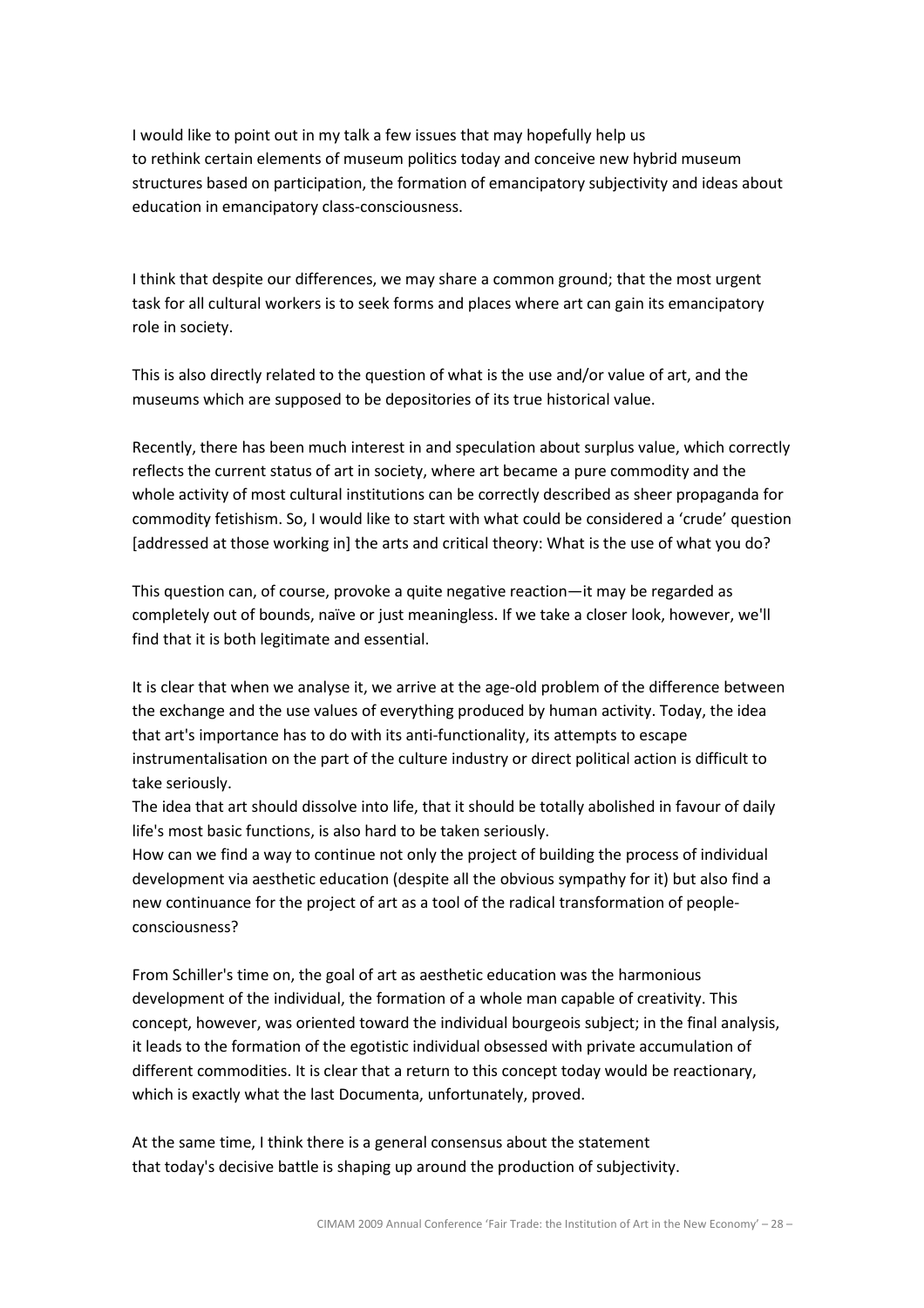I would like to point out in my talk a few issues that may hopefully help us to rethink certain elements of museum politics today and conceive new hybrid museum structures based on participation, the formation of emancipatory subjectivity and ideas about education in emancipatory class-consciousness.

I think that despite our differences, we may share a common ground; that the most urgent task for all cultural workers is to seek forms and places where art can gain its emancipatory role in society.

This is also directly related to the question of what is the use and/or value of art, and the museums which are supposed to be depositories of its true historical value.

Recently, there has been much interest in and speculation about surplus value, which correctly reflects the current status of art in society, where art became a pure commodity and the whole activity of most cultural institutions can be correctly described as sheer propaganda for commodity fetishism. So, I would like to start with what could be considered a 'crude' question [addressed at those working in] the arts and critical theory: What is the use of what you do?

This question can, of course, provoke a quite negative reaction—it may be regarded as completely out of bounds, naïve or just meaningless. If we take a closer look, however, we'll find that it is both legitimate and essential.

It is clear that when we analyse it, we arrive at the age-old problem of the difference between the exchange and the use values of everything produced by human activity. Today, the idea that art's importance has to do with its anti-functionality, its attempts to escape instrumentalisation on the part of the culture industry or direct political action is difficult to take seriously.

The idea that art should dissolve into life, that it should be totally abolished in favour of daily life's most basic functions, is also hard to be taken seriously.

How can we find a way to continue not only the project of building the process of individual development via aesthetic education (despite all the obvious sympathy for it) but also find a new continuance for the project of art as a tool of the radical transformation of peopleconsciousness?

From Schiller's time on, the goal of art as aesthetic education was the harmonious development of the individual, the formation of a whole man capable of creativity. This concept, however, was oriented toward the individual bourgeois subject; in the final analysis, it leads to the formation of the egotistic individual obsessed with private accumulation of different commodities. It is clear that a return to this concept today would be reactionary, which is exactly what the last Documenta, unfortunately, proved.

At the same time, I think there is a general consensus about the statement that today's decisive battle is shaping up around the production of subjectivity.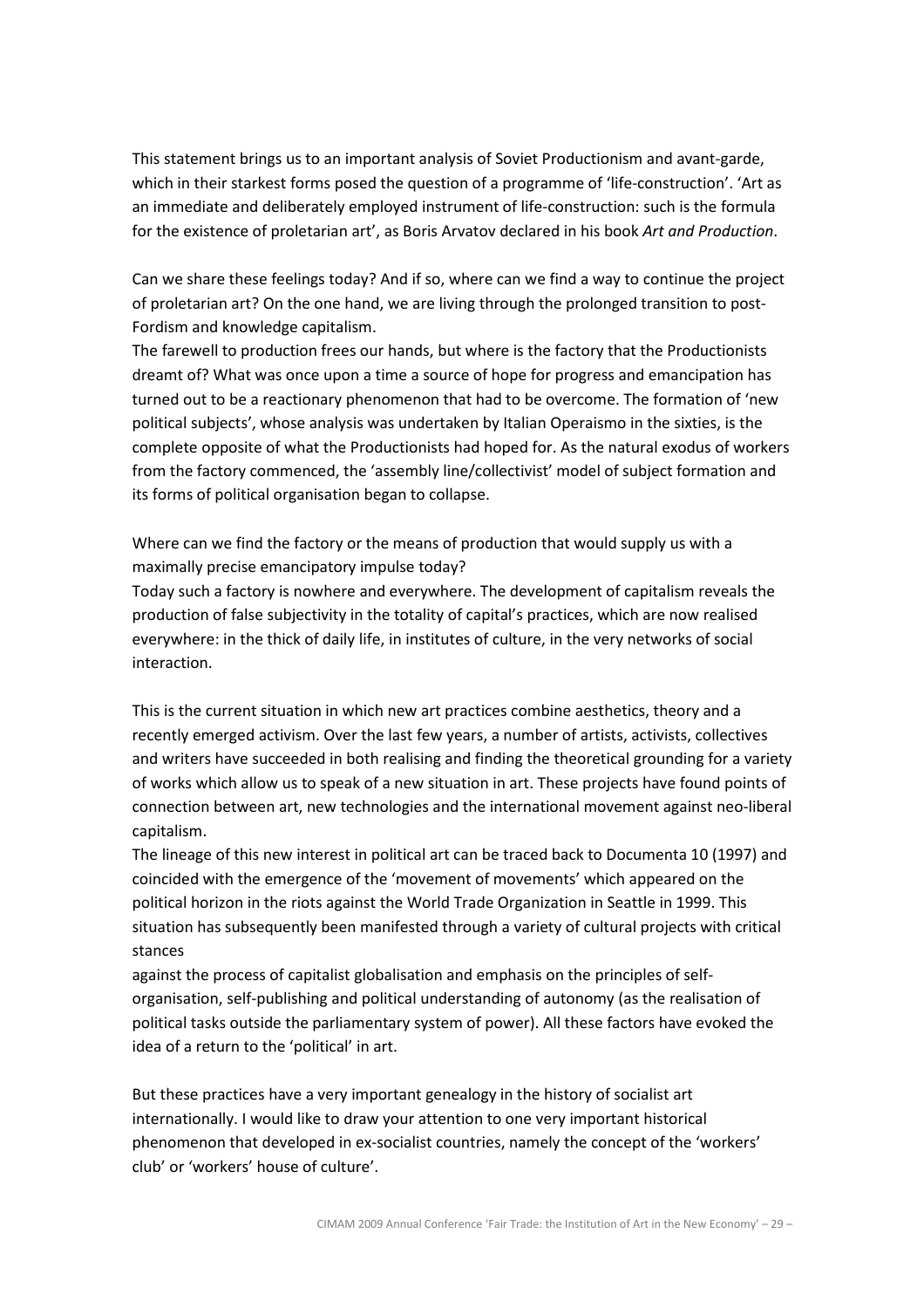This statement brings us to an important analysis of Soviet Productionism and avant-garde, which in their starkest forms posed the question of a programme of 'life-construction'. 'Art as an immediate and deliberately employed instrument of life-construction: such is the formula for the existence of proletarian art', as Boris Arvatov declared in his book Art and Production.

Can we share these feelings today? And if so, where can we find a way to continue the project of proletarian art? On the one hand, we are living through the prolonged transition to post-Fordism and knowledge capitalism.

The farewell to production frees our hands, but where is the factory that the Productionists dreamt of? What was once upon a time a source of hope for progress and emancipation has turned out to be a reactionary phenomenon that had to be overcome. The formation of 'new political subjects', whose analysis was undertaken by Italian Operaismo in the sixties, is the complete opposite of what the Productionists had hoped for. As the natural exodus of workers from the factory commenced, the 'assembly line/collectivist' model of subject formation and its forms of political organisation began to collapse.

Where can we find the factory or the means of production that would supply us with a maximally precise emancipatory impulse today?

Today such a factory is nowhere and everywhere. The development of capitalism reveals the production of false subjectivity in the totality of capital's practices, which are now realised everywhere: in the thick of daily life, in institutes of culture, in the very networks of social interaction.

This is the current situation in which new art practices combine aesthetics, theory and a recently emerged activism. Over the last few years, a number of artists, activists, collectives and writers have succeeded in both realising and finding the theoretical grounding for a variety of works which allow us to speak of a new situation in art. These projects have found points of connection between art, new technologies and the international movement against neo-liberal capitalism.

The lineage of this new interest in political art can be traced back to Documenta 10 (1997) and coincided with the emergence of the 'movement of movements' which appeared on the political horizon in the riots against the World Trade Organization in Seattle in 1999. This situation has subsequently been manifested through a variety of cultural projects with critical stances

against the process of capitalist globalisation and emphasis on the principles of selforganisation, self-publishing and political understanding of autonomy (as the realisation of political tasks outside the parliamentary system of power). All these factors have evoked the idea of a return to the 'political' in art.

But these practices have a very important genealogy in the history of socialist art internationally. I would like to draw your attention to one very important historical phenomenon that developed in ex-socialist countries, namely the concept of the 'workers' club' or 'workers' house of culture'.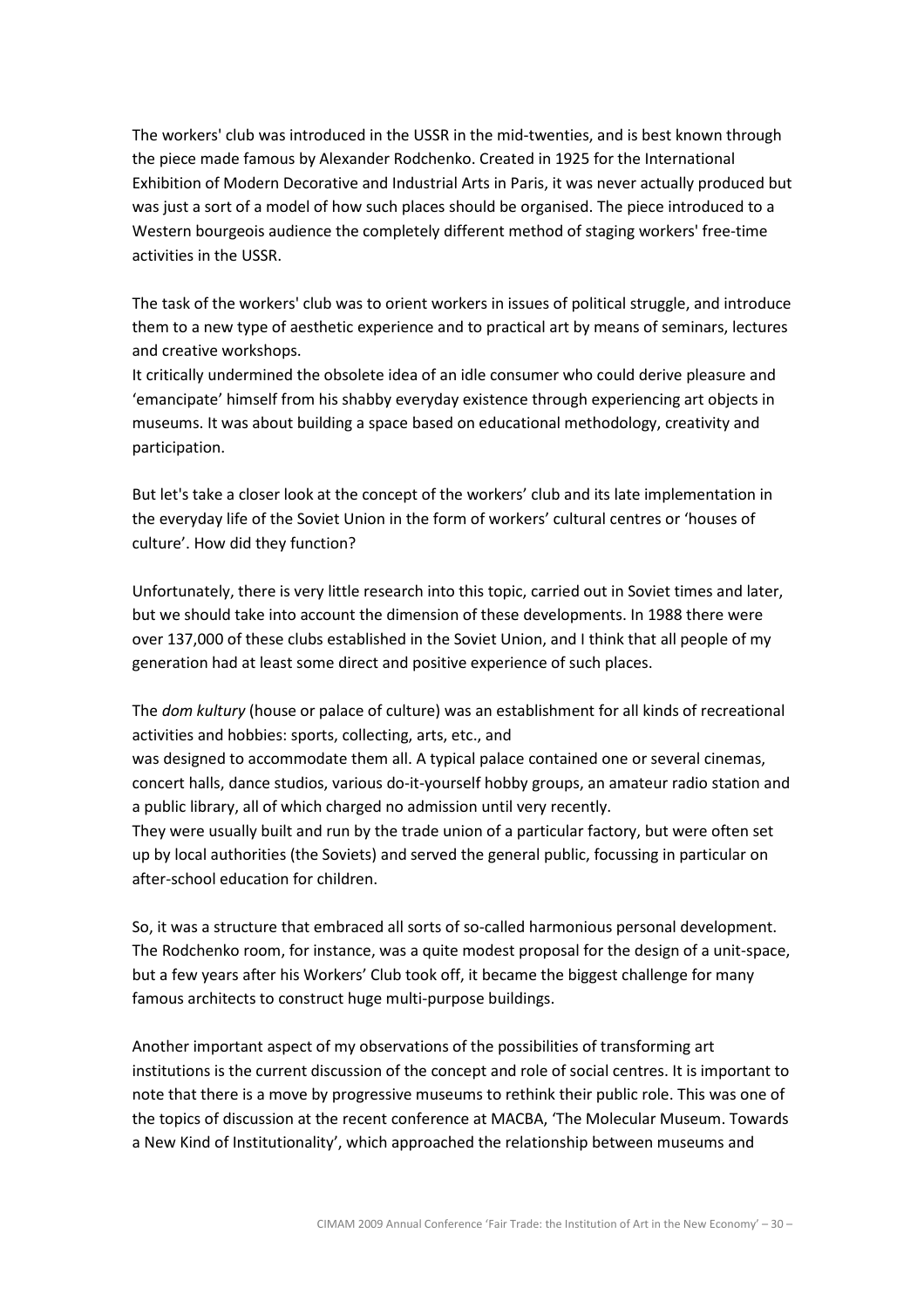The workers' club was introduced in the USSR in the mid-twenties, and is best known through the piece made famous by Alexander Rodchenko. Created in 1925 for the International Exhibition of Modern Decorative and Industrial Arts in Paris, it was never actually produced but was just a sort of a model of how such places should be organised. The piece introduced to a Western bourgeois audience the completely different method of staging workers' free-time activities in the USSR.

The task of the workers' club was to orient workers in issues of political struggle, and introduce them to a new type of aesthetic experience and to practical art by means of seminars, lectures and creative workshops.

It critically undermined the obsolete idea of an idle consumer who could derive pleasure and 'emancipate' himself from his shabby everyday existence through experiencing art objects in museums. It was about building a space based on educational methodology, creativity and participation.

But let's take a closer look at the concept of the workers' club and its late implementation in the everyday life of the Soviet Union in the form of workers' cultural centres or 'houses of culture'. How did they function?

Unfortunately, there is very little research into this topic, carried out in Soviet times and later, but we should take into account the dimension of these developments. In 1988 there were over 137,000 of these clubs established in the Soviet Union, and I think that all people of my generation had at least some direct and positive experience of such places.

The dom kultury (house or palace of culture) was an establishment for all kinds of recreational activities and hobbies: sports, collecting, arts, etc., and

was designed to accommodate them all. A typical palace contained one or several cinemas, concert halls, dance studios, various do-it-yourself hobby groups, an amateur radio station and a public library, all of which charged no admission until very recently.

They were usually built and run by the trade union of a particular factory, but were often set up by local authorities (the Soviets) and served the general public, focussing in particular on after-school education for children.

So, it was a structure that embraced all sorts of so-called harmonious personal development. The Rodchenko room, for instance, was a quite modest proposal for the design of a unit-space, but a few years after his Workers' Club took off, it became the biggest challenge for many famous architects to construct huge multi-purpose buildings.

Another important aspect of my observations of the possibilities of transforming art institutions is the current discussion of the concept and role of social centres. It is important to note that there is a move by progressive museums to rethink their public role. This was one of the topics of discussion at the recent conference at MACBA, 'The Molecular Museum. Towards a New Kind of Institutionality', which approached the relationship between museums and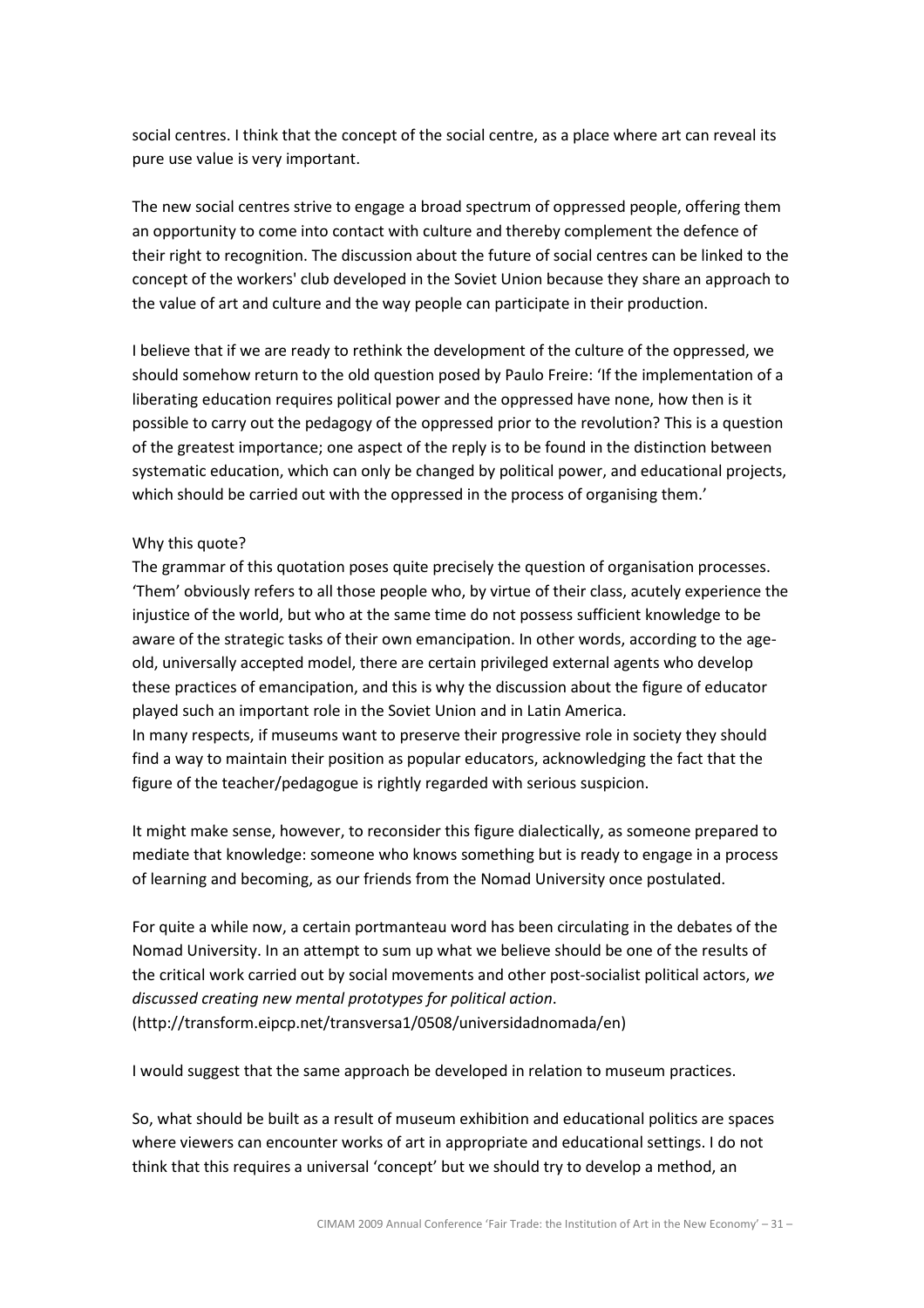social centres. I think that the concept of the social centre, as a place where art can reveal its pure use value is very important.

The new social centres strive to engage a broad spectrum of oppressed people, offering them an opportunity to come into contact with culture and thereby complement the defence of their right to recognition. The discussion about the future of social centres can be linked to the concept of the workers' club developed in the Soviet Union because they share an approach to the value of art and culture and the way people can participate in their production.

I believe that if we are ready to rethink the development of the culture of the oppressed, we should somehow return to the old question posed by Paulo Freire: 'If the implementation of a liberating education requires political power and the oppressed have none, how then is it possible to carry out the pedagogy of the oppressed prior to the revolution? This is a question of the greatest importance; one aspect of the reply is to be found in the distinction between systematic education, which can only be changed by political power, and educational projects, which should be carried out with the oppressed in the process of organising them.'

#### Why this quote?

The grammar of this quotation poses quite precisely the question of organisation processes. 'Them' obviously refers to all those people who, by virtue of their class, acutely experience the injustice of the world, but who at the same time do not possess sufficient knowledge to be aware of the strategic tasks of their own emancipation. In other words, according to the ageold, universally accepted model, there are certain privileged external agents who develop these practices of emancipation, and this is why the discussion about the figure of educator played such an important role in the Soviet Union and in Latin America. In many respects, if museums want to preserve their progressive role in society they should

find a way to maintain their position as popular educators, acknowledging the fact that the figure of the teacher/pedagogue is rightly regarded with serious suspicion.

It might make sense, however, to reconsider this figure dialectically, as someone prepared to mediate that knowledge: someone who knows something but is ready to engage in a process of learning and becoming, as our friends from the Nomad University once postulated.

For quite a while now, a certain portmanteau word has been circulating in the debates of the Nomad University. In an attempt to sum up what we believe should be one of the results of the critical work carried out by social movements and other post-socialist political actors, we discussed creating new mental prototypes for political action. (http://transform.eipcp.net/transversa1/0508/universidadnomada/en)

I would suggest that the same approach be developed in relation to museum practices.

So, what should be built as a result of museum exhibition and educational politics are spaces where viewers can encounter works of art in appropriate and educational settings. I do not think that this requires a universal 'concept' but we should try to develop a method, an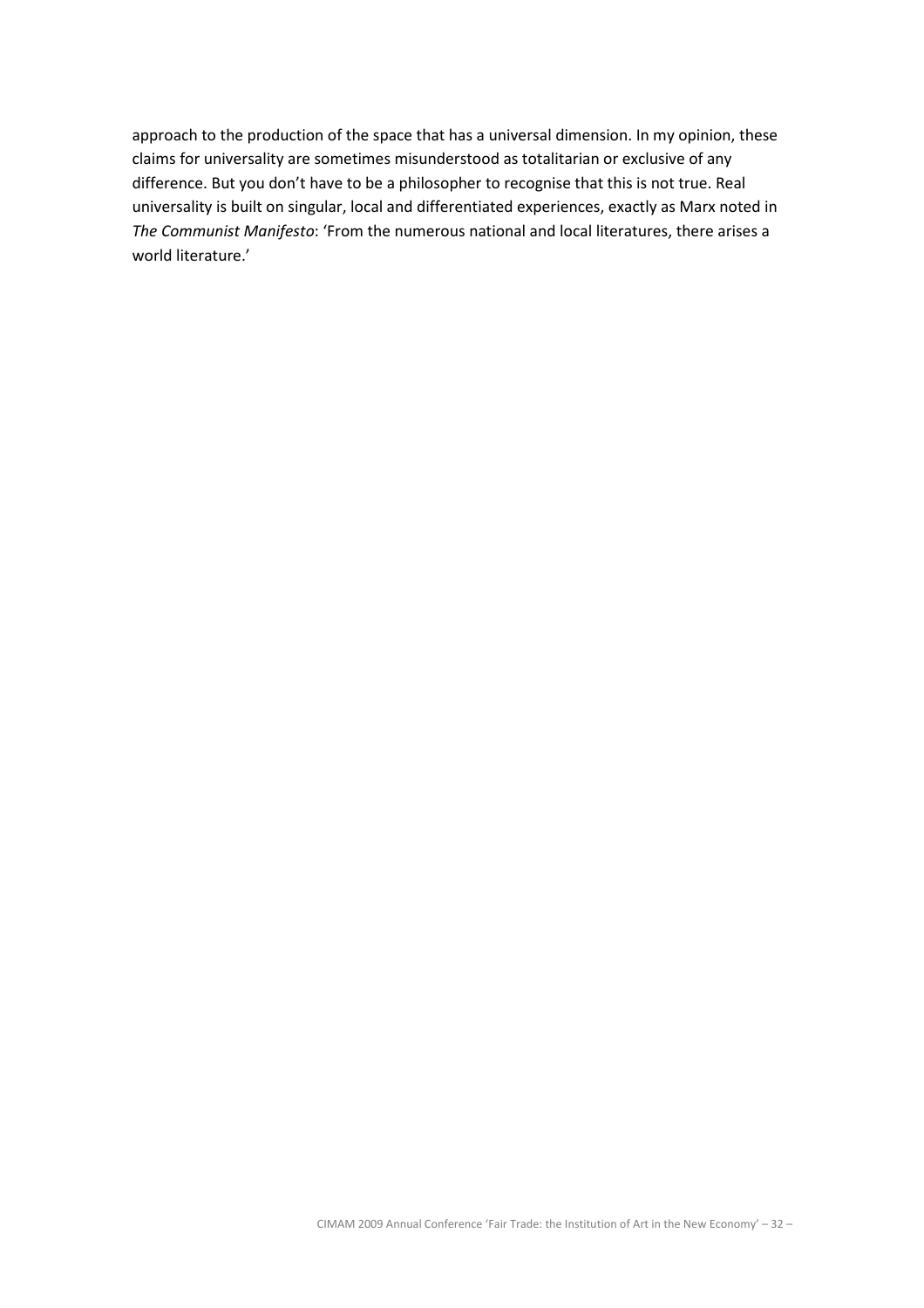approach to the production of the space that has a universal dimension. In my opinion, these claims for universality are sometimes misunderstood as totalitarian or exclusive of any difference. But you don't have to be a philosopher to recognise that this is not true. Real universality is built on singular, local and differentiated experiences, exactly as Marx noted in The Communist Manifesto: 'From the numerous national and local literatures, there arises a world literature.'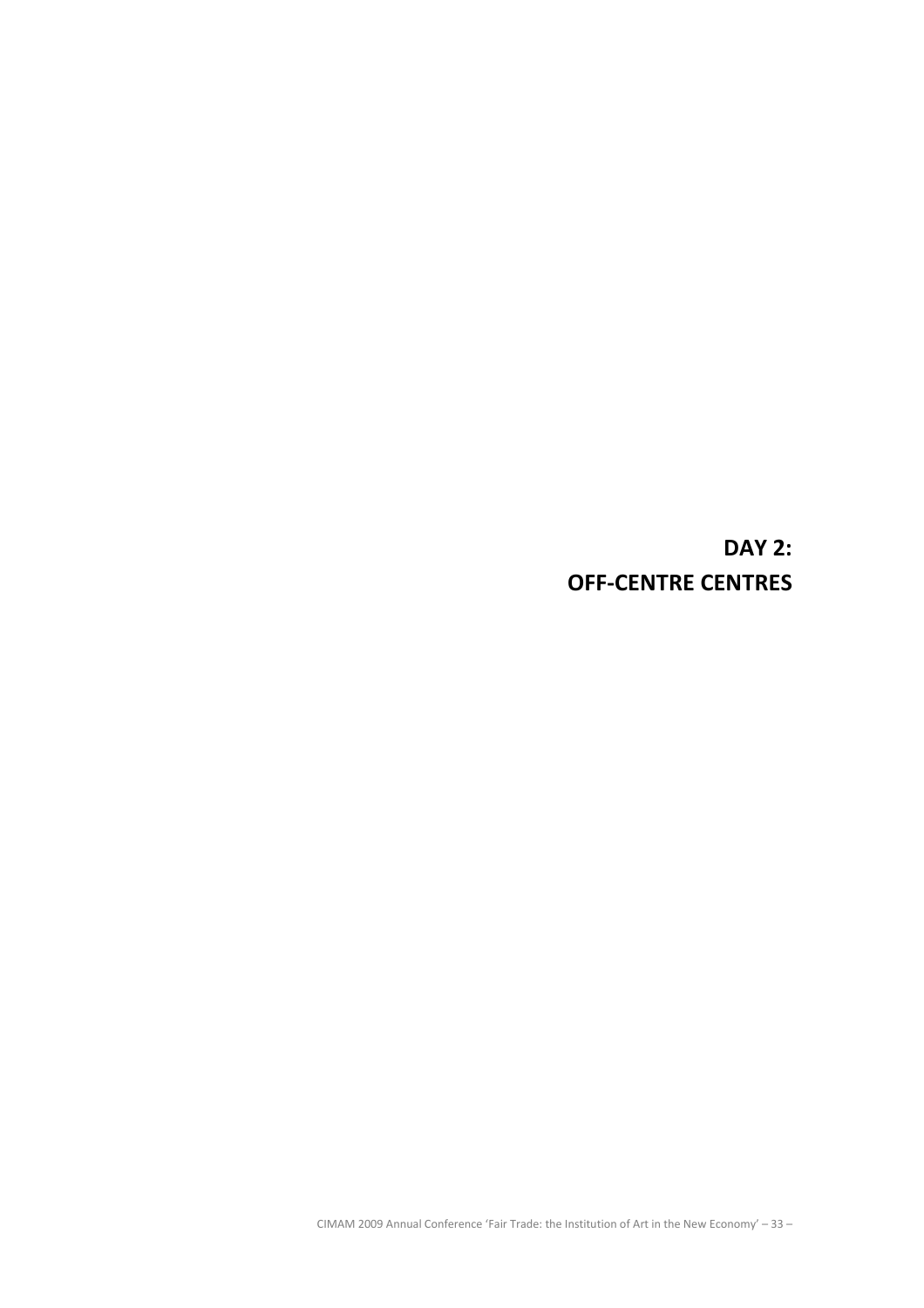DAY 2: OFF-CENTRE CENTRES

CIMAM 2009 Annual Conference 'Fair Trade: the Institution of Art in the New Economy' – 33 –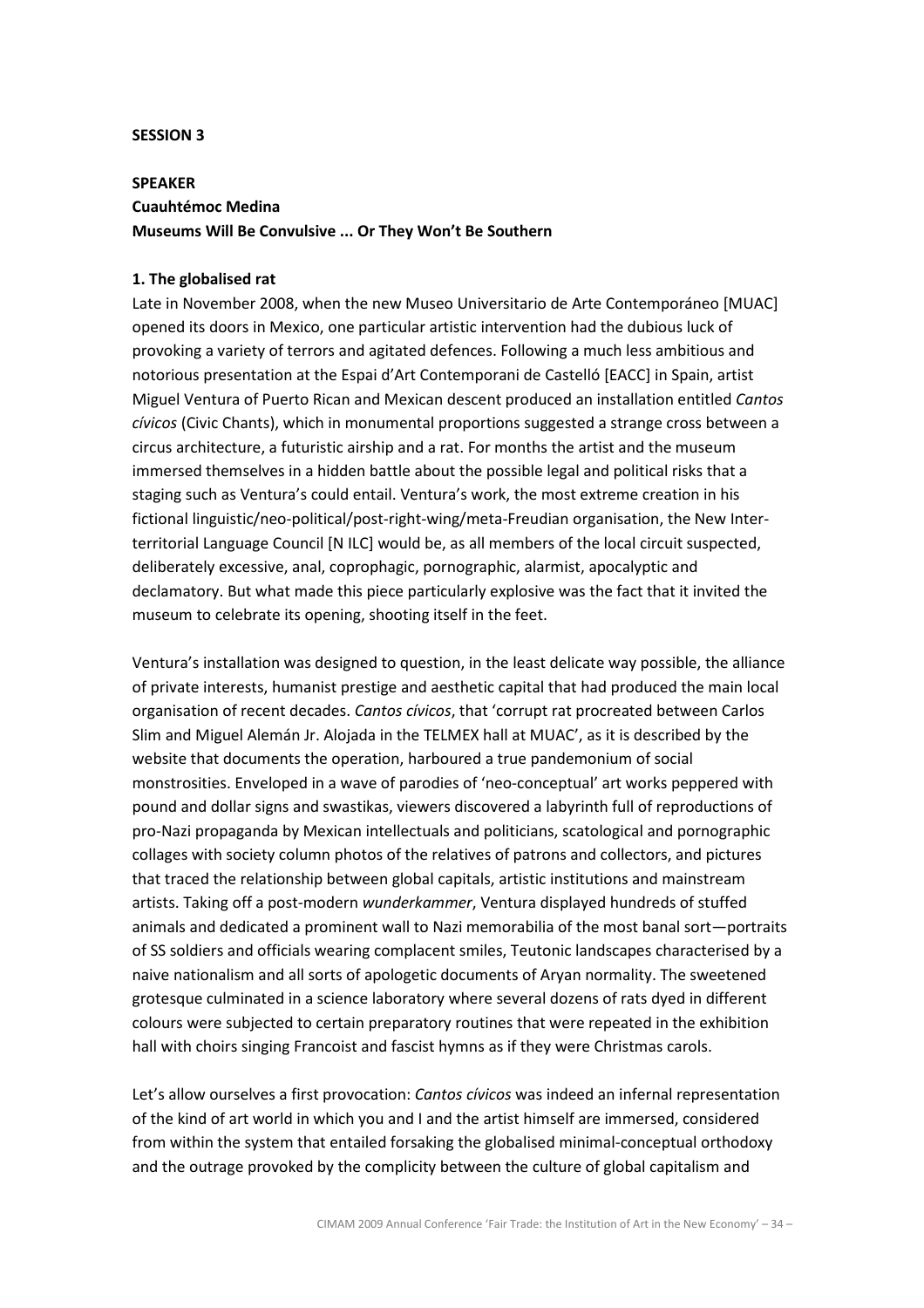#### SESSION 3

# SPEAKER Cuauhtémoc Medina Museums Will Be Convulsive ... Or They Won't Be Southern

### 1. The globalised rat

Late in November 2008, when the new Museo Universitario de Arte Contemporáneo [MUAC] opened its doors in Mexico, one particular artistic intervention had the dubious luck of provoking a variety of terrors and agitated defences. Following a much less ambitious and notorious presentation at the Espai d'Art Contemporani de Castelló [EACC] in Spain, artist Miguel Ventura of Puerto Rican and Mexican descent produced an installation entitled Cantos cívicos (Civic Chants), which in monumental proportions suggested a strange cross between a circus architecture, a futuristic airship and a rat. For months the artist and the museum immersed themselves in a hidden battle about the possible legal and political risks that a staging such as Ventura's could entail. Ventura's work, the most extreme creation in his fictional linguistic/neo-political/post-right-wing/meta-Freudian organisation, the New Interterritorial Language Council [N ILC] would be, as all members of the local circuit suspected, deliberately excessive, anal, coprophagic, pornographic, alarmist, apocalyptic and declamatory. But what made this piece particularly explosive was the fact that it invited the museum to celebrate its opening, shooting itself in the feet.

Ventura's installation was designed to question, in the least delicate way possible, the alliance of private interests, humanist prestige and aesthetic capital that had produced the main local organisation of recent decades. Cantos cívicos, that 'corrupt rat procreated between Carlos Slim and Miguel Alemán Jr. Alojada in the TELMEX hall at MUAC', as it is described by the website that documents the operation, harboured a true pandemonium of social monstrosities. Enveloped in a wave of parodies of 'neo-conceptual' art works peppered with pound and dollar signs and swastikas, viewers discovered a labyrinth full of reproductions of pro-Nazi propaganda by Mexican intellectuals and politicians, scatological and pornographic collages with society column photos of the relatives of patrons and collectors, and pictures that traced the relationship between global capitals, artistic institutions and mainstream artists. Taking off a post-modern wunderkammer, Ventura displayed hundreds of stuffed animals and dedicated a prominent wall to Nazi memorabilia of the most banal sort—portraits of SS soldiers and officials wearing complacent smiles, Teutonic landscapes characterised by a naive nationalism and all sorts of apologetic documents of Aryan normality. The sweetened grotesque culminated in a science laboratory where several dozens of rats dyed in different colours were subjected to certain preparatory routines that were repeated in the exhibition hall with choirs singing Francoist and fascist hymns as if they were Christmas carols.

Let's allow ourselves a first provocation: Cantos cívicos was indeed an infernal representation of the kind of art world in which you and I and the artist himself are immersed, considered from within the system that entailed forsaking the globalised minimal-conceptual orthodoxy and the outrage provoked by the complicity between the culture of global capitalism and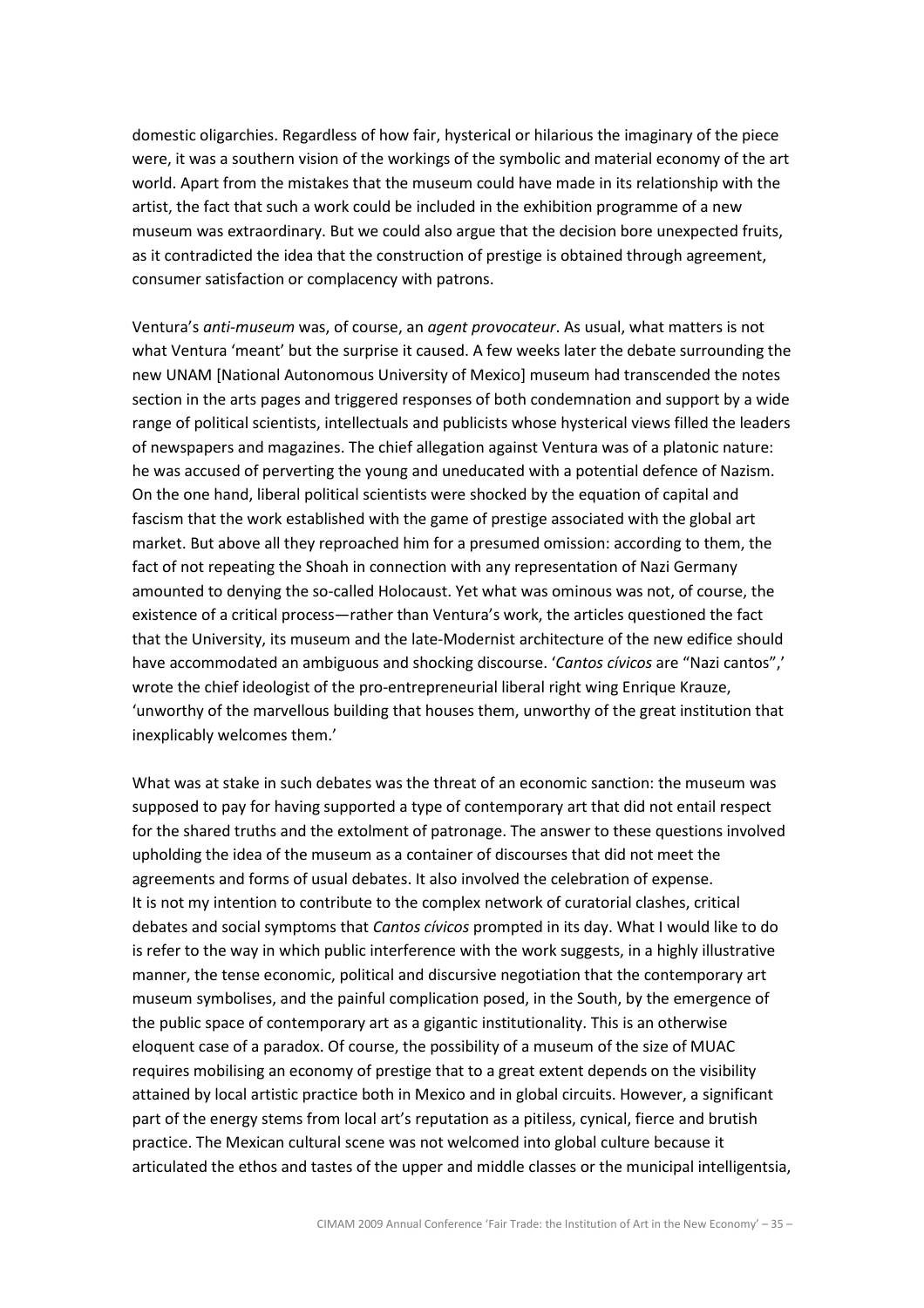domestic oligarchies. Regardless of how fair, hysterical or hilarious the imaginary of the piece were, it was a southern vision of the workings of the symbolic and material economy of the art world. Apart from the mistakes that the museum could have made in its relationship with the artist, the fact that such a work could be included in the exhibition programme of a new museum was extraordinary. But we could also argue that the decision bore unexpected fruits, as it contradicted the idea that the construction of prestige is obtained through agreement, consumer satisfaction or complacency with patrons.

Ventura's anti-museum was, of course, an agent provocateur. As usual, what matters is not what Ventura 'meant' but the surprise it caused. A few weeks later the debate surrounding the new UNAM [National Autonomous University of Mexico] museum had transcended the notes section in the arts pages and triggered responses of both condemnation and support by a wide range of political scientists, intellectuals and publicists whose hysterical views filled the leaders of newspapers and magazines. The chief allegation against Ventura was of a platonic nature: he was accused of perverting the young and uneducated with a potential defence of Nazism. On the one hand, liberal political scientists were shocked by the equation of capital and fascism that the work established with the game of prestige associated with the global art market. But above all they reproached him for a presumed omission: according to them, the fact of not repeating the Shoah in connection with any representation of Nazi Germany amounted to denying the so-called Holocaust. Yet what was ominous was not, of course, the existence of a critical process—rather than Ventura's work, the articles questioned the fact that the University, its museum and the late-Modernist architecture of the new edifice should have accommodated an ambiguous and shocking discourse. 'Cantos cívicos are "Nazi cantos",' wrote the chief ideologist of the pro-entrepreneurial liberal right wing Enrique Krauze, 'unworthy of the marvellous building that houses them, unworthy of the great institution that inexplicably welcomes them.'

What was at stake in such debates was the threat of an economic sanction: the museum was supposed to pay for having supported a type of contemporary art that did not entail respect for the shared truths and the extolment of patronage. The answer to these questions involved upholding the idea of the museum as a container of discourses that did not meet the agreements and forms of usual debates. It also involved the celebration of expense. It is not my intention to contribute to the complex network of curatorial clashes, critical debates and social symptoms that *Cantos cívicos* prompted in its day. What I would like to do is refer to the way in which public interference with the work suggests, in a highly illustrative manner, the tense economic, political and discursive negotiation that the contemporary art museum symbolises, and the painful complication posed, in the South, by the emergence of the public space of contemporary art as a gigantic institutionality. This is an otherwise eloquent case of a paradox. Of course, the possibility of a museum of the size of MUAC requires mobilising an economy of prestige that to a great extent depends on the visibility attained by local artistic practice both in Mexico and in global circuits. However, a significant part of the energy stems from local art's reputation as a pitiless, cynical, fierce and brutish practice. The Mexican cultural scene was not welcomed into global culture because it articulated the ethos and tastes of the upper and middle classes or the municipal intelligentsia,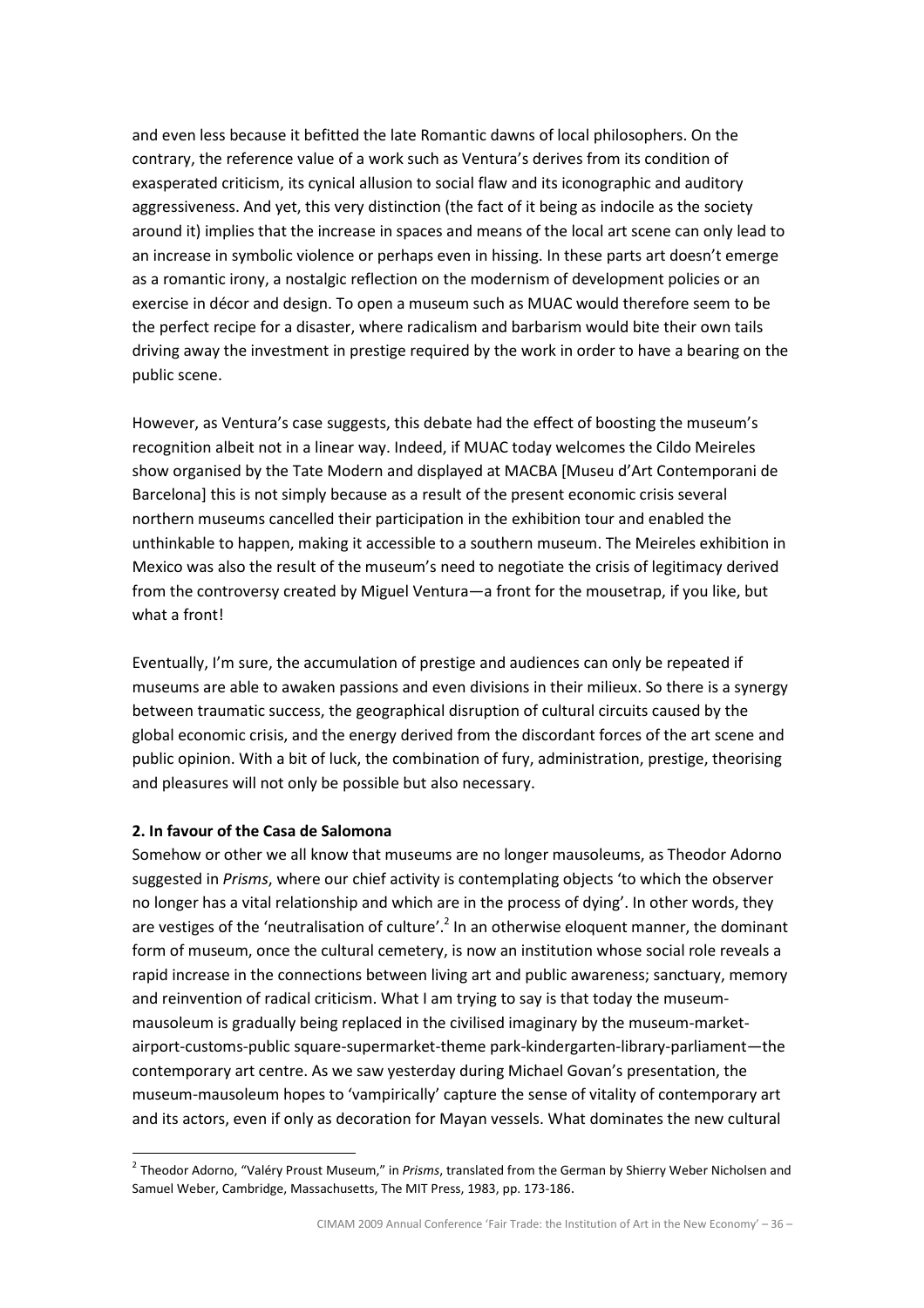and even less because it befitted the late Romantic dawns of local philosophers. On the contrary, the reference value of a work such as Ventura's derives from its condition of exasperated criticism, its cynical allusion to social flaw and its iconographic and auditory aggressiveness. And yet, this very distinction (the fact of it being as indocile as the society around it) implies that the increase in spaces and means of the local art scene can only lead to an increase in symbolic violence or perhaps even in hissing. In these parts art doesn't emerge as a romantic irony, a nostalgic reflection on the modernism of development policies or an exercise in décor and design. To open a museum such as MUAC would therefore seem to be the perfect recipe for a disaster, where radicalism and barbarism would bite their own tails driving away the investment in prestige required by the work in order to have a bearing on the public scene.

However, as Ventura's case suggests, this debate had the effect of boosting the museum's recognition albeit not in a linear way. Indeed, if MUAC today welcomes the Cildo Meireles show organised by the Tate Modern and displayed at MACBA [Museu d'Art Contemporani de Barcelona] this is not simply because as a result of the present economic crisis several northern museums cancelled their participation in the exhibition tour and enabled the unthinkable to happen, making it accessible to a southern museum. The Meireles exhibition in Mexico was also the result of the museum's need to negotiate the crisis of legitimacy derived from the controversy created by Miguel Ventura—a front for the mousetrap, if you like, but what a front!

Eventually, I'm sure, the accumulation of prestige and audiences can only be repeated if museums are able to awaken passions and even divisions in their milieux. So there is a synergy between traumatic success, the geographical disruption of cultural circuits caused by the global economic crisis, and the energy derived from the discordant forces of the art scene and public opinion. With a bit of luck, the combination of fury, administration, prestige, theorising and pleasures will not only be possible but also necessary.

# 2. In favour of the Casa de Salomona

 $\overline{a}$ 

Somehow or other we all know that museums are no longer mausoleums, as Theodor Adorno suggested in Prisms, where our chief activity is contemplating objects 'to which the observer no longer has a vital relationship and which are in the process of dying'. In other words, they are vestiges of the 'neutralisation of culture'.<sup>2</sup> In an otherwise eloquent manner, the dominant form of museum, once the cultural cemetery, is now an institution whose social role reveals a rapid increase in the connections between living art and public awareness; sanctuary, memory and reinvention of radical criticism. What I am trying to say is that today the museummausoleum is gradually being replaced in the civilised imaginary by the museum-marketairport-customs-public square-supermarket-theme park-kindergarten-library-parliament—the contemporary art centre. As we saw yesterday during Michael Govan's presentation, the museum-mausoleum hopes to 'vampirically' capture the sense of vitality of contemporary art and its actors, even if only as decoration for Mayan vessels. What dominates the new cultural

<sup>&</sup>lt;sup>2</sup> Theodor Adorno, "Valéry Proust Museum," in Prisms, translated from the German by Shierry Weber Nicholsen and Samuel Weber, Cambridge, Massachusetts, The MIT Press, 1983, pp. 173-186.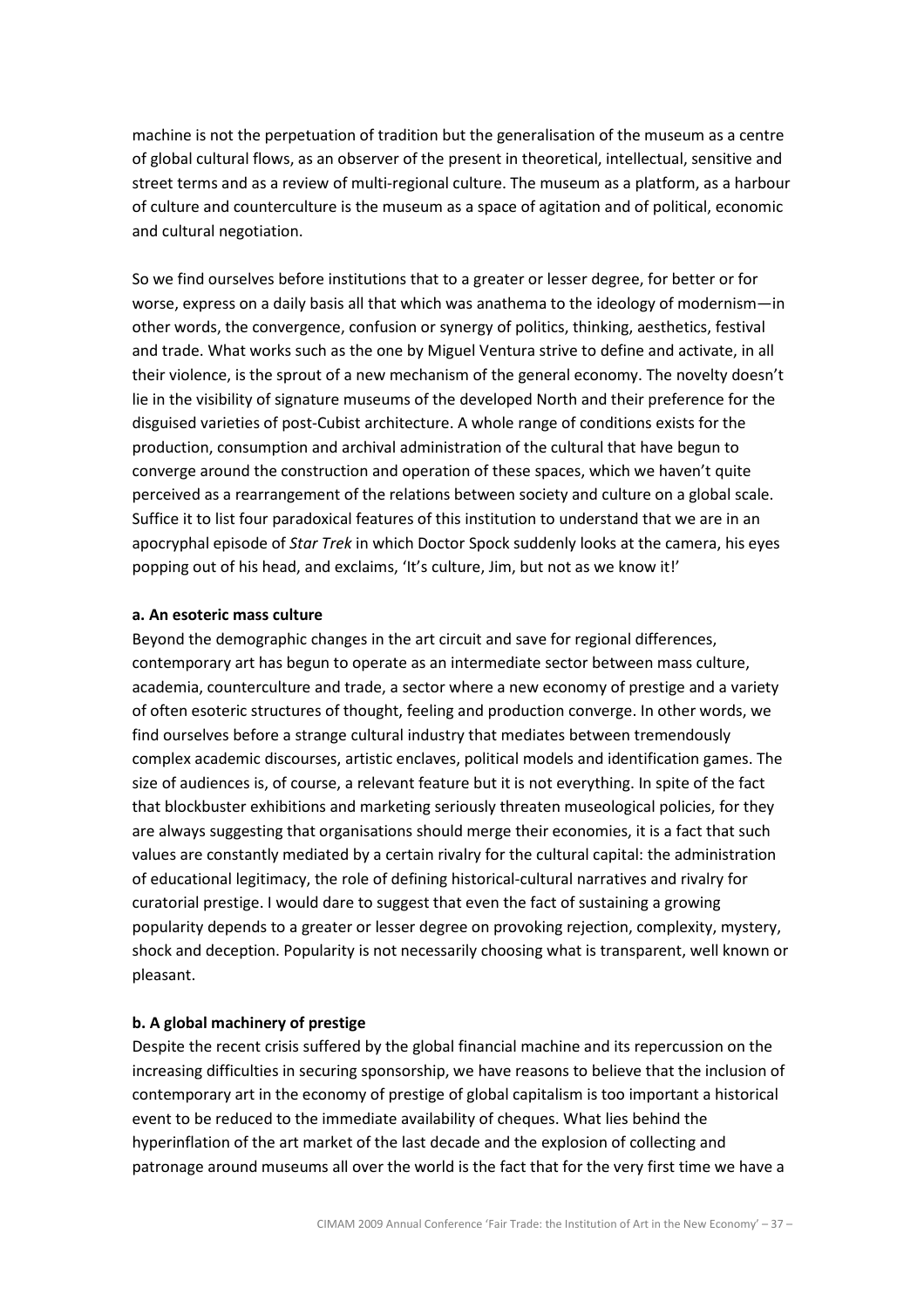machine is not the perpetuation of tradition but the generalisation of the museum as a centre of global cultural flows, as an observer of the present in theoretical, intellectual, sensitive and street terms and as a review of multi-regional culture. The museum as a platform, as a harbour of culture and counterculture is the museum as a space of agitation and of political, economic and cultural negotiation.

So we find ourselves before institutions that to a greater or lesser degree, for better or for worse, express on a daily basis all that which was anathema to the ideology of modernism—in other words, the convergence, confusion or synergy of politics, thinking, aesthetics, festival and trade. What works such as the one by Miguel Ventura strive to define and activate, in all their violence, is the sprout of a new mechanism of the general economy. The novelty doesn't lie in the visibility of signature museums of the developed North and their preference for the disguised varieties of post-Cubist architecture. A whole range of conditions exists for the production, consumption and archival administration of the cultural that have begun to converge around the construction and operation of these spaces, which we haven't quite perceived as a rearrangement of the relations between society and culture on a global scale. Suffice it to list four paradoxical features of this institution to understand that we are in an apocryphal episode of *Star Trek* in which Doctor Spock suddenly looks at the camera, his eyes popping out of his head, and exclaims, 'It's culture, Jim, but not as we know it!'

#### a. An esoteric mass culture

Beyond the demographic changes in the art circuit and save for regional differences, contemporary art has begun to operate as an intermediate sector between mass culture, academia, counterculture and trade, a sector where a new economy of prestige and a variety of often esoteric structures of thought, feeling and production converge. In other words, we find ourselves before a strange cultural industry that mediates between tremendously complex academic discourses, artistic enclaves, political models and identification games. The size of audiences is, of course, a relevant feature but it is not everything. In spite of the fact that blockbuster exhibitions and marketing seriously threaten museological policies, for they are always suggesting that organisations should merge their economies, it is a fact that such values are constantly mediated by a certain rivalry for the cultural capital: the administration of educational legitimacy, the role of defining historical-cultural narratives and rivalry for curatorial prestige. I would dare to suggest that even the fact of sustaining a growing popularity depends to a greater or lesser degree on provoking rejection, complexity, mystery, shock and deception. Popularity is not necessarily choosing what is transparent, well known or pleasant.

### b. A global machinery of prestige

Despite the recent crisis suffered by the global financial machine and its repercussion on the increasing difficulties in securing sponsorship, we have reasons to believe that the inclusion of contemporary art in the economy of prestige of global capitalism is too important a historical event to be reduced to the immediate availability of cheques. What lies behind the hyperinflation of the art market of the last decade and the explosion of collecting and patronage around museums all over the world is the fact that for the very first time we have a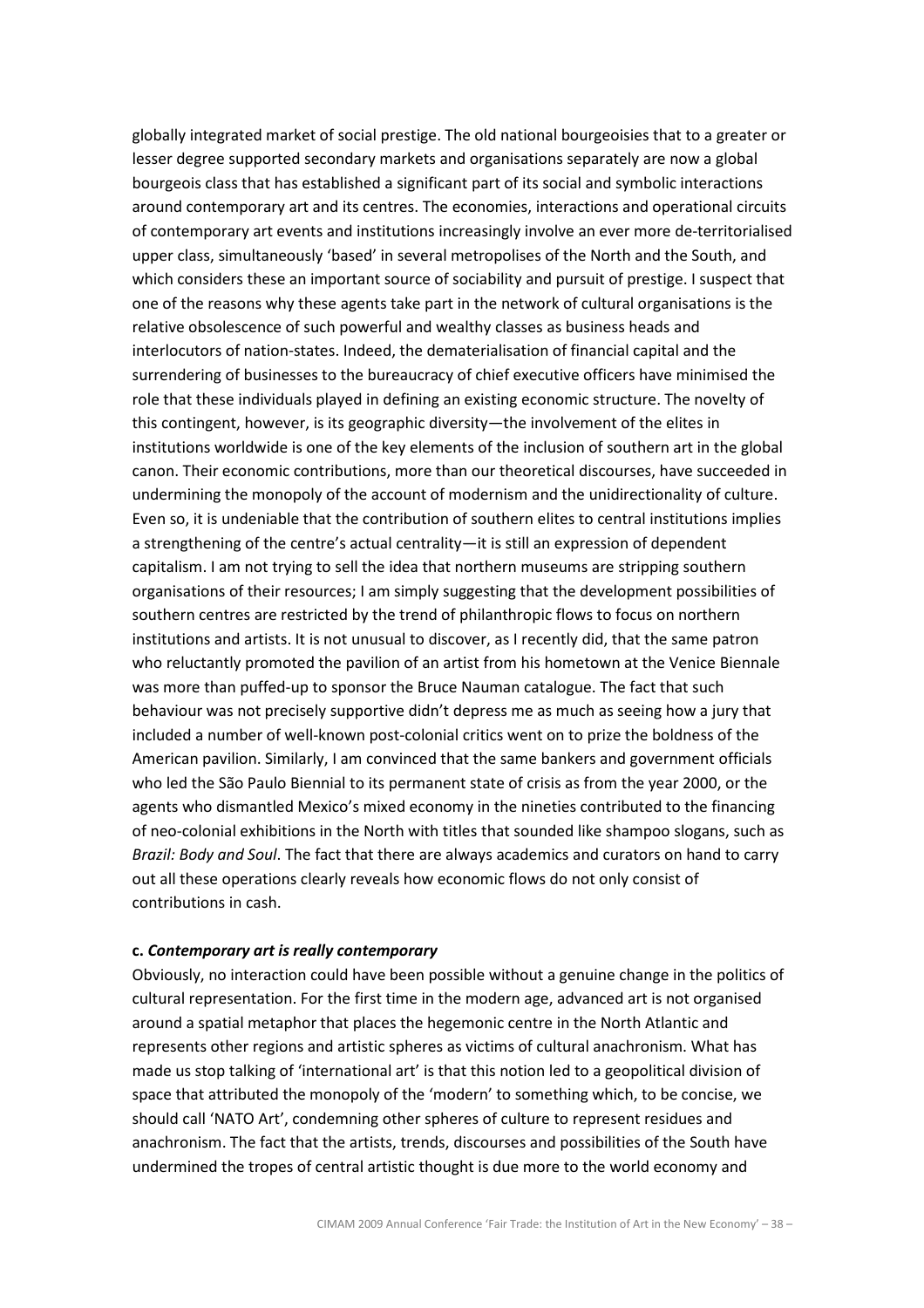globally integrated market of social prestige. The old national bourgeoisies that to a greater or lesser degree supported secondary markets and organisations separately are now a global bourgeois class that has established a significant part of its social and symbolic interactions around contemporary art and its centres. The economies, interactions and operational circuits of contemporary art events and institutions increasingly involve an ever more de-territorialised upper class, simultaneously 'based' in several metropolises of the North and the South, and which considers these an important source of sociability and pursuit of prestige. I suspect that one of the reasons why these agents take part in the network of cultural organisations is the relative obsolescence of such powerful and wealthy classes as business heads and interlocutors of nation-states. Indeed, the dematerialisation of financial capital and the surrendering of businesses to the bureaucracy of chief executive officers have minimised the role that these individuals played in defining an existing economic structure. The novelty of this contingent, however, is its geographic diversity—the involvement of the elites in institutions worldwide is one of the key elements of the inclusion of southern art in the global canon. Their economic contributions, more than our theoretical discourses, have succeeded in undermining the monopoly of the account of modernism and the unidirectionality of culture. Even so, it is undeniable that the contribution of southern elites to central institutions implies a strengthening of the centre's actual centrality—it is still an expression of dependent capitalism. I am not trying to sell the idea that northern museums are stripping southern organisations of their resources; I am simply suggesting that the development possibilities of southern centres are restricted by the trend of philanthropic flows to focus on northern institutions and artists. It is not unusual to discover, as I recently did, that the same patron who reluctantly promoted the pavilion of an artist from his hometown at the Venice Biennale was more than puffed-up to sponsor the Bruce Nauman catalogue. The fact that such behaviour was not precisely supportive didn't depress me as much as seeing how a jury that included a number of well-known post-colonial critics went on to prize the boldness of the American pavilion. Similarly, I am convinced that the same bankers and government officials who led the São Paulo Biennial to its permanent state of crisis as from the year 2000, or the agents who dismantled Mexico's mixed economy in the nineties contributed to the financing of neo-colonial exhibitions in the North with titles that sounded like shampoo slogans, such as Brazil: Body and Soul. The fact that there are always academics and curators on hand to carry out all these operations clearly reveals how economic flows do not only consist of contributions in cash.

#### c. Contemporary art is really contemporary

Obviously, no interaction could have been possible without a genuine change in the politics of cultural representation. For the first time in the modern age, advanced art is not organised around a spatial metaphor that places the hegemonic centre in the North Atlantic and represents other regions and artistic spheres as victims of cultural anachronism. What has made us stop talking of 'international art' is that this notion led to a geopolitical division of space that attributed the monopoly of the 'modern' to something which, to be concise, we should call 'NATO Art', condemning other spheres of culture to represent residues and anachronism. The fact that the artists, trends, discourses and possibilities of the South have undermined the tropes of central artistic thought is due more to the world economy and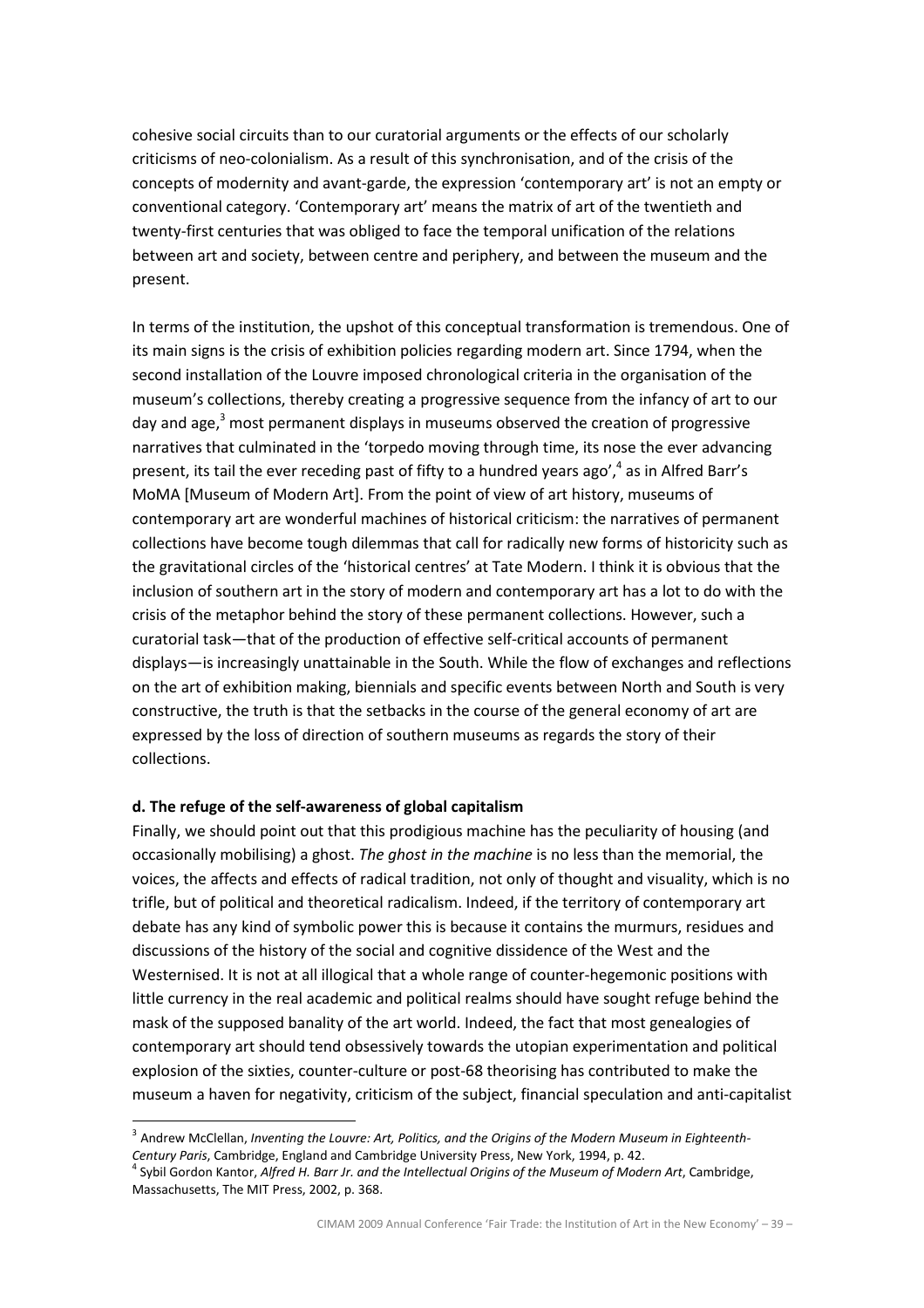cohesive social circuits than to our curatorial arguments or the effects of our scholarly criticisms of neo-colonialism. As a result of this synchronisation, and of the crisis of the concepts of modernity and avant-garde, the expression 'contemporary art' is not an empty or conventional category. 'Contemporary art' means the matrix of art of the twentieth and twenty-first centuries that was obliged to face the temporal unification of the relations between art and society, between centre and periphery, and between the museum and the present.

In terms of the institution, the upshot of this conceptual transformation is tremendous. One of its main signs is the crisis of exhibition policies regarding modern art. Since 1794, when the second installation of the Louvre imposed chronological criteria in the organisation of the museum's collections, thereby creating a progressive sequence from the infancy of art to our day and age, $3$  most permanent displays in museums observed the creation of progressive narratives that culminated in the 'torpedo moving through time, its nose the ever advancing present, its tail the ever receding past of fifty to a hundred years ago',<sup>4</sup> as in Alfred Barr's MoMA [Museum of Modern Art]. From the point of view of art history, museums of contemporary art are wonderful machines of historical criticism: the narratives of permanent collections have become tough dilemmas that call for radically new forms of historicity such as the gravitational circles of the 'historical centres' at Tate Modern. I think it is obvious that the inclusion of southern art in the story of modern and contemporary art has a lot to do with the crisis of the metaphor behind the story of these permanent collections. However, such a curatorial task—that of the production of effective self-critical accounts of permanent displays—is increasingly unattainable in the South. While the flow of exchanges and reflections on the art of exhibition making, biennials and specific events between North and South is very constructive, the truth is that the setbacks in the course of the general economy of art are expressed by the loss of direction of southern museums as regards the story of their collections.

#### d. The refuge of the self-awareness of global capitalism

l.

Finally, we should point out that this prodigious machine has the peculiarity of housing (and occasionally mobilising) a ghost. The ghost in the machine is no less than the memorial, the voices, the affects and effects of radical tradition, not only of thought and visuality, which is no trifle, but of political and theoretical radicalism. Indeed, if the territory of contemporary art debate has any kind of symbolic power this is because it contains the murmurs, residues and discussions of the history of the social and cognitive dissidence of the West and the Westernised. It is not at all illogical that a whole range of counter-hegemonic positions with little currency in the real academic and political realms should have sought refuge behind the mask of the supposed banality of the art world. Indeed, the fact that most genealogies of contemporary art should tend obsessively towards the utopian experimentation and political explosion of the sixties, counter-culture or post-68 theorising has contributed to make the museum a haven for negativity, criticism of the subject, financial speculation and anti-capitalist

 $^3$  Andrew McClellan, Inventing the Louvre: Art, Politics, and the Origins of the Modern Museum in Eighteenth-Century Paris, Cambridge, England and Cambridge University Press, New York, 1994, p. 42.

<sup>&</sup>lt;sup>4</sup> Sybil Gordon Kantor, Alfred H. Barr Jr. and the Intellectual Origins of the Museum of Modern Art, Cambridge, Massachusetts, The MIT Press, 2002, p. 368.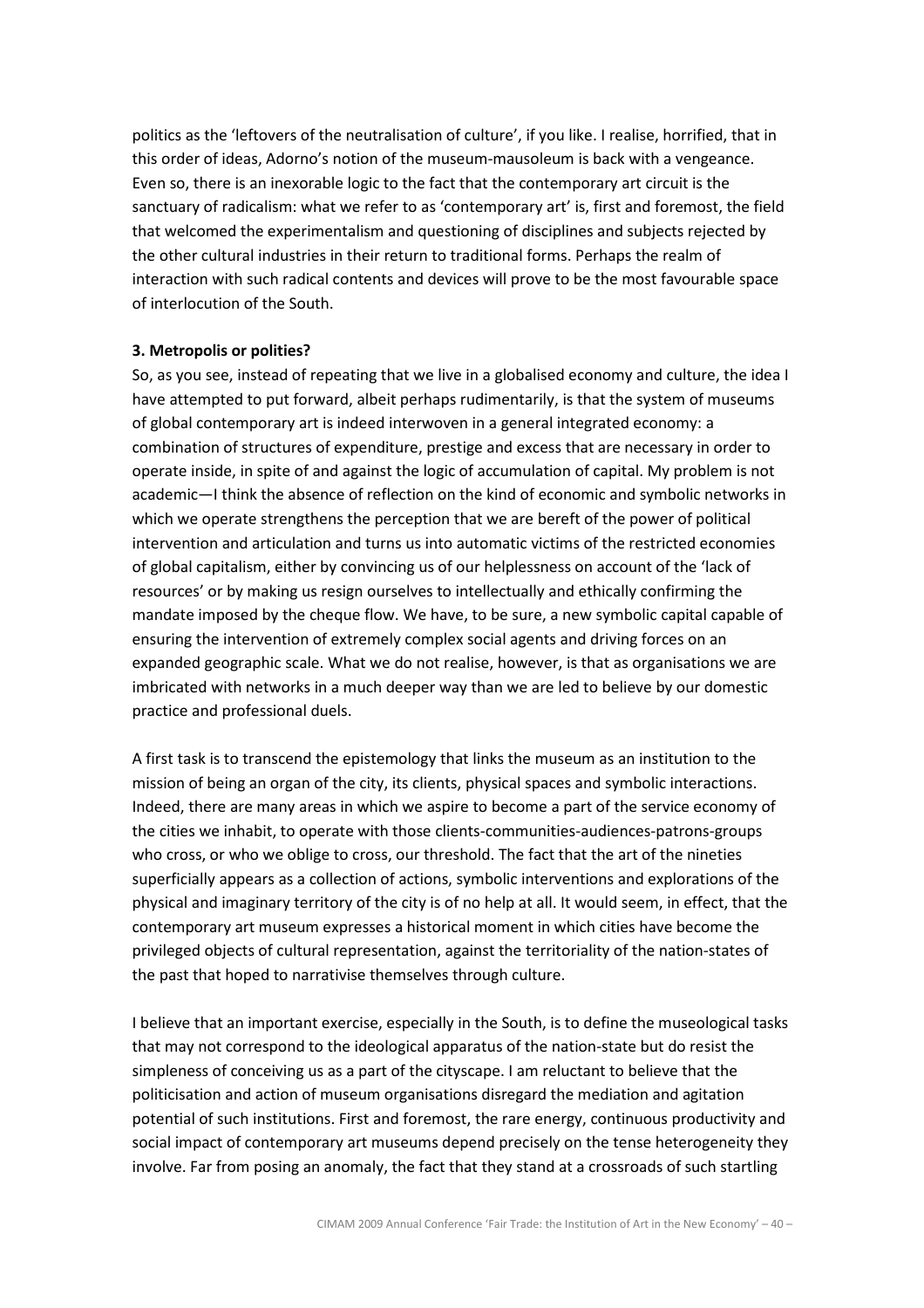politics as the 'leftovers of the neutralisation of culture', if you like. I realise, horrified, that in this order of ideas, Adorno's notion of the museum-mausoleum is back with a vengeance. Even so, there is an inexorable logic to the fact that the contemporary art circuit is the sanctuary of radicalism: what we refer to as 'contemporary art' is, first and foremost, the field that welcomed the experimentalism and questioning of disciplines and subjects rejected by the other cultural industries in their return to traditional forms. Perhaps the realm of interaction with such radical contents and devices will prove to be the most favourable space of interlocution of the South.

### 3. Metropolis or polities?

So, as you see, instead of repeating that we live in a globalised economy and culture, the idea I have attempted to put forward, albeit perhaps rudimentarily, is that the system of museums of global contemporary art is indeed interwoven in a general integrated economy: a combination of structures of expenditure, prestige and excess that are necessary in order to operate inside, in spite of and against the logic of accumulation of capital. My problem is not academic—I think the absence of reflection on the kind of economic and symbolic networks in which we operate strengthens the perception that we are bereft of the power of political intervention and articulation and turns us into automatic victims of the restricted economies of global capitalism, either by convincing us of our helplessness on account of the 'lack of resources' or by making us resign ourselves to intellectually and ethically confirming the mandate imposed by the cheque flow. We have, to be sure, a new symbolic capital capable of ensuring the intervention of extremely complex social agents and driving forces on an expanded geographic scale. What we do not realise, however, is that as organisations we are imbricated with networks in a much deeper way than we are led to believe by our domestic practice and professional duels.

A first task is to transcend the epistemology that links the museum as an institution to the mission of being an organ of the city, its clients, physical spaces and symbolic interactions. Indeed, there are many areas in which we aspire to become a part of the service economy of the cities we inhabit, to operate with those clients-communities-audiences-patrons-groups who cross, or who we oblige to cross, our threshold. The fact that the art of the nineties superficially appears as a collection of actions, symbolic interventions and explorations of the physical and imaginary territory of the city is of no help at all. It would seem, in effect, that the contemporary art museum expresses a historical moment in which cities have become the privileged objects of cultural representation, against the territoriality of the nation-states of the past that hoped to narrativise themselves through culture.

I believe that an important exercise, especially in the South, is to define the museological tasks that may not correspond to the ideological apparatus of the nation-state but do resist the simpleness of conceiving us as a part of the cityscape. I am reluctant to believe that the politicisation and action of museum organisations disregard the mediation and agitation potential of such institutions. First and foremost, the rare energy, continuous productivity and social impact of contemporary art museums depend precisely on the tense heterogeneity they involve. Far from posing an anomaly, the fact that they stand at a crossroads of such startling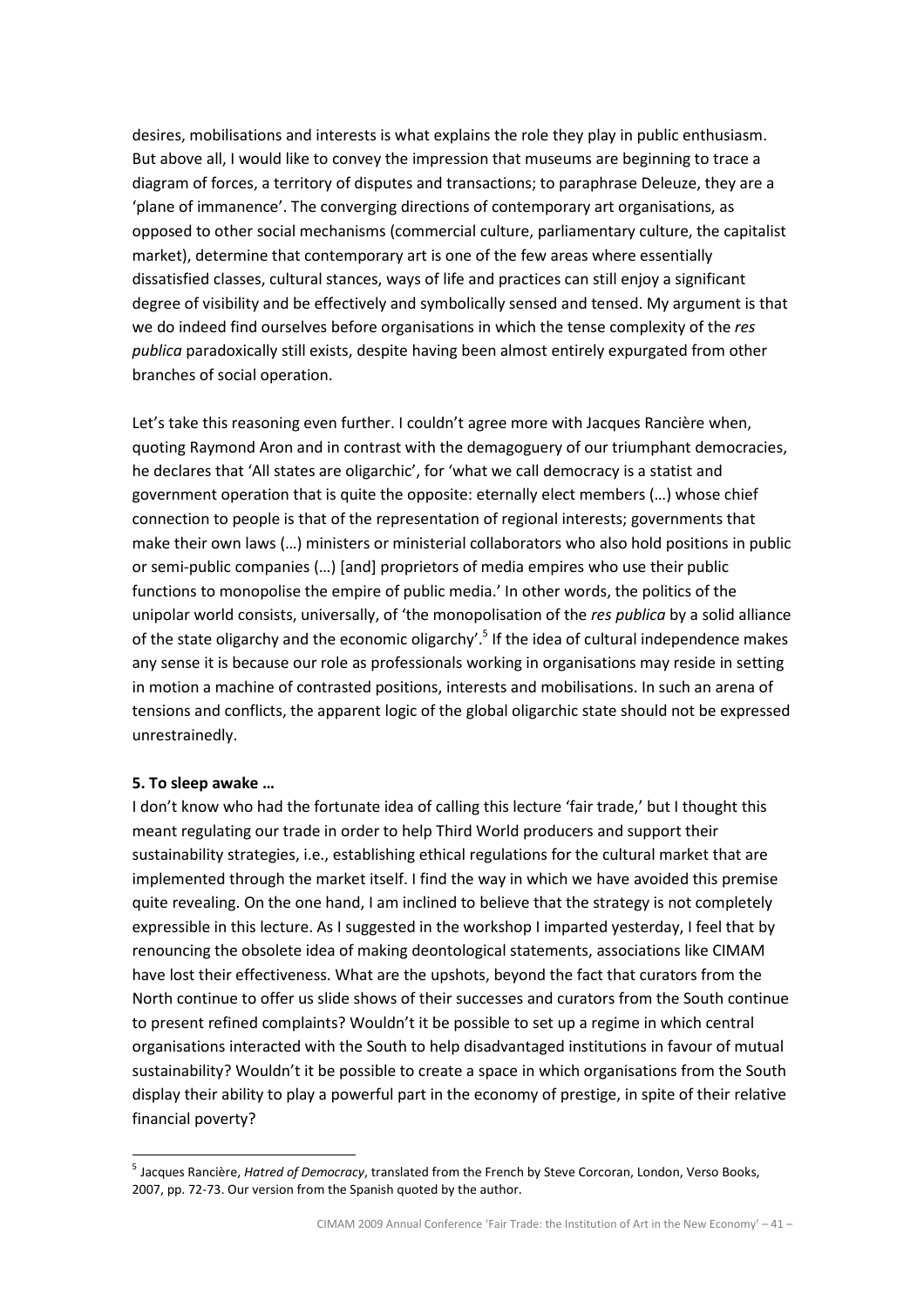desires, mobilisations and interests is what explains the role they play in public enthusiasm. But above all, I would like to convey the impression that museums are beginning to trace a diagram of forces, a territory of disputes and transactions; to paraphrase Deleuze, they are a 'plane of immanence'. The converging directions of contemporary art organisations, as opposed to other social mechanisms (commercial culture, parliamentary culture, the capitalist market), determine that contemporary art is one of the few areas where essentially dissatisfied classes, cultural stances, ways of life and practices can still enjoy a significant degree of visibility and be effectively and symbolically sensed and tensed. My argument is that we do indeed find ourselves before organisations in which the tense complexity of the res publica paradoxically still exists, despite having been almost entirely expurgated from other branches of social operation.

Let's take this reasoning even further. I couldn't agree more with Jacques Rancière when, quoting Raymond Aron and in contrast with the demagoguery of our triumphant democracies, he declares that 'All states are oligarchic', for 'what we call democracy is a statist and government operation that is quite the opposite: eternally elect members (…) whose chief connection to people is that of the representation of regional interests; governments that make their own laws (…) ministers or ministerial collaborators who also hold positions in public or semi-public companies (…) [and] proprietors of media empires who use their public functions to monopolise the empire of public media.' In other words, the politics of the unipolar world consists, universally, of 'the monopolisation of the res publica by a solid alliance of the state oligarchy and the economic oligarchy'.<sup>5</sup> If the idea of cultural independence makes any sense it is because our role as professionals working in organisations may reside in setting in motion a machine of contrasted positions, interests and mobilisations. In such an arena of tensions and conflicts, the apparent logic of the global oligarchic state should not be expressed unrestrainedly.

#### 5. To sleep awake …

l.

I don't know who had the fortunate idea of calling this lecture 'fair trade,' but I thought this meant regulating our trade in order to help Third World producers and support their sustainability strategies, i.e., establishing ethical regulations for the cultural market that are implemented through the market itself. I find the way in which we have avoided this premise quite revealing. On the one hand, I am inclined to believe that the strategy is not completely expressible in this lecture. As I suggested in the workshop I imparted yesterday, I feel that by renouncing the obsolete idea of making deontological statements, associations like CIMAM have lost their effectiveness. What are the upshots, beyond the fact that curators from the North continue to offer us slide shows of their successes and curators from the South continue to present refined complaints? Wouldn't it be possible to set up a regime in which central organisations interacted with the South to help disadvantaged institutions in favour of mutual sustainability? Wouldn't it be possible to create a space in which organisations from the South display their ability to play a powerful part in the economy of prestige, in spite of their relative financial poverty?

<sup>&</sup>lt;sup>5</sup> Jacques Rancière, Hatred of Democracy, translated from the French by Steve Corcoran, London, Verso Books, 2007, pp. 72-73. Our version from the Spanish quoted by the author.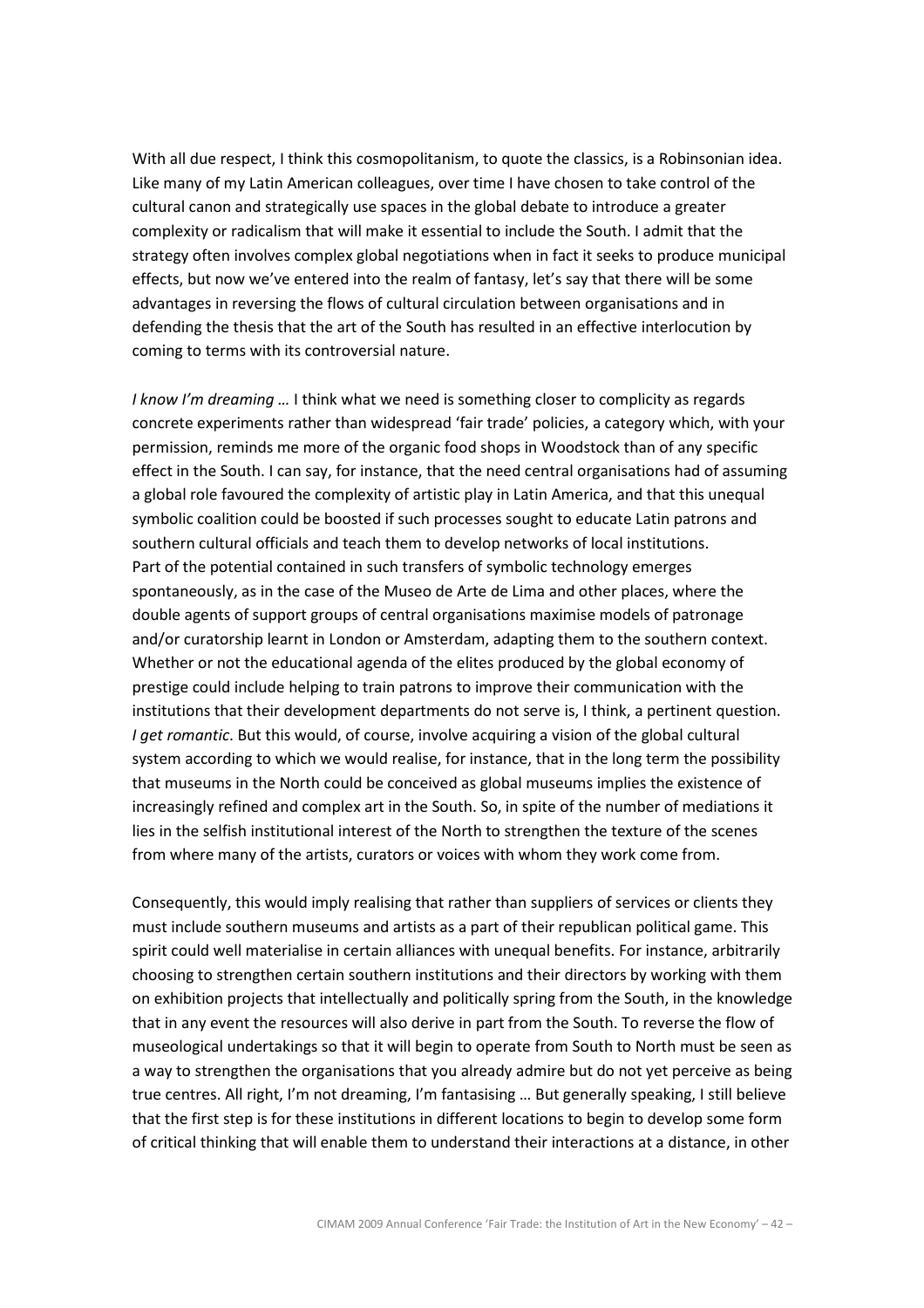With all due respect, I think this cosmopolitanism, to quote the classics, is a Robinsonian idea. Like many of my Latin American colleagues, over time I have chosen to take control of the cultural canon and strategically use spaces in the global debate to introduce a greater complexity or radicalism that will make it essential to include the South. I admit that the strategy often involves complex global negotiations when in fact it seeks to produce municipal effects, but now we've entered into the realm of fantasy, let's say that there will be some advantages in reversing the flows of cultural circulation between organisations and in defending the thesis that the art of the South has resulted in an effective interlocution by coming to terms with its controversial nature.

I know I'm dreaming ... I think what we need is something closer to complicity as regards concrete experiments rather than widespread 'fair trade' policies, a category which, with your permission, reminds me more of the organic food shops in Woodstock than of any specific effect in the South. I can say, for instance, that the need central organisations had of assuming a global role favoured the complexity of artistic play in Latin America, and that this unequal symbolic coalition could be boosted if such processes sought to educate Latin patrons and southern cultural officials and teach them to develop networks of local institutions. Part of the potential contained in such transfers of symbolic technology emerges spontaneously, as in the case of the Museo de Arte de Lima and other places, where the double agents of support groups of central organisations maximise models of patronage and/or curatorship learnt in London or Amsterdam, adapting them to the southern context. Whether or not the educational agenda of the elites produced by the global economy of prestige could include helping to train patrons to improve their communication with the institutions that their development departments do not serve is, I think, a pertinent question. I get romantic. But this would, of course, involve acquiring a vision of the global cultural system according to which we would realise, for instance, that in the long term the possibility that museums in the North could be conceived as global museums implies the existence of increasingly refined and complex art in the South. So, in spite of the number of mediations it lies in the selfish institutional interest of the North to strengthen the texture of the scenes from where many of the artists, curators or voices with whom they work come from.

Consequently, this would imply realising that rather than suppliers of services or clients they must include southern museums and artists as a part of their republican political game. This spirit could well materialise in certain alliances with unequal benefits. For instance, arbitrarily choosing to strengthen certain southern institutions and their directors by working with them on exhibition projects that intellectually and politically spring from the South, in the knowledge that in any event the resources will also derive in part from the South. To reverse the flow of museological undertakings so that it will begin to operate from South to North must be seen as a way to strengthen the organisations that you already admire but do not yet perceive as being true centres. All right, I'm not dreaming, I'm fantasising … But generally speaking, I still believe that the first step is for these institutions in different locations to begin to develop some form of critical thinking that will enable them to understand their interactions at a distance, in other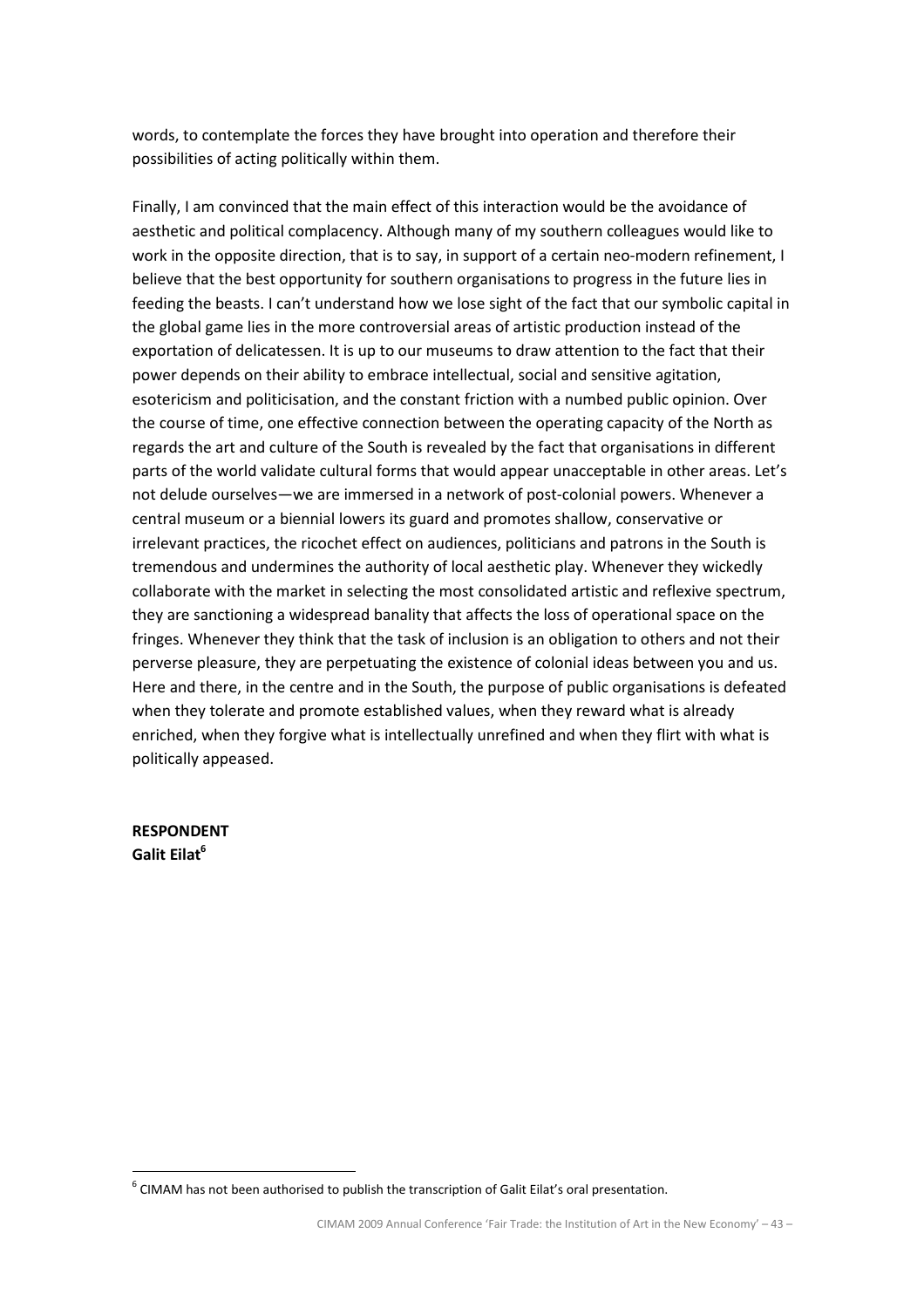words, to contemplate the forces they have brought into operation and therefore their possibilities of acting politically within them.

Finally, I am convinced that the main effect of this interaction would be the avoidance of aesthetic and political complacency. Although many of my southern colleagues would like to work in the opposite direction, that is to say, in support of a certain neo-modern refinement, I believe that the best opportunity for southern organisations to progress in the future lies in feeding the beasts. I can't understand how we lose sight of the fact that our symbolic capital in the global game lies in the more controversial areas of artistic production instead of the exportation of delicatessen. It is up to our museums to draw attention to the fact that their power depends on their ability to embrace intellectual, social and sensitive agitation, esotericism and politicisation, and the constant friction with a numbed public opinion. Over the course of time, one effective connection between the operating capacity of the North as regards the art and culture of the South is revealed by the fact that organisations in different parts of the world validate cultural forms that would appear unacceptable in other areas. Let's not delude ourselves—we are immersed in a network of post-colonial powers. Whenever a central museum or a biennial lowers its guard and promotes shallow, conservative or irrelevant practices, the ricochet effect on audiences, politicians and patrons in the South is tremendous and undermines the authority of local aesthetic play. Whenever they wickedly collaborate with the market in selecting the most consolidated artistic and reflexive spectrum, they are sanctioning a widespread banality that affects the loss of operational space on the fringes. Whenever they think that the task of inclusion is an obligation to others and not their perverse pleasure, they are perpetuating the existence of colonial ideas between you and us. Here and there, in the centre and in the South, the purpose of public organisations is defeated when they tolerate and promote established values, when they reward what is already enriched, when they forgive what is intellectually unrefined and when they flirt with what is politically appeased.

RESPONDENT Galit Eilat<sup>6</sup>

 $<sup>6</sup>$  CIMAM has not been authorised to publish the transcription of Galit Eilat's oral presentation.</sup>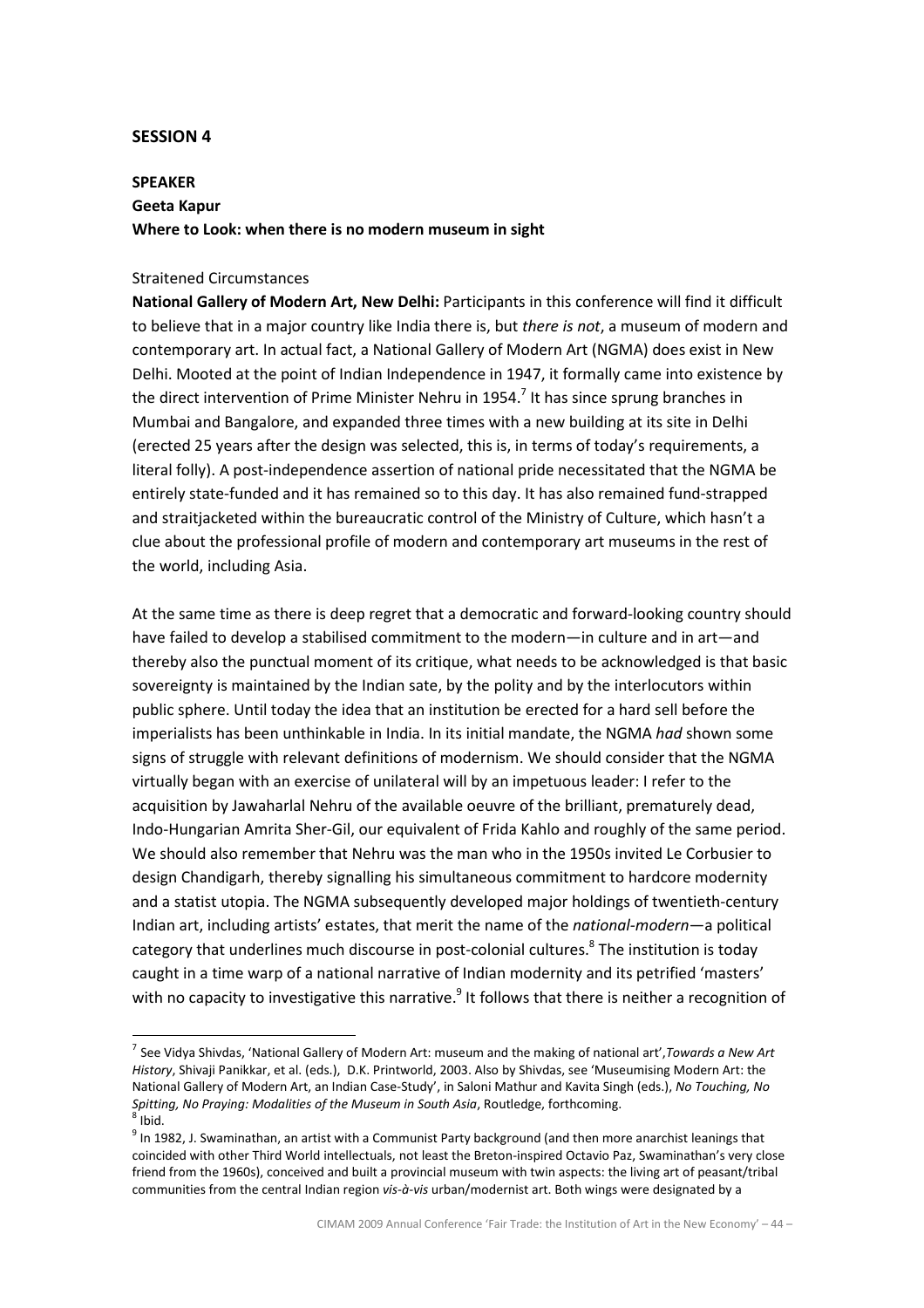#### SESSION 4

 $\overline{a}$ 

# SPEAKER Geeta Kapur Where to Look: when there is no modern museum in sight

#### Straitened Circumstances

National Gallery of Modern Art, New Delhi: Participants in this conference will find it difficult to believe that in a major country like India there is, but there is not, a museum of modern and contemporary art. In actual fact, a National Gallery of Modern Art (NGMA) does exist in New Delhi. Mooted at the point of Indian Independence in 1947, it formally came into existence by the direct intervention of Prime Minister Nehru in 1954.<sup>7</sup> It has since sprung branches in Mumbai and Bangalore, and expanded three times with a new building at its site in Delhi (erected 25 years after the design was selected, this is, in terms of today's requirements, a literal folly). A post-independence assertion of national pride necessitated that the NGMA be entirely state-funded and it has remained so to this day. It has also remained fund-strapped and straitjacketed within the bureaucratic control of the Ministry of Culture, which hasn't a clue about the professional profile of modern and contemporary art museums in the rest of the world, including Asia.

At the same time as there is deep regret that a democratic and forward-looking country should have failed to develop a stabilised commitment to the modern—in culture and in art—and thereby also the punctual moment of its critique, what needs to be acknowledged is that basic sovereignty is maintained by the Indian sate, by the polity and by the interlocutors within public sphere. Until today the idea that an institution be erected for a hard sell before the imperialists has been unthinkable in India. In its initial mandate, the NGMA had shown some signs of struggle with relevant definitions of modernism. We should consider that the NGMA virtually began with an exercise of unilateral will by an impetuous leader: I refer to the acquisition by Jawaharlal Nehru of the available oeuvre of the brilliant, prematurely dead, Indo-Hungarian Amrita Sher-Gil, our equivalent of Frida Kahlo and roughly of the same period. We should also remember that Nehru was the man who in the 1950s invited Le Corbusier to design Chandigarh, thereby signalling his simultaneous commitment to hardcore modernity and a statist utopia. The NGMA subsequently developed major holdings of twentieth-century Indian art, including artists' estates, that merit the name of the national-modern—a political category that underlines much discourse in post-colonial cultures.<sup>8</sup> The institution is today caught in a time warp of a national narrative of Indian modernity and its petrified 'masters' with no capacity to investigative this narrative.<sup>9</sup> It follows that there is neither a recognition of

<sup>&</sup>lt;sup>7</sup> See Vidya Shivdas, 'National Gallery of Modern Art: museum and the making of national art', Towards a New Art History, Shivaji Panikkar, et al. (eds.), D.K. Printworld, 2003. Also by Shivdas, see 'Museumising Modern Art: the National Gallery of Modern Art, an Indian Case-Study', in Saloni Mathur and Kavita Singh (eds.), No Touching, No Spitting, No Praying: Modalities of the Museum in South Asia, Routledge, forthcoming.  $8$  Ibid.

 $^9$  In 1982, J. Swaminathan, an artist with a Communist Party background (and then more anarchist leanings that coincided with other Third World intellectuals, not least the Breton-inspired Octavio Paz, Swaminathan's very close friend from the 1960s), conceived and built a provincial museum with twin aspects: the living art of peasant/tribal communities from the central Indian region vis-à-vis urban/modernist art. Both wings were designated by a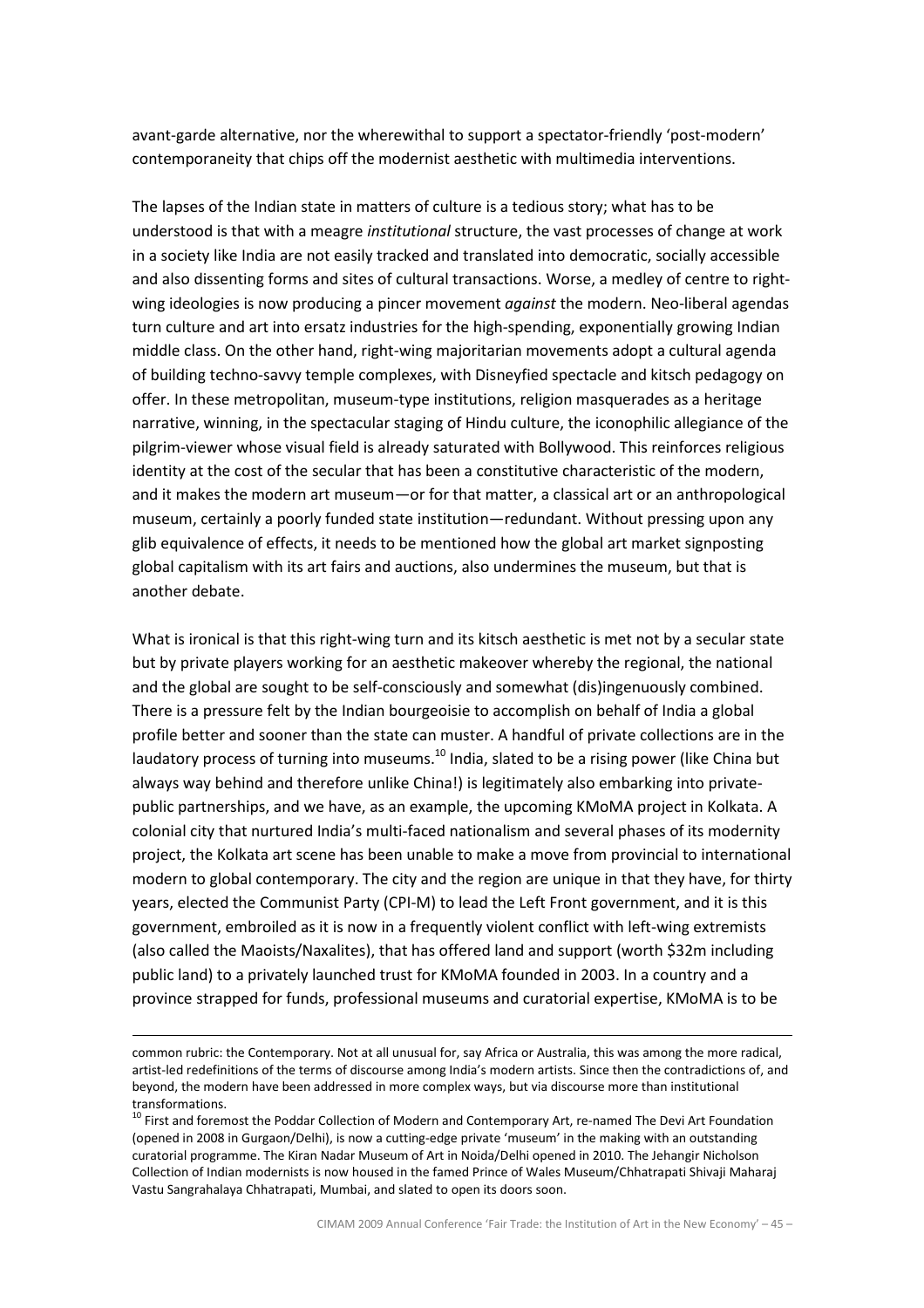avant-garde alternative, nor the wherewithal to support a spectator-friendly 'post-modern' contemporaneity that chips off the modernist aesthetic with multimedia interventions.

The lapses of the Indian state in matters of culture is a tedious story; what has to be understood is that with a meagre institutional structure, the vast processes of change at work in a society like India are not easily tracked and translated into democratic, socially accessible and also dissenting forms and sites of cultural transactions. Worse, a medley of centre to rightwing ideologies is now producing a pincer movement against the modern. Neo-liberal agendas turn culture and art into ersatz industries for the high-spending, exponentially growing Indian middle class. On the other hand, right-wing majoritarian movements adopt a cultural agenda of building techno-savvy temple complexes, with Disneyfied spectacle and kitsch pedagogy on offer. In these metropolitan, museum-type institutions, religion masquerades as a heritage narrative, winning, in the spectacular staging of Hindu culture, the iconophilic allegiance of the pilgrim-viewer whose visual field is already saturated with Bollywood. This reinforces religious identity at the cost of the secular that has been a constitutive characteristic of the modern, and it makes the modern art museum—or for that matter, a classical art or an anthropological museum, certainly a poorly funded state institution—redundant. Without pressing upon any glib equivalence of effects, it needs to be mentioned how the global art market signposting global capitalism with its art fairs and auctions, also undermines the museum, but that is another debate.

What is ironical is that this right-wing turn and its kitsch aesthetic is met not by a secular state but by private players working for an aesthetic makeover whereby the regional, the national and the global are sought to be self-consciously and somewhat (dis)ingenuously combined. There is a pressure felt by the Indian bourgeoisie to accomplish on behalf of India a global profile better and sooner than the state can muster. A handful of private collections are in the laudatory process of turning into museums.<sup>10</sup> India, slated to be a rising power (like China but always way behind and therefore unlike China!) is legitimately also embarking into privatepublic partnerships, and we have, as an example, the upcoming KMoMA project in Kolkata. A colonial city that nurtured India's multi-faced nationalism and several phases of its modernity project, the Kolkata art scene has been unable to make a move from provincial to international modern to global contemporary. The city and the region are unique in that they have, for thirty years, elected the Communist Party (CPI-M) to lead the Left Front government, and it is this government, embroiled as it is now in a frequently violent conflict with left-wing extremists (also called the Maoists/Naxalites), that has offered land and support (worth \$32m including public land) to a privately launched trust for KMoMA founded in 2003. In a country and a province strapped for funds, professional museums and curatorial expertise, KMoMA is to be

 $\overline{a}$ 

common rubric: the Contemporary. Not at all unusual for, say Africa or Australia, this was among the more radical, artist-led redefinitions of the terms of discourse among India's modern artists. Since then the contradictions of, and beyond, the modern have been addressed in more complex ways, but via discourse more than institutional transformations.

<sup>&</sup>lt;sup>10</sup> First and foremost the Poddar Collection of Modern and Contemporary Art, re-named The Devi Art Foundation (opened in 2008 in Gurgaon/Delhi), is now a cutting-edge private 'museum' in the making with an outstanding curatorial programme. The Kiran Nadar Museum of Art in Noida/Delhi opened in 2010. The Jehangir Nicholson Collection of Indian modernists is now housed in the famed Prince of Wales Museum/Chhatrapati Shivaji Maharaj Vastu Sangrahalaya Chhatrapati, Mumbai, and slated to open its doors soon.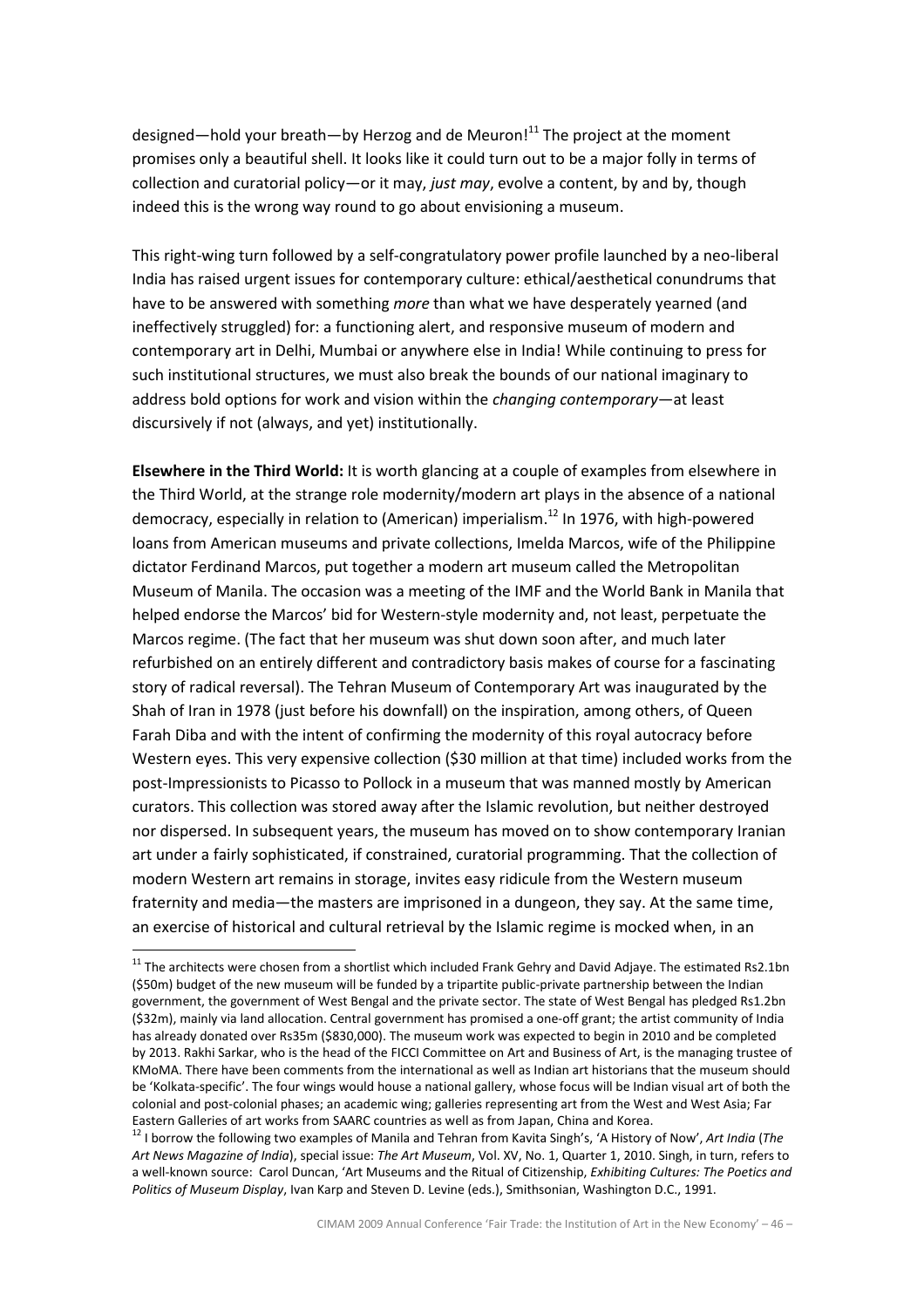designed—hold your breath—by Herzog and de Meuron!<sup>11</sup> The project at the moment promises only a beautiful shell. It looks like it could turn out to be a major folly in terms of collection and curatorial policy—or it may, *just may*, evolve a content, by and by, though indeed this is the wrong way round to go about envisioning a museum.

This right-wing turn followed by a self-congratulatory power profile launched by a neo-liberal India has raised urgent issues for contemporary culture: ethical/aesthetical conundrums that have to be answered with something more than what we have desperately yearned (and ineffectively struggled) for: a functioning alert, and responsive museum of modern and contemporary art in Delhi, Mumbai or anywhere else in India! While continuing to press for such institutional structures, we must also break the bounds of our national imaginary to address bold options for work and vision within the *changing contemporary*—at least discursively if not (always, and yet) institutionally.

**Elsewhere in the Third World:** It is worth glancing at a couple of examples from elsewhere in the Third World, at the strange role modernity/modern art plays in the absence of a national democracy, especially in relation to (American) imperialism.<sup>12</sup> In 1976, with high-powered loans from American museums and private collections, Imelda Marcos, wife of the Philippine dictator Ferdinand Marcos, put together a modern art museum called the Metropolitan Museum of Manila. The occasion was a meeting of the IMF and the World Bank in Manila that helped endorse the Marcos' bid for Western-style modernity and, not least, perpetuate the Marcos regime. (The fact that her museum was shut down soon after, and much later refurbished on an entirely different and contradictory basis makes of course for a fascinating story of radical reversal). The Tehran Museum of Contemporary Art was inaugurated by the Shah of Iran in 1978 (just before his downfall) on the inspiration, among others, of Queen Farah Diba and with the intent of confirming the modernity of this royal autocracy before Western eyes. This very expensive collection (\$30 million at that time) included works from the post-Impressionists to Picasso to Pollock in a museum that was manned mostly by American curators. This collection was stored away after the Islamic revolution, but neither destroyed nor dispersed. In subsequent years, the museum has moved on to show contemporary Iranian art under a fairly sophisticated, if constrained, curatorial programming. That the collection of modern Western art remains in storage, invites easy ridicule from the Western museum fraternity and media—the masters are imprisoned in a dungeon, they say. At the same time, an exercise of historical and cultural retrieval by the Islamic regime is mocked when, in an l.

 $11$  The architects were chosen from a shortlist which included Frank Gehry and David Adjaye. The estimated Rs2.1bn (\$50m) budget of the new museum will be funded by a tripartite public-private partnership between the Indian government, the government of West Bengal and the private sector. The state of West Bengal has pledged Rs1.2bn (\$32m), mainly via land allocation. Central government has promised a one-off grant; the artist community of India has already donated over Rs35m (\$830,000). The museum work was expected to begin in 2010 and be completed by 2013. Rakhi Sarkar, who is the head of the FICCI Committee on Art and Business of Art, is the managing trustee of KMoMA. There have been comments from the international as well as Indian art historians that the museum should be 'Kolkata-specific'. The four wings would house a national gallery, whose focus will be Indian visual art of both the colonial and post-colonial phases; an academic wing; galleries representing art from the West and West Asia; Far Eastern Galleries of art works from SAARC countries as well as from Japan, China and Korea.

<sup>&</sup>lt;sup>12</sup> I borrow the following two examples of Manila and Tehran from Kavita Singh's, 'A History of Now', Art India (The Art News Magazine of India), special issue: The Art Museum, Vol. XV, No. 1, Quarter 1, 2010. Singh, in turn, refers to a well-known source: Carol Duncan, 'Art Museums and the Ritual of Citizenship, Exhibiting Cultures: The Poetics and Politics of Museum Display, Ivan Karp and Steven D. Levine (eds.), Smithsonian, Washington D.C., 1991.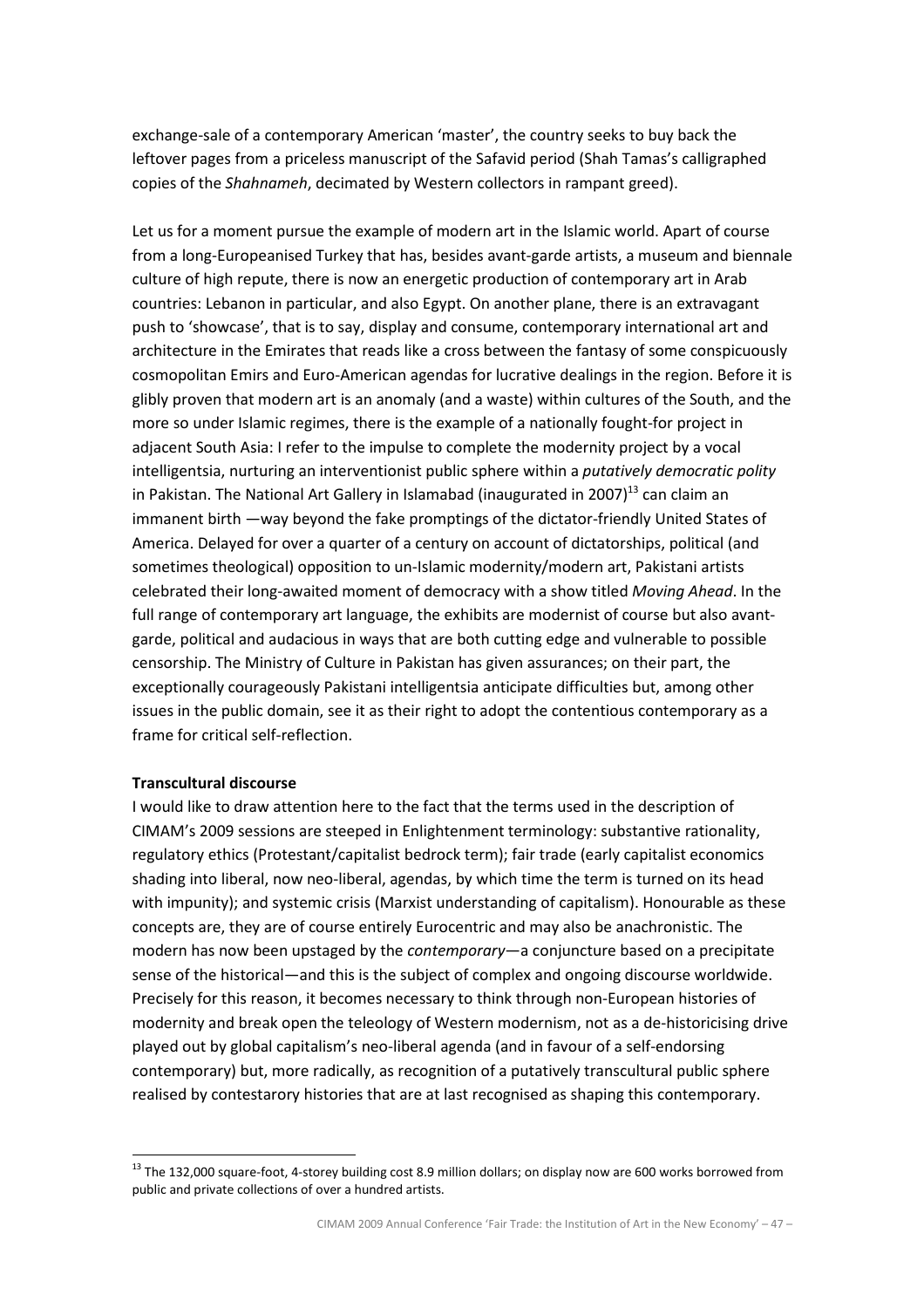exchange-sale of a contemporary American 'master', the country seeks to buy back the leftover pages from a priceless manuscript of the Safavid period (Shah Tamas's calligraphed copies of the Shahnameh, decimated by Western collectors in rampant greed).

Let us for a moment pursue the example of modern art in the Islamic world. Apart of course from a long-Europeanised Turkey that has, besides avant-garde artists, a museum and biennale culture of high repute, there is now an energetic production of contemporary art in Arab countries: Lebanon in particular, and also Egypt. On another plane, there is an extravagant push to 'showcase', that is to say, display and consume, contemporary international art and architecture in the Emirates that reads like a cross between the fantasy of some conspicuously cosmopolitan Emirs and Euro-American agendas for lucrative dealings in the region. Before it is glibly proven that modern art is an anomaly (and a waste) within cultures of the South, and the more so under Islamic regimes, there is the example of a nationally fought-for project in adjacent South Asia: I refer to the impulse to complete the modernity project by a vocal intelligentsia, nurturing an interventionist public sphere within a *putatively democratic polity* in Pakistan. The National Art Gallery in Islamabad (inaugurated in 2007) $^{13}$  can claim an immanent birth —way beyond the fake promptings of the dictator-friendly United States of America. Delayed for over a quarter of a century on account of dictatorships, political (and sometimes theological) opposition to un-Islamic modernity/modern art, Pakistani artists celebrated their long-awaited moment of democracy with a show titled Moving Ahead. In the full range of contemporary art language, the exhibits are modernist of course but also avantgarde, political and audacious in ways that are both cutting edge and vulnerable to possible censorship. The Ministry of Culture in Pakistan has given assurances; on their part, the exceptionally courageously Pakistani intelligentsia anticipate difficulties but, among other issues in the public domain, see it as their right to adopt the contentious contemporary as a frame for critical self-reflection.

#### Transcultural discourse

l.

I would like to draw attention here to the fact that the terms used in the description of CIMAM's 2009 sessions are steeped in Enlightenment terminology: substantive rationality, regulatory ethics (Protestant/capitalist bedrock term); fair trade (early capitalist economics shading into liberal, now neo-liberal, agendas, by which time the term is turned on its head with impunity); and systemic crisis (Marxist understanding of capitalism). Honourable as these concepts are, they are of course entirely Eurocentric and may also be anachronistic. The modern has now been upstaged by the *contemporary*—a conjuncture based on a precipitate sense of the historical—and this is the subject of complex and ongoing discourse worldwide. Precisely for this reason, it becomes necessary to think through non-European histories of modernity and break open the teleology of Western modernism, not as a de-historicising drive played out by global capitalism's neo-liberal agenda (and in favour of a self-endorsing contemporary) but, more radically, as recognition of a putatively transcultural public sphere realised by contestarory histories that are at last recognised as shaping this contemporary.

<sup>&</sup>lt;sup>13</sup> The 132,000 square-foot, 4-storey building cost 8.9 million dollars; on display now are 600 works borrowed from public and private collections of over a hundred artists.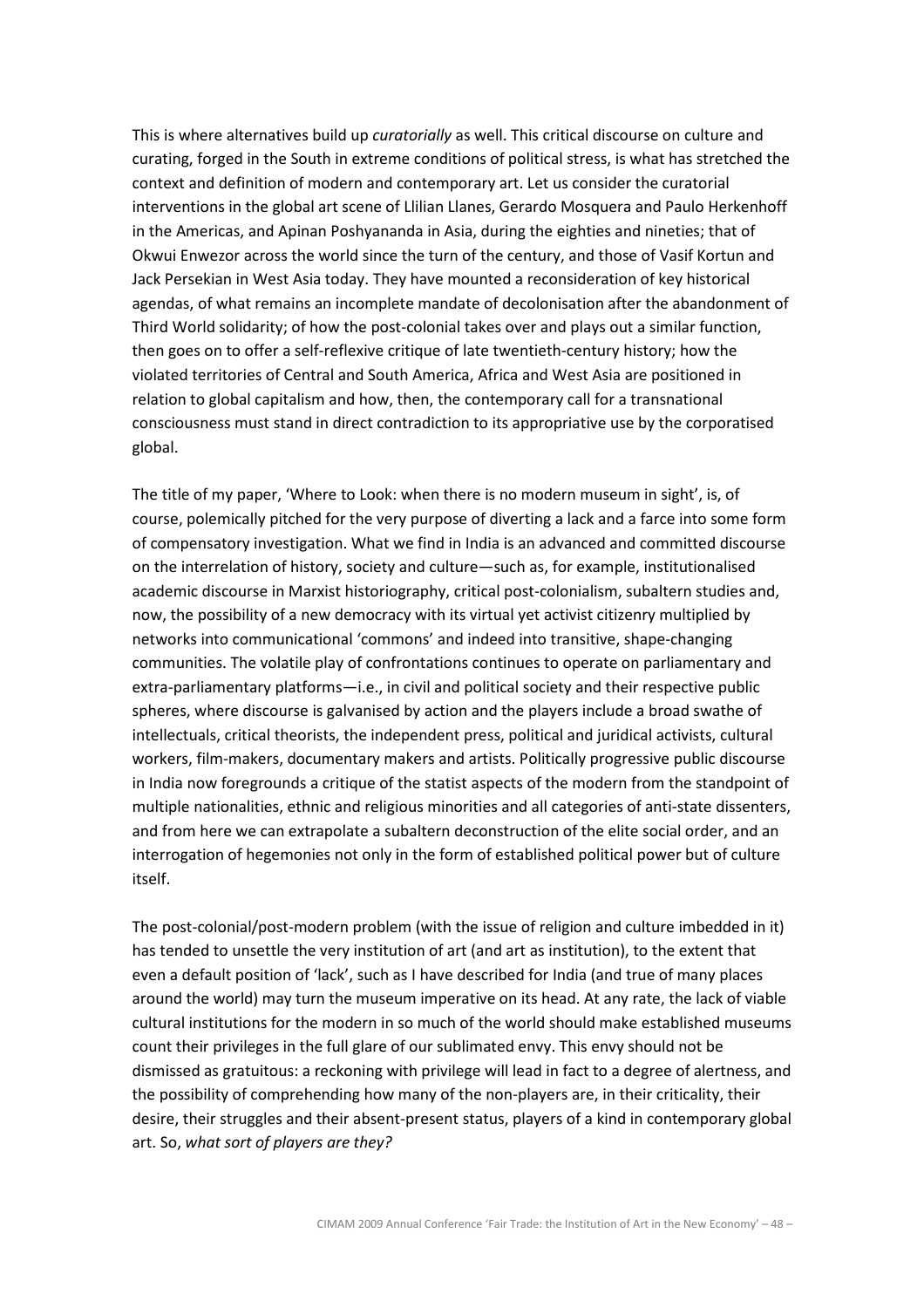This is where alternatives build up curatorially as well. This critical discourse on culture and curating, forged in the South in extreme conditions of political stress, is what has stretched the context and definition of modern and contemporary art. Let us consider the curatorial interventions in the global art scene of Llilian Llanes, Gerardo Mosquera and Paulo Herkenhoff in the Americas, and Apinan Poshyananda in Asia, during the eighties and nineties; that of Okwui Enwezor across the world since the turn of the century, and those of Vasif Kortun and Jack Persekian in West Asia today. They have mounted a reconsideration of key historical agendas, of what remains an incomplete mandate of decolonisation after the abandonment of Third World solidarity; of how the post-colonial takes over and plays out a similar function, then goes on to offer a self-reflexive critique of late twentieth-century history; how the violated territories of Central and South America, Africa and West Asia are positioned in relation to global capitalism and how, then, the contemporary call for a transnational consciousness must stand in direct contradiction to its appropriative use by the corporatised global.

The title of my paper, 'Where to Look: when there is no modern museum in sight', is, of course, polemically pitched for the very purpose of diverting a lack and a farce into some form of compensatory investigation. What we find in India is an advanced and committed discourse on the interrelation of history, society and culture—such as, for example, institutionalised academic discourse in Marxist historiography, critical post-colonialism, subaltern studies and, now, the possibility of a new democracy with its virtual yet activist citizenry multiplied by networks into communicational 'commons' and indeed into transitive, shape-changing communities. The volatile play of confrontations continues to operate on parliamentary and extra-parliamentary platforms—i.e., in civil and political society and their respective public spheres, where discourse is galvanised by action and the players include a broad swathe of intellectuals, critical theorists, the independent press, political and juridical activists, cultural workers, film-makers, documentary makers and artists. Politically progressive public discourse in India now foregrounds a critique of the statist aspects of the modern from the standpoint of multiple nationalities, ethnic and religious minorities and all categories of anti-state dissenters, and from here we can extrapolate a subaltern deconstruction of the elite social order, and an interrogation of hegemonies not only in the form of established political power but of culture itself.

The post-colonial/post-modern problem (with the issue of religion and culture imbedded in it) has tended to unsettle the very institution of art (and art as institution), to the extent that even a default position of 'lack', such as I have described for India (and true of many places around the world) may turn the museum imperative on its head. At any rate, the lack of viable cultural institutions for the modern in so much of the world should make established museums count their privileges in the full glare of our sublimated envy. This envy should not be dismissed as gratuitous: a reckoning with privilege will lead in fact to a degree of alertness, and the possibility of comprehending how many of the non-players are, in their criticality, their desire, their struggles and their absent-present status, players of a kind in contemporary global art. So, what sort of players are they?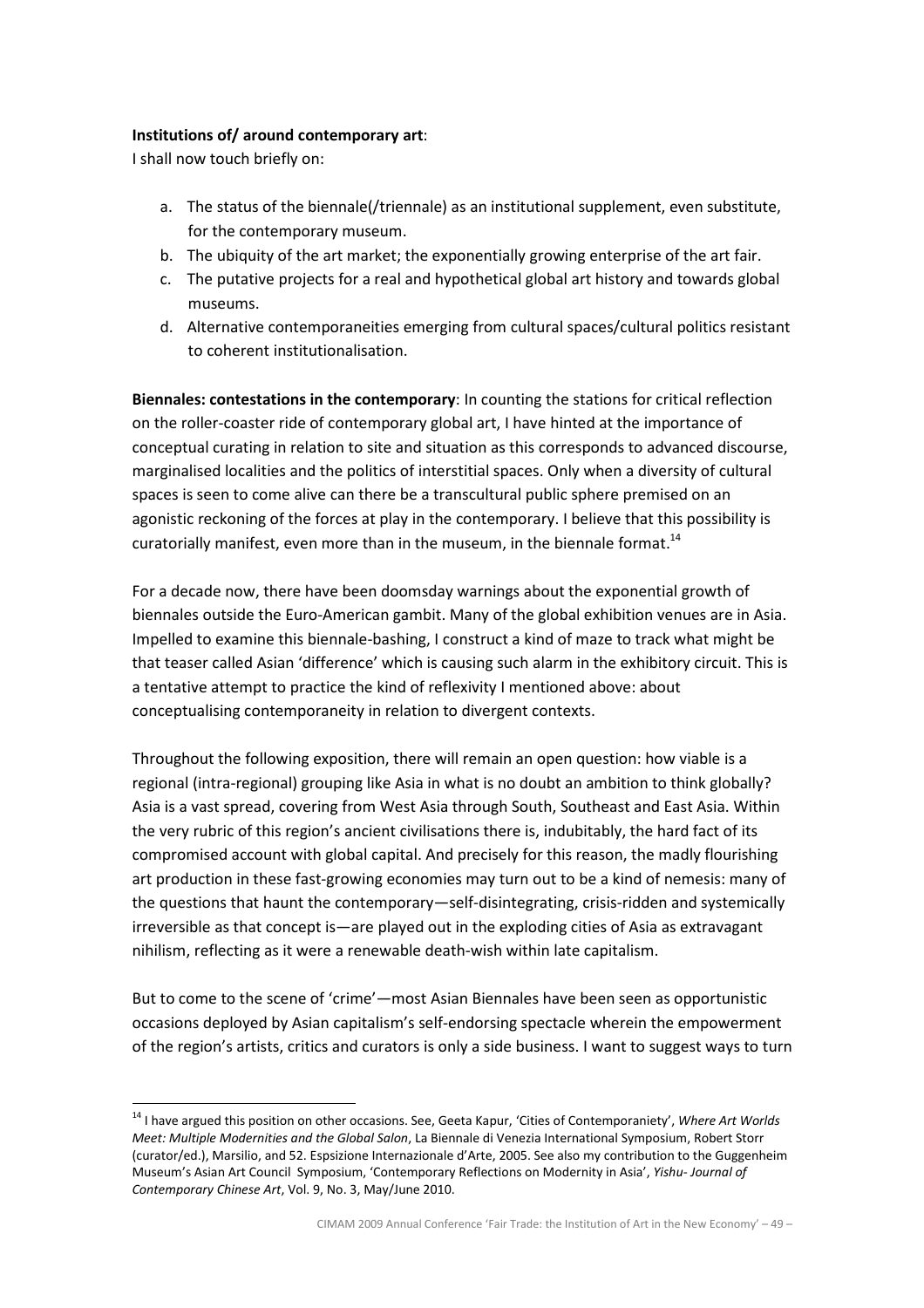# Institutions of/ around contemporary art:

I shall now touch briefly on:

 $\overline{a}$ 

- a. The status of the biennale(/triennale) as an institutional supplement, even substitute, for the contemporary museum.
- b. The ubiquity of the art market; the exponentially growing enterprise of the art fair.
- c. The putative projects for a real and hypothetical global art history and towards global museums.
- d. Alternative contemporaneities emerging from cultural spaces/cultural politics resistant to coherent institutionalisation.

Biennales: contestations in the contemporary: In counting the stations for critical reflection on the roller-coaster ride of contemporary global art, I have hinted at the importance of conceptual curating in relation to site and situation as this corresponds to advanced discourse, marginalised localities and the politics of interstitial spaces. Only when a diversity of cultural spaces is seen to come alive can there be a transcultural public sphere premised on an agonistic reckoning of the forces at play in the contemporary. I believe that this possibility is curatorially manifest, even more than in the museum, in the biennale format.<sup>14</sup>

For a decade now, there have been doomsday warnings about the exponential growth of biennales outside the Euro-American gambit. Many of the global exhibition venues are in Asia. Impelled to examine this biennale-bashing, I construct a kind of maze to track what might be that teaser called Asian 'difference' which is causing such alarm in the exhibitory circuit. This is a tentative attempt to practice the kind of reflexivity I mentioned above: about conceptualising contemporaneity in relation to divergent contexts.

Throughout the following exposition, there will remain an open question: how viable is a regional (intra-regional) grouping like Asia in what is no doubt an ambition to think globally? Asia is a vast spread, covering from West Asia through South, Southeast and East Asia. Within the very rubric of this region's ancient civilisations there is, indubitably, the hard fact of its compromised account with global capital. And precisely for this reason, the madly flourishing art production in these fast-growing economies may turn out to be a kind of nemesis: many of the questions that haunt the contemporary—self-disintegrating, crisis-ridden and systemically irreversible as that concept is—are played out in the exploding cities of Asia as extravagant nihilism, reflecting as it were a renewable death-wish within late capitalism.

But to come to the scene of 'crime'—most Asian Biennales have been seen as opportunistic occasions deployed by Asian capitalism's self-endorsing spectacle wherein the empowerment of the region's artists, critics and curators is only a side business. I want to suggest ways to turn

<sup>&</sup>lt;sup>14</sup> I have argued this position on other occasions. See, Geeta Kapur, 'Cities of Contemporaniety', Where Art Worlds Meet: Multiple Modernities and the Global Salon, La Biennale di Venezia International Symposium, Robert Storr (curator/ed.), Marsilio, and 52. Espsizione Internazionale d'Arte, 2005. See also my contribution to the Guggenheim Museum's Asian Art Council Symposium, 'Contemporary Reflections on Modernity in Asia', Yishu- Journal of Contemporary Chinese Art, Vol. 9, No. 3, May/June 2010.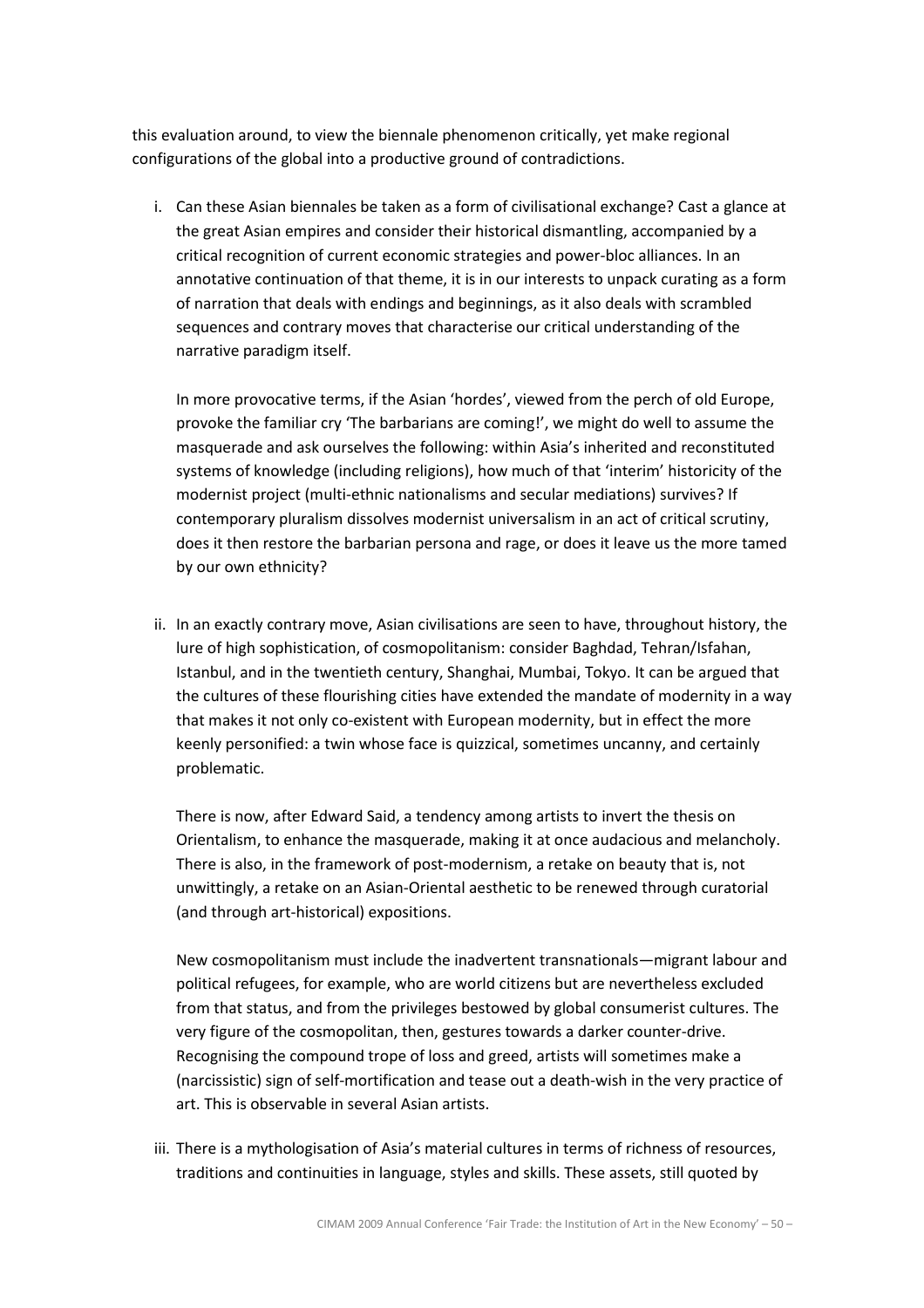this evaluation around, to view the biennale phenomenon critically, yet make regional configurations of the global into a productive ground of contradictions.

i. Can these Asian biennales be taken as a form of civilisational exchange? Cast a glance at the great Asian empires and consider their historical dismantling, accompanied by a critical recognition of current economic strategies and power-bloc alliances. In an annotative continuation of that theme, it is in our interests to unpack curating as a form of narration that deals with endings and beginnings, as it also deals with scrambled sequences and contrary moves that characterise our critical understanding of the narrative paradigm itself.

In more provocative terms, if the Asian 'hordes', viewed from the perch of old Europe, provoke the familiar cry 'The barbarians are coming!', we might do well to assume the masquerade and ask ourselves the following: within Asia's inherited and reconstituted systems of knowledge (including religions), how much of that 'interim' historicity of the modernist project (multi-ethnic nationalisms and secular mediations) survives? If contemporary pluralism dissolves modernist universalism in an act of critical scrutiny, does it then restore the barbarian persona and rage, or does it leave us the more tamed by our own ethnicity?

ii. In an exactly contrary move, Asian civilisations are seen to have, throughout history, the lure of high sophistication, of cosmopolitanism: consider Baghdad, Tehran/Isfahan, Istanbul, and in the twentieth century, Shanghai, Mumbai, Tokyo. It can be argued that the cultures of these flourishing cities have extended the mandate of modernity in a way that makes it not only co-existent with European modernity, but in effect the more keenly personified: a twin whose face is quizzical, sometimes uncanny, and certainly problematic.

There is now, after Edward Said, a tendency among artists to invert the thesis on Orientalism, to enhance the masquerade, making it at once audacious and melancholy. There is also, in the framework of post-modernism, a retake on beauty that is, not unwittingly, a retake on an Asian-Oriental aesthetic to be renewed through curatorial (and through art-historical) expositions.

New cosmopolitanism must include the inadvertent transnationals—migrant labour and political refugees, for example, who are world citizens but are nevertheless excluded from that status, and from the privileges bestowed by global consumerist cultures. The very figure of the cosmopolitan, then, gestures towards a darker counter-drive. Recognising the compound trope of loss and greed, artists will sometimes make a (narcissistic) sign of self-mortification and tease out a death-wish in the very practice of art. This is observable in several Asian artists.

iii. There is a mythologisation of Asia's material cultures in terms of richness of resources, traditions and continuities in language, styles and skills. These assets, still quoted by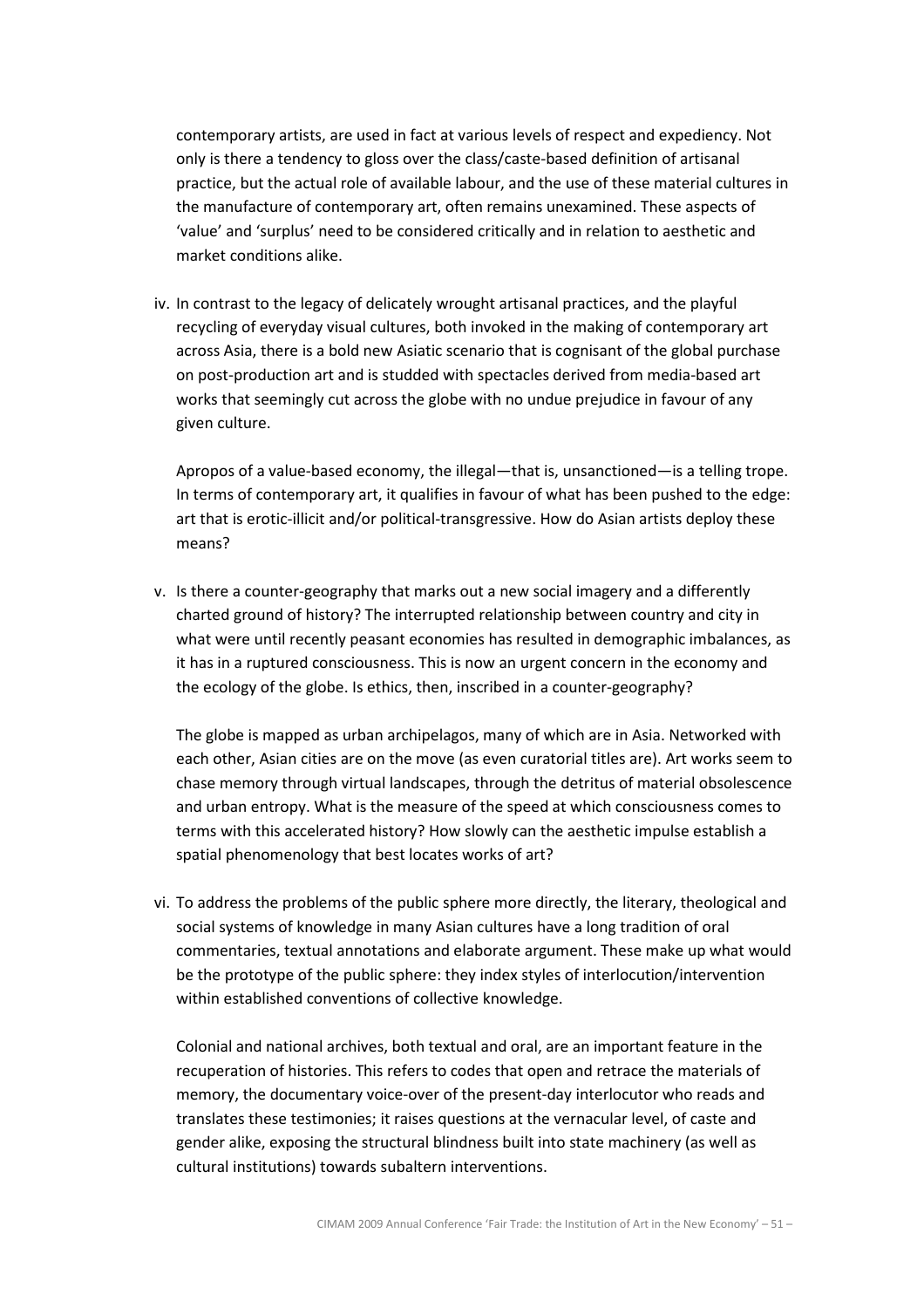contemporary artists, are used in fact at various levels of respect and expediency. Not only is there a tendency to gloss over the class/caste-based definition of artisanal practice, but the actual role of available labour, and the use of these material cultures in the manufacture of contemporary art, often remains unexamined. These aspects of 'value' and 'surplus' need to be considered critically and in relation to aesthetic and market conditions alike.

iv. In contrast to the legacy of delicately wrought artisanal practices, and the playful recycling of everyday visual cultures, both invoked in the making of contemporary art across Asia, there is a bold new Asiatic scenario that is cognisant of the global purchase on post-production art and is studded with spectacles derived from media-based art works that seemingly cut across the globe with no undue prejudice in favour of any given culture.

Apropos of a value-based economy, the illegal—that is, unsanctioned—is a telling trope. In terms of contemporary art, it qualifies in favour of what has been pushed to the edge: art that is erotic-illicit and/or political-transgressive. How do Asian artists deploy these means?

v. Is there a counter-geography that marks out a new social imagery and a differently charted ground of history? The interrupted relationship between country and city in what were until recently peasant economies has resulted in demographic imbalances, as it has in a ruptured consciousness. This is now an urgent concern in the economy and the ecology of the globe. Is ethics, then, inscribed in a counter-geography?

The globe is mapped as urban archipelagos, many of which are in Asia. Networked with each other, Asian cities are on the move (as even curatorial titles are). Art works seem to chase memory through virtual landscapes, through the detritus of material obsolescence and urban entropy. What is the measure of the speed at which consciousness comes to terms with this accelerated history? How slowly can the aesthetic impulse establish a spatial phenomenology that best locates works of art?

vi. To address the problems of the public sphere more directly, the literary, theological and social systems of knowledge in many Asian cultures have a long tradition of oral commentaries, textual annotations and elaborate argument. These make up what would be the prototype of the public sphere: they index styles of interlocution/intervention within established conventions of collective knowledge.

Colonial and national archives, both textual and oral, are an important feature in the recuperation of histories. This refers to codes that open and retrace the materials of memory, the documentary voice-over of the present-day interlocutor who reads and translates these testimonies; it raises questions at the vernacular level, of caste and gender alike, exposing the structural blindness built into state machinery (as well as cultural institutions) towards subaltern interventions.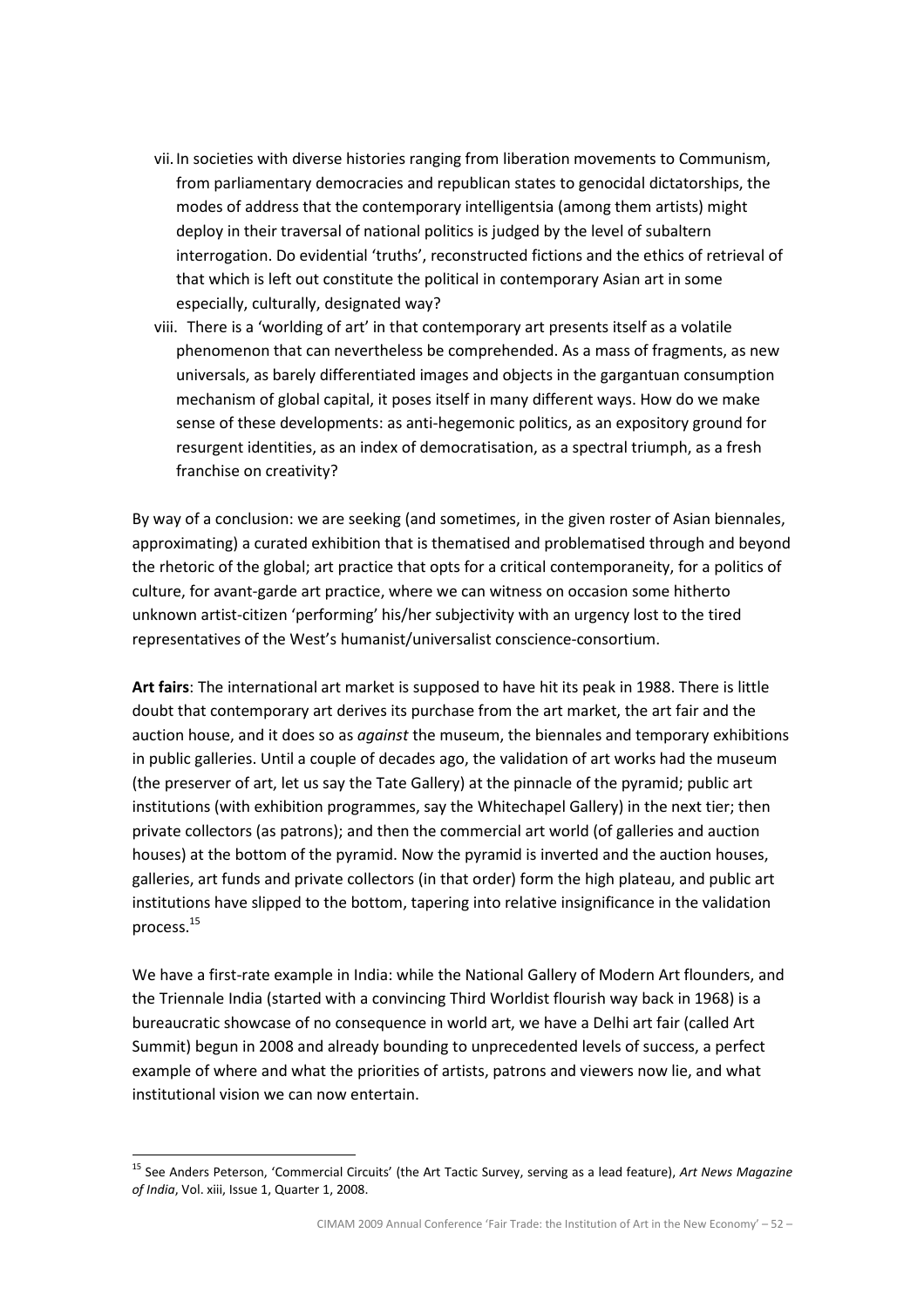- vii.In societies with diverse histories ranging from liberation movements to Communism, from parliamentary democracies and republican states to genocidal dictatorships, the modes of address that the contemporary intelligentsia (among them artists) might deploy in their traversal of national politics is judged by the level of subaltern interrogation. Do evidential 'truths', reconstructed fictions and the ethics of retrieval of that which is left out constitute the political in contemporary Asian art in some especially, culturally, designated way?
- viii. There is a 'worlding of art' in that contemporary art presents itself as a volatile phenomenon that can nevertheless be comprehended. As a mass of fragments, as new universals, as barely differentiated images and objects in the gargantuan consumption mechanism of global capital, it poses itself in many different ways. How do we make sense of these developments: as anti-hegemonic politics, as an expository ground for resurgent identities, as an index of democratisation, as a spectral triumph, as a fresh franchise on creativity?

By way of a conclusion: we are seeking (and sometimes, in the given roster of Asian biennales, approximating) a curated exhibition that is thematised and problematised through and beyond the rhetoric of the global; art practice that opts for a critical contemporaneity, for a politics of culture, for avant-garde art practice, where we can witness on occasion some hitherto unknown artist-citizen 'performing' his/her subjectivity with an urgency lost to the tired representatives of the West's humanist/universalist conscience-consortium.

Art fairs: The international art market is supposed to have hit its peak in 1988. There is little doubt that contemporary art derives its purchase from the art market, the art fair and the auction house, and it does so as *against* the museum, the biennales and temporary exhibitions in public galleries. Until a couple of decades ago, the validation of art works had the museum (the preserver of art, let us say the Tate Gallery) at the pinnacle of the pyramid; public art institutions (with exhibition programmes, say the Whitechapel Gallery) in the next tier; then private collectors (as patrons); and then the commercial art world (of galleries and auction houses) at the bottom of the pyramid. Now the pyramid is inverted and the auction houses, galleries, art funds and private collectors (in that order) form the high plateau, and public art institutions have slipped to the bottom, tapering into relative insignificance in the validation process.<sup>15</sup>

We have a first-rate example in India: while the National Gallery of Modern Art flounders, and the Triennale India (started with a convincing Third Worldist flourish way back in 1968) is a bureaucratic showcase of no consequence in world art, we have a Delhi art fair (called Art Summit) begun in 2008 and already bounding to unprecedented levels of success, a perfect example of where and what the priorities of artists, patrons and viewers now lie, and what institutional vision we can now entertain.

<sup>&</sup>lt;sup>15</sup> See Anders Peterson, 'Commercial Circuits' (the Art Tactic Survey, serving as a lead feature), Art News Magazine of India, Vol. xiii, Issue 1, Quarter 1, 2008.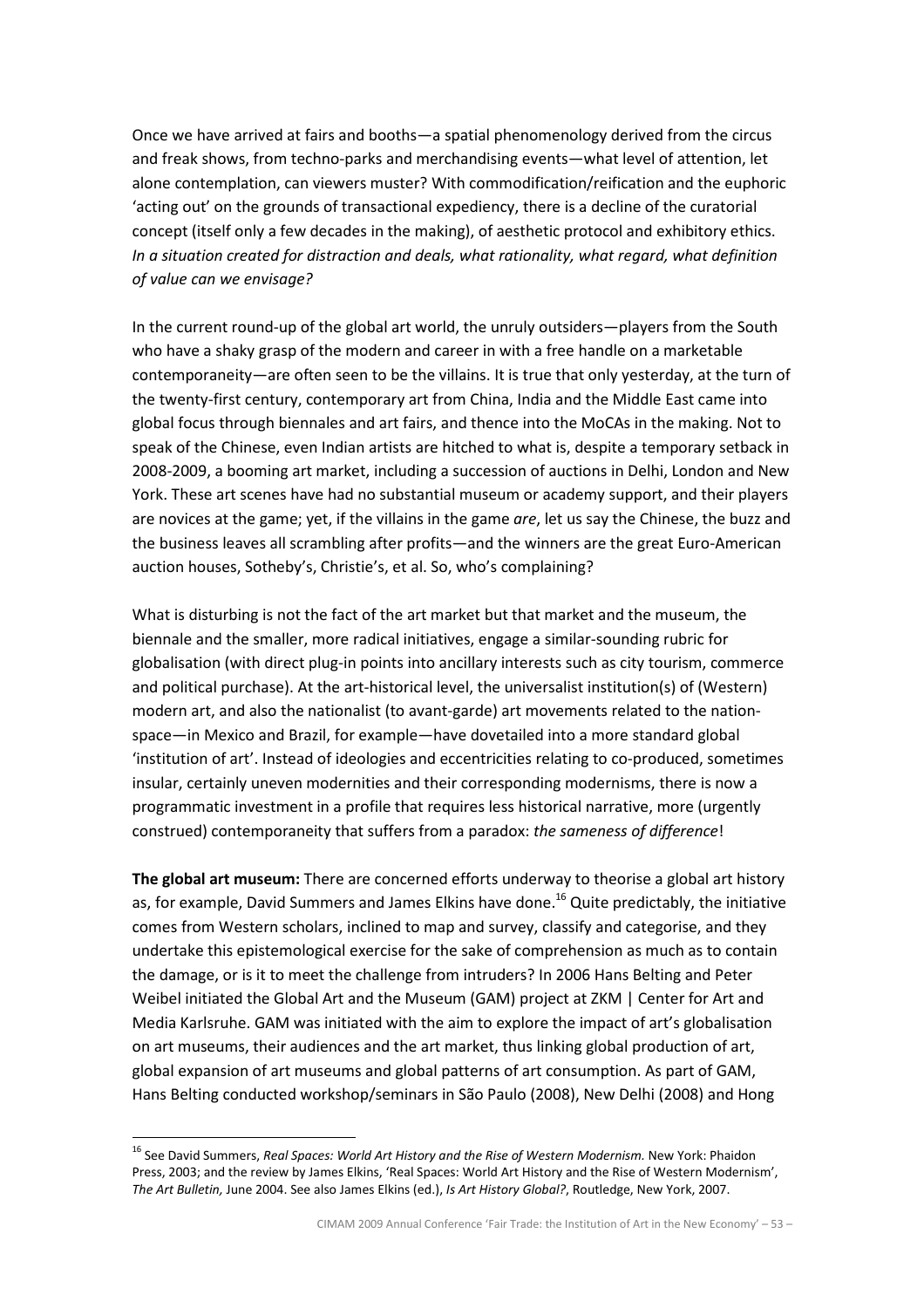Once we have arrived at fairs and booths—a spatial phenomenology derived from the circus and freak shows, from techno-parks and merchandising events—what level of attention, let alone contemplation, can viewers muster? With commodification/reification and the euphoric 'acting out' on the grounds of transactional expediency, there is a decline of the curatorial concept (itself only a few decades in the making), of aesthetic protocol and exhibitory ethics. In a situation created for distraction and deals, what rationality, what regard, what definition of value can we envisage?

In the current round-up of the global art world, the unruly outsiders—players from the South who have a shaky grasp of the modern and career in with a free handle on a marketable contemporaneity—are often seen to be the villains. It is true that only yesterday, at the turn of the twenty-first century, contemporary art from China, India and the Middle East came into global focus through biennales and art fairs, and thence into the MoCAs in the making. Not to speak of the Chinese, even Indian artists are hitched to what is, despite a temporary setback in 2008-2009, a booming art market, including a succession of auctions in Delhi, London and New York. These art scenes have had no substantial museum or academy support, and their players are novices at the game; yet, if the villains in the game are, let us say the Chinese, the buzz and the business leaves all scrambling after profits—and the winners are the great Euro-American auction houses, Sotheby's, Christie's, et al. So, who's complaining?

What is disturbing is not the fact of the art market but that market and the museum, the biennale and the smaller, more radical initiatives, engage a similar-sounding rubric for globalisation (with direct plug-in points into ancillary interests such as city tourism, commerce and political purchase). At the art-historical level, the universalist institution(s) of (Western) modern art, and also the nationalist (to avant-garde) art movements related to the nationspace—in Mexico and Brazil, for example—have dovetailed into a more standard global 'institution of art'. Instead of ideologies and eccentricities relating to co-produced, sometimes insular, certainly uneven modernities and their corresponding modernisms, there is now a programmatic investment in a profile that requires less historical narrative, more (urgently construed) contemporaneity that suffers from a paradox: the sameness of difference!

The global art museum: There are concerned efforts underway to theorise a global art history as, for example, David Summers and James Elkins have done.<sup>16</sup> Quite predictably, the initiative comes from Western scholars, inclined to map and survey, classify and categorise, and they undertake this epistemological exercise for the sake of comprehension as much as to contain the damage, or is it to meet the challenge from intruders? In 2006 Hans Belting and Peter Weibel initiated the Global Art and the Museum (GAM) project at ZKM | Center for Art and Media Karlsruhe. GAM was initiated with the aim to explore the impact of art's globalisation on art museums, their audiences and the art market, thus linking global production of art, global expansion of art museums and global patterns of art consumption. As part of GAM, Hans Belting conducted workshop/seminars in São Paulo (2008), New Delhi (2008) and Hong

<sup>&</sup>lt;sup>16</sup> See David Summers, Real Spaces: World Art History and the Rise of Western Modernism. New York: Phaidon Press, 2003; and the review by James Elkins, 'Real Spaces: World Art History and the Rise of Western Modernism', The Art Bulletin, June 2004. See also James Elkins (ed.), Is Art History Global?, Routledge, New York, 2007.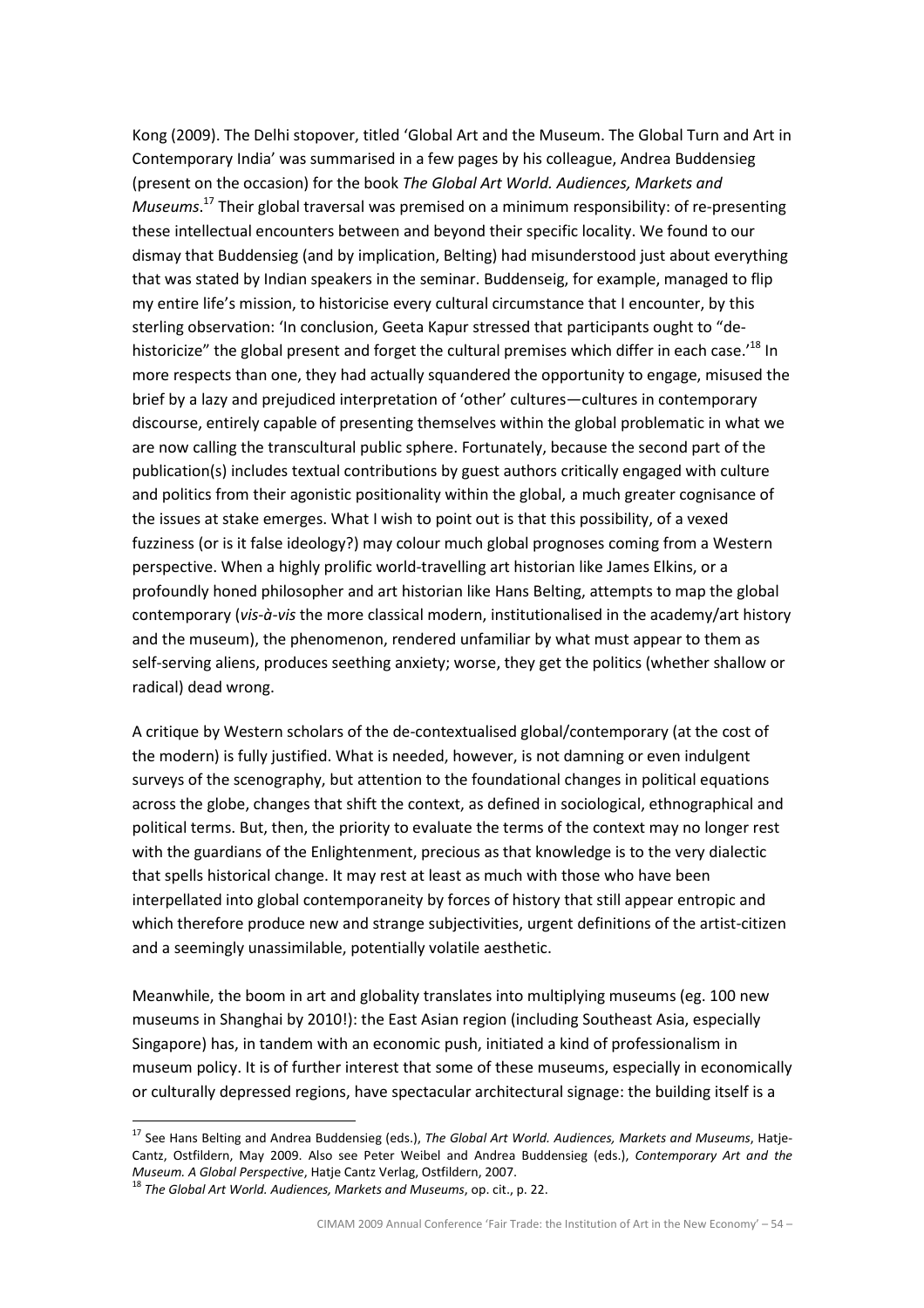Kong (2009). The Delhi stopover, titled 'Global Art and the Museum. The Global Turn and Art in Contemporary India' was summarised in a few pages by his colleague, Andrea Buddensieg (present on the occasion) for the book The Global Art World. Audiences, Markets and Museums.<sup>17</sup> Their global traversal was premised on a minimum responsibility: of re-presenting these intellectual encounters between and beyond their specific locality. We found to our dismay that Buddensieg (and by implication, Belting) had misunderstood just about everything that was stated by Indian speakers in the seminar. Buddenseig, for example, managed to flip my entire life's mission, to historicise every cultural circumstance that I encounter, by this sterling observation: 'In conclusion, Geeta Kapur stressed that participants ought to "dehistoricize" the global present and forget the cultural premises which differ in each case.<sup>'18</sup> In more respects than one, they had actually squandered the opportunity to engage, misused the brief by a lazy and prejudiced interpretation of 'other' cultures—cultures in contemporary discourse, entirely capable of presenting themselves within the global problematic in what we are now calling the transcultural public sphere. Fortunately, because the second part of the publication(s) includes textual contributions by guest authors critically engaged with culture and politics from their agonistic positionality within the global, a much greater cognisance of the issues at stake emerges. What I wish to point out is that this possibility, of a vexed fuzziness (or is it false ideology?) may colour much global prognoses coming from a Western perspective. When a highly prolific world-travelling art historian like James Elkins, or a profoundly honed philosopher and art historian like Hans Belting, attempts to map the global contemporary (vis-à-vis the more classical modern, institutionalised in the academy/art history and the museum), the phenomenon, rendered unfamiliar by what must appear to them as self-serving aliens, produces seething anxiety; worse, they get the politics (whether shallow or radical) dead wrong.

A critique by Western scholars of the de-contextualised global/contemporary (at the cost of the modern) is fully justified. What is needed, however, is not damning or even indulgent surveys of the scenography, but attention to the foundational changes in political equations across the globe, changes that shift the context, as defined in sociological, ethnographical and political terms. But, then, the priority to evaluate the terms of the context may no longer rest with the guardians of the Enlightenment, precious as that knowledge is to the very dialectic that spells historical change. It may rest at least as much with those who have been interpellated into global contemporaneity by forces of history that still appear entropic and which therefore produce new and strange subjectivities, urgent definitions of the artist-citizen and a seemingly unassimilable, potentially volatile aesthetic.

Meanwhile, the boom in art and globality translates into multiplying museums (eg. 100 new museums in Shanghai by 2010!): the East Asian region (including Southeast Asia, especially Singapore) has, in tandem with an economic push, initiated a kind of professionalism in museum policy. It is of further interest that some of these museums, especially in economically or culturally depressed regions, have spectacular architectural signage: the building itself is a

<sup>&</sup>lt;sup>17</sup> See Hans Belting and Andrea Buddensieg (eds.), The Global Art World. Audiences, Markets and Museums, Hatje-Cantz, Ostfildern, May 2009. Also see Peter Weibel and Andrea Buddensieg (eds.), Contemporary Art and the Museum. A Global Perspective, Hatje Cantz Verlag, Ostfildern, 2007.

 $18$  The Global Art World. Audiences, Markets and Museums, op. cit., p. 22.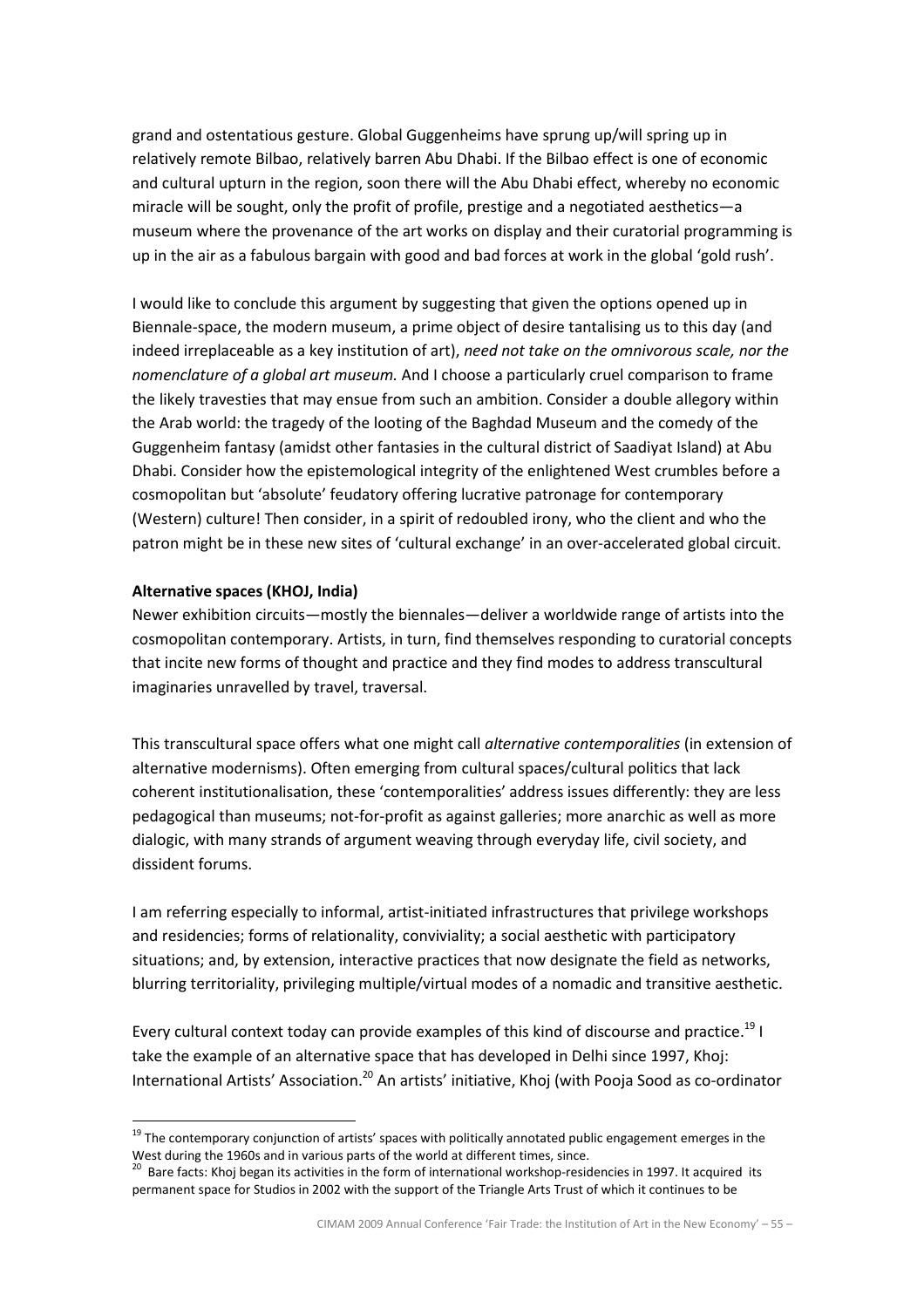grand and ostentatious gesture. Global Guggenheims have sprung up/will spring up in relatively remote Bilbao, relatively barren Abu Dhabi. If the Bilbao effect is one of economic and cultural upturn in the region, soon there will the Abu Dhabi effect, whereby no economic miracle will be sought, only the profit of profile, prestige and a negotiated aesthetics—a museum where the provenance of the art works on display and their curatorial programming is up in the air as a fabulous bargain with good and bad forces at work in the global 'gold rush'.

I would like to conclude this argument by suggesting that given the options opened up in Biennale-space, the modern museum, a prime object of desire tantalising us to this day (and indeed irreplaceable as a key institution of art), need not take on the omnivorous scale, nor the nomenclature of a global art museum. And I choose a particularly cruel comparison to frame the likely travesties that may ensue from such an ambition. Consider a double allegory within the Arab world: the tragedy of the looting of the Baghdad Museum and the comedy of the Guggenheim fantasy (amidst other fantasies in the cultural district of Saadiyat Island) at Abu Dhabi. Consider how the epistemological integrity of the enlightened West crumbles before a cosmopolitan but 'absolute' feudatory offering lucrative patronage for contemporary (Western) culture! Then consider, in a spirit of redoubled irony, who the client and who the patron might be in these new sites of 'cultural exchange' in an over-accelerated global circuit.

# Alternative spaces (KHOJ, India)

l.

Newer exhibition circuits—mostly the biennales—deliver a worldwide range of artists into the cosmopolitan contemporary. Artists, in turn, find themselves responding to curatorial concepts that incite new forms of thought and practice and they find modes to address transcultural imaginaries unravelled by travel, traversal.

This transcultural space offers what one might call alternative contemporalities (in extension of alternative modernisms). Often emerging from cultural spaces/cultural politics that lack coherent institutionalisation, these 'contemporalities' address issues differently: they are less pedagogical than museums; not-for-profit as against galleries; more anarchic as well as more dialogic, with many strands of argument weaving through everyday life, civil society, and dissident forums.

I am referring especially to informal, artist-initiated infrastructures that privilege workshops and residencies; forms of relationality, conviviality; a social aesthetic with participatory situations; and, by extension, interactive practices that now designate the field as networks, blurring territoriality, privileging multiple/virtual modes of a nomadic and transitive aesthetic.

Every cultural context today can provide examples of this kind of discourse and practice.<sup>19</sup> I take the example of an alternative space that has developed in Delhi since 1997, Khoj: International Artists' Association.<sup>20</sup> An artists' initiative, Khoj (with Pooja Sood as co-ordinator

<sup>&</sup>lt;sup>19</sup> The contemporary conjunction of artists' spaces with politically annotated public engagement emerges in the West during the 1960s and in various parts of the world at different times, since.

<sup>&</sup>lt;sup>20</sup> Bare facts: Khoj began its activities in the form of international workshop-residencies in 1997. It acquired its permanent space for Studios in 2002 with the support of the Triangle Arts Trust of which it continues to be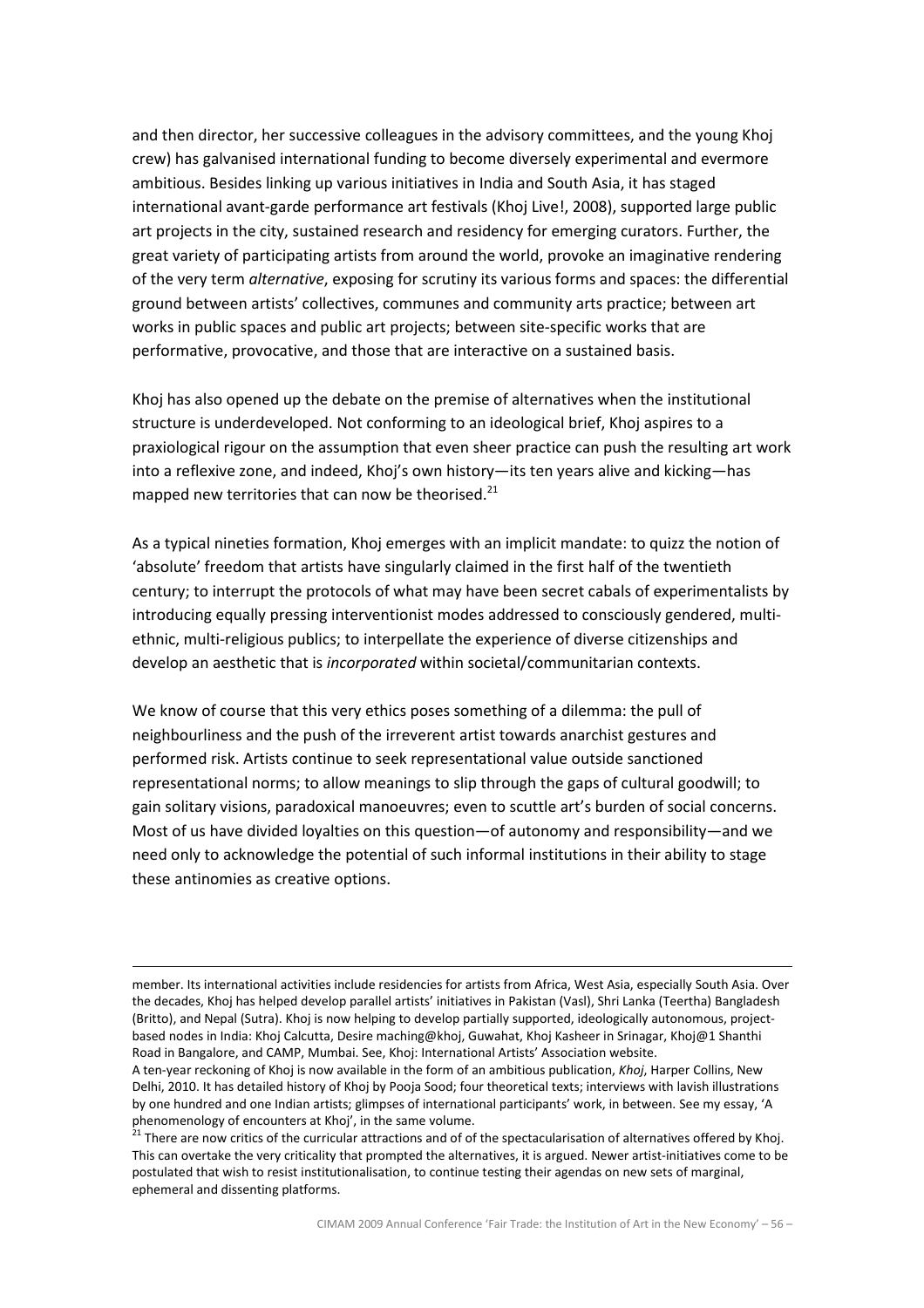and then director, her successive colleagues in the advisory committees, and the young Khoj crew) has galvanised international funding to become diversely experimental and evermore ambitious. Besides linking up various initiatives in India and South Asia, it has staged international avant-garde performance art festivals (Khoj Live!, 2008), supported large public art projects in the city, sustained research and residency for emerging curators. Further, the great variety of participating artists from around the world, provoke an imaginative rendering of the very term *alternative*, exposing for scrutiny its various forms and spaces: the differential ground between artists' collectives, communes and community arts practice; between art works in public spaces and public art projects; between site-specific works that are performative, provocative, and those that are interactive on a sustained basis.

Khoj has also opened up the debate on the premise of alternatives when the institutional structure is underdeveloped. Not conforming to an ideological brief, Khoj aspires to a praxiological rigour on the assumption that even sheer practice can push the resulting art work into a reflexive zone, and indeed, Khoj's own history—its ten years alive and kicking—has mapped new territories that can now be theorised. $^{21}$ 

As a typical nineties formation, Khoj emerges with an implicit mandate: to quizz the notion of 'absolute' freedom that artists have singularly claimed in the first half of the twentieth century; to interrupt the protocols of what may have been secret cabals of experimentalists by introducing equally pressing interventionist modes addressed to consciously gendered, multiethnic, multi-religious publics; to interpellate the experience of diverse citizenships and develop an aesthetic that is incorporated within societal/communitarian contexts.

We know of course that this very ethics poses something of a dilemma: the pull of neighbourliness and the push of the irreverent artist towards anarchist gestures and performed risk. Artists continue to seek representational value outside sanctioned representational norms; to allow meanings to slip through the gaps of cultural goodwill; to gain solitary visions, paradoxical manoeuvres; even to scuttle art's burden of social concerns. Most of us have divided loyalties on this question—of autonomy and responsibility—and we need only to acknowledge the potential of such informal institutions in their ability to stage these antinomies as creative options.

 $\overline{a}$ 

member. Its international activities include residencies for artists from Africa, West Asia, especially South Asia. Over the decades, Khoj has helped develop parallel artists' initiatives in Pakistan (Vasl), Shri Lanka (Teertha) Bangladesh (Britto), and Nepal (Sutra). Khoj is now helping to develop partially supported, ideologically autonomous, projectbased nodes in India: Khoj Calcutta, Desire maching@khoj, Guwahat, Khoj Kasheer in Srinagar, Khoj@1 Shanthi Road in Bangalore, and CAMP, Mumbai. See, Khoj: International Artists' Association website.

A ten-year reckoning of Khoj is now available in the form of an ambitious publication, Khoj, Harper Collins, New Delhi, 2010. It has detailed history of Khoj by Pooja Sood; four theoretical texts; interviews with lavish illustrations by one hundred and one Indian artists; glimpses of international participants' work, in between. See my essay, 'A phenomenology of encounters at Khoj', in the same volume.

<sup>&</sup>lt;sup>21</sup> There are now critics of the curricular attractions and of of the spectacularisation of alternatives offered by Khoj. This can overtake the very criticality that prompted the alternatives, it is argued. Newer artist-initiatives come to be postulated that wish to resist institutionalisation, to continue testing their agendas on new sets of marginal, ephemeral and dissenting platforms.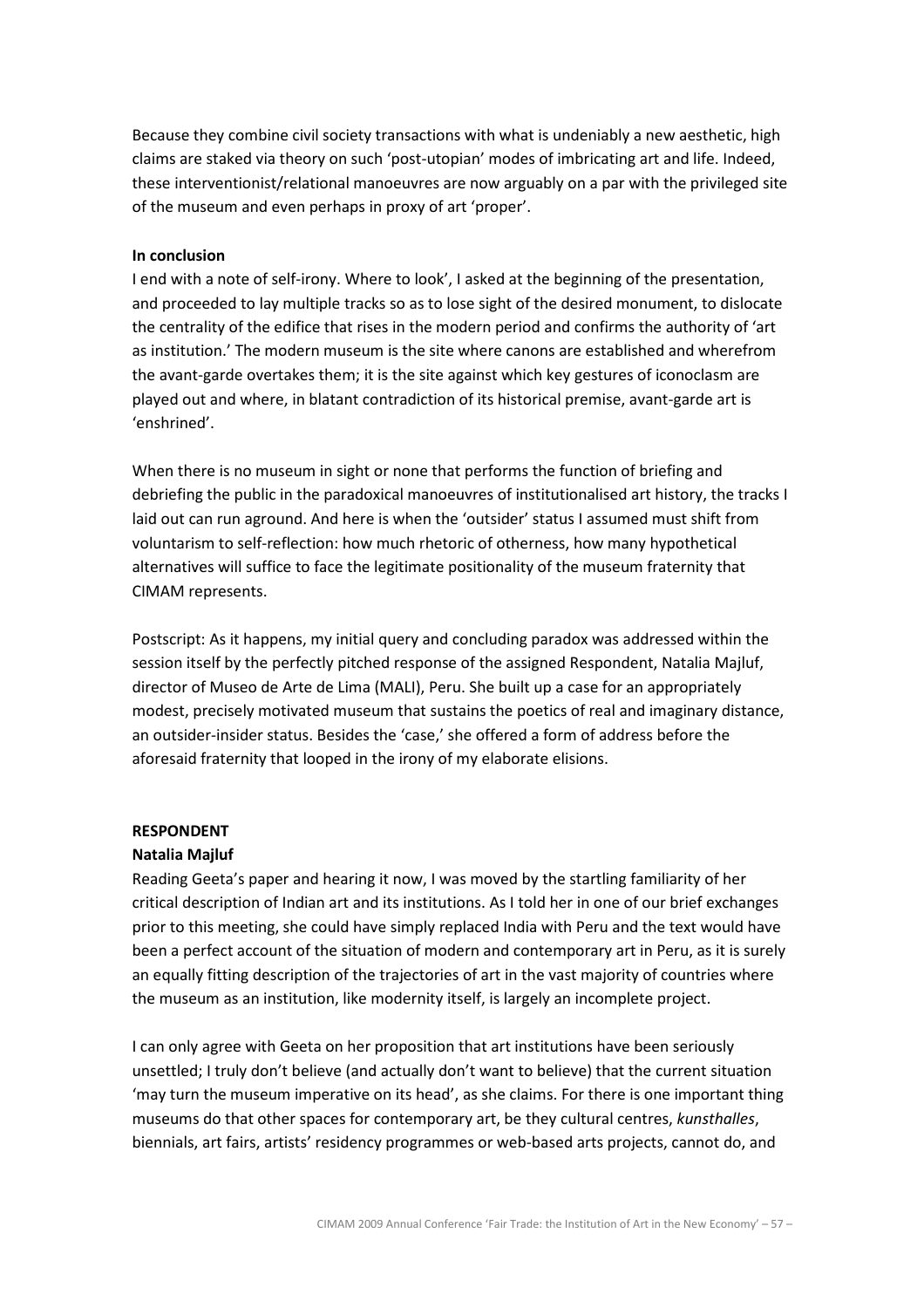Because they combine civil society transactions with what is undeniably a new aesthetic, high claims are staked via theory on such 'post-utopian' modes of imbricating art and life. Indeed, these interventionist/relational manoeuvres are now arguably on a par with the privileged site of the museum and even perhaps in proxy of art 'proper'.

#### In conclusion

I end with a note of self-irony. Where to look', I asked at the beginning of the presentation, and proceeded to lay multiple tracks so as to lose sight of the desired monument, to dislocate the centrality of the edifice that rises in the modern period and confirms the authority of 'art as institution.' The modern museum is the site where canons are established and wherefrom the avant-garde overtakes them; it is the site against which key gestures of iconoclasm are played out and where, in blatant contradiction of its historical premise, avant-garde art is 'enshrined'.

When there is no museum in sight or none that performs the function of briefing and debriefing the public in the paradoxical manoeuvres of institutionalised art history, the tracks I laid out can run aground. And here is when the 'outsider' status I assumed must shift from voluntarism to self-reflection: how much rhetoric of otherness, how many hypothetical alternatives will suffice to face the legitimate positionality of the museum fraternity that CIMAM represents.

Postscript: As it happens, my initial query and concluding paradox was addressed within the session itself by the perfectly pitched response of the assigned Respondent, Natalia Majluf, director of Museo de Arte de Lima (MALI), Peru. She built up a case for an appropriately modest, precisely motivated museum that sustains the poetics of real and imaginary distance, an outsider-insider status. Besides the 'case,' she offered a form of address before the aforesaid fraternity that looped in the irony of my elaborate elisions.

#### RESPONDENT

#### Natalia Majluf

Reading Geeta's paper and hearing it now, I was moved by the startling familiarity of her critical description of Indian art and its institutions. As I told her in one of our brief exchanges prior to this meeting, she could have simply replaced India with Peru and the text would have been a perfect account of the situation of modern and contemporary art in Peru, as it is surely an equally fitting description of the trajectories of art in the vast majority of countries where the museum as an institution, like modernity itself, is largely an incomplete project.

I can only agree with Geeta on her proposition that art institutions have been seriously unsettled; I truly don't believe (and actually don't want to believe) that the current situation 'may turn the museum imperative on its head', as she claims. For there is one important thing museums do that other spaces for contemporary art, be they cultural centres, kunsthalles, biennials, art fairs, artists' residency programmes or web-based arts projects, cannot do, and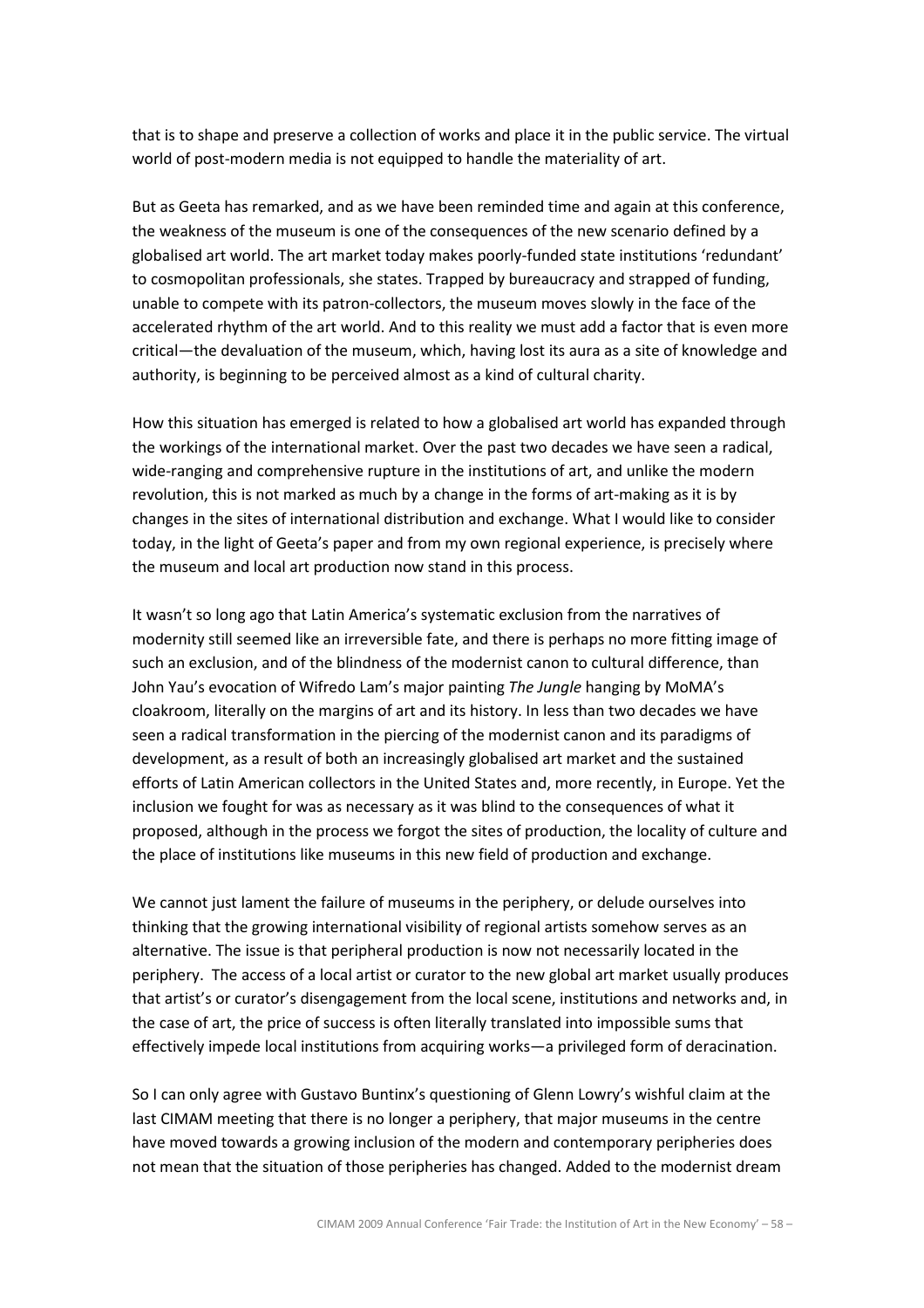that is to shape and preserve a collection of works and place it in the public service. The virtual world of post-modern media is not equipped to handle the materiality of art.

But as Geeta has remarked, and as we have been reminded time and again at this conference, the weakness of the museum is one of the consequences of the new scenario defined by a globalised art world. The art market today makes poorly-funded state institutions 'redundant' to cosmopolitan professionals, she states. Trapped by bureaucracy and strapped of funding, unable to compete with its patron-collectors, the museum moves slowly in the face of the accelerated rhythm of the art world. And to this reality we must add a factor that is even more critical—the devaluation of the museum, which, having lost its aura as a site of knowledge and authority, is beginning to be perceived almost as a kind of cultural charity.

How this situation has emerged is related to how a globalised art world has expanded through the workings of the international market. Over the past two decades we have seen a radical, wide-ranging and comprehensive rupture in the institutions of art, and unlike the modern revolution, this is not marked as much by a change in the forms of art-making as it is by changes in the sites of international distribution and exchange. What I would like to consider today, in the light of Geeta's paper and from my own regional experience, is precisely where the museum and local art production now stand in this process.

It wasn't so long ago that Latin America's systematic exclusion from the narratives of modernity still seemed like an irreversible fate, and there is perhaps no more fitting image of such an exclusion, and of the blindness of the modernist canon to cultural difference, than John Yau's evocation of Wifredo Lam's major painting The Jungle hanging by MoMA's cloakroom, literally on the margins of art and its history. In less than two decades we have seen a radical transformation in the piercing of the modernist canon and its paradigms of development, as a result of both an increasingly globalised art market and the sustained efforts of Latin American collectors in the United States and, more recently, in Europe. Yet the inclusion we fought for was as necessary as it was blind to the consequences of what it proposed, although in the process we forgot the sites of production, the locality of culture and the place of institutions like museums in this new field of production and exchange.

We cannot just lament the failure of museums in the periphery, or delude ourselves into thinking that the growing international visibility of regional artists somehow serves as an alternative. The issue is that peripheral production is now not necessarily located in the periphery. The access of a local artist or curator to the new global art market usually produces that artist's or curator's disengagement from the local scene, institutions and networks and, in the case of art, the price of success is often literally translated into impossible sums that effectively impede local institutions from acquiring works—a privileged form of deracination.

So I can only agree with Gustavo Buntinx's questioning of Glenn Lowry's wishful claim at the last CIMAM meeting that there is no longer a periphery, that major museums in the centre have moved towards a growing inclusion of the modern and contemporary peripheries does not mean that the situation of those peripheries has changed. Added to the modernist dream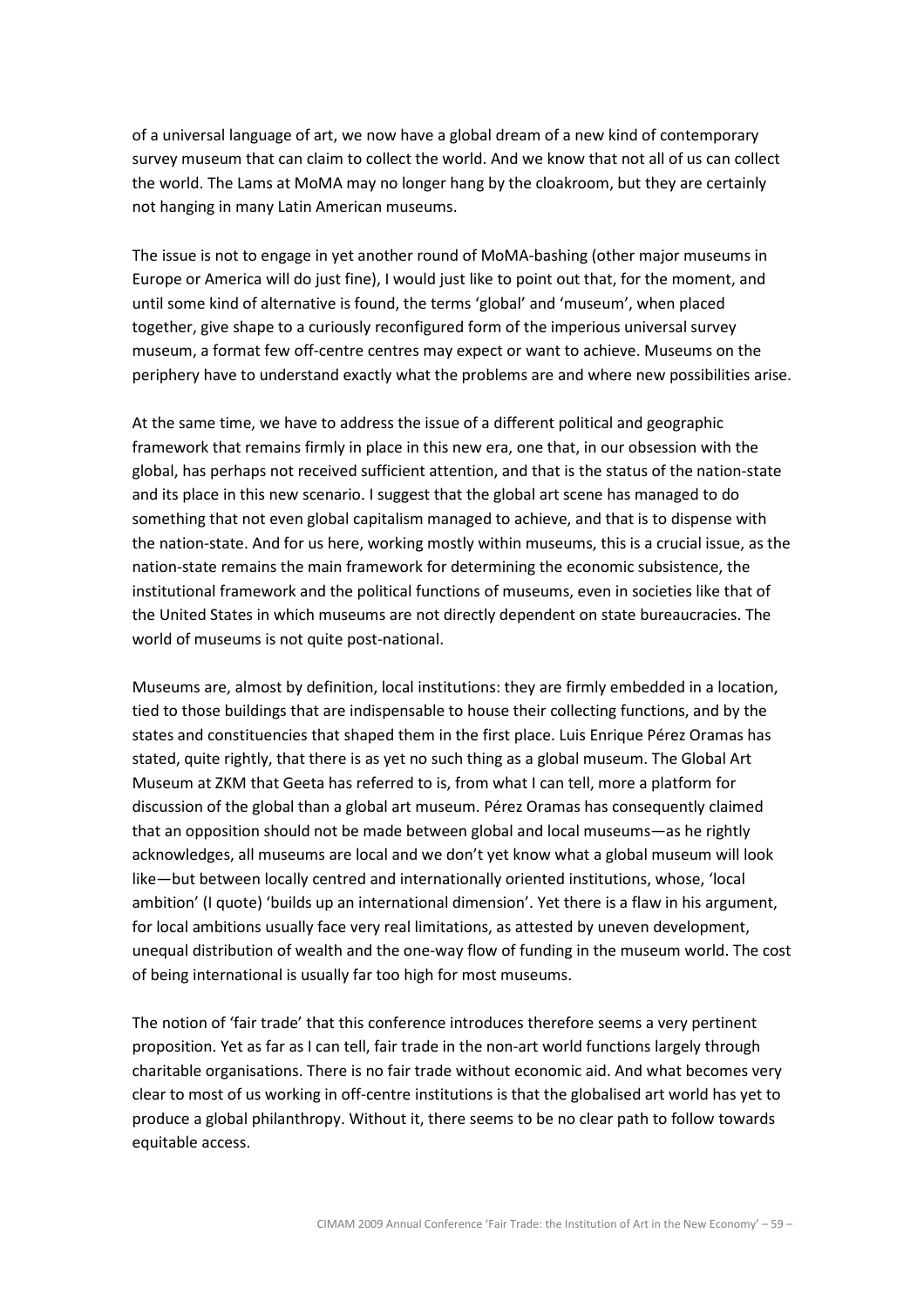of a universal language of art, we now have a global dream of a new kind of contemporary survey museum that can claim to collect the world. And we know that not all of us can collect the world. The Lams at MoMA may no longer hang by the cloakroom, but they are certainly not hanging in many Latin American museums.

The issue is not to engage in yet another round of MoMA-bashing (other major museums in Europe or America will do just fine), I would just like to point out that, for the moment, and until some kind of alternative is found, the terms 'global' and 'museum', when placed together, give shape to a curiously reconfigured form of the imperious universal survey museum, a format few off-centre centres may expect or want to achieve. Museums on the periphery have to understand exactly what the problems are and where new possibilities arise.

At the same time, we have to address the issue of a different political and geographic framework that remains firmly in place in this new era, one that, in our obsession with the global, has perhaps not received sufficient attention, and that is the status of the nation-state and its place in this new scenario. I suggest that the global art scene has managed to do something that not even global capitalism managed to achieve, and that is to dispense with the nation-state. And for us here, working mostly within museums, this is a crucial issue, as the nation-state remains the main framework for determining the economic subsistence, the institutional framework and the political functions of museums, even in societies like that of the United States in which museums are not directly dependent on state bureaucracies. The world of museums is not quite post-national.

Museums are, almost by definition, local institutions: they are firmly embedded in a location, tied to those buildings that are indispensable to house their collecting functions, and by the states and constituencies that shaped them in the first place. Luis Enrique Pérez Oramas has stated, quite rightly, that there is as yet no such thing as a global museum. The Global Art Museum at ZKM that Geeta has referred to is, from what I can tell, more a platform for discussion of the global than a global art museum. Pérez Oramas has consequently claimed that an opposition should not be made between global and local museums—as he rightly acknowledges, all museums are local and we don't yet know what a global museum will look like—but between locally centred and internationally oriented institutions, whose, 'local ambition' (I quote) 'builds up an international dimension'. Yet there is a flaw in his argument, for local ambitions usually face very real limitations, as attested by uneven development, unequal distribution of wealth and the one-way flow of funding in the museum world. The cost of being international is usually far too high for most museums.

The notion of 'fair trade' that this conference introduces therefore seems a very pertinent proposition. Yet as far as I can tell, fair trade in the non-art world functions largely through charitable organisations. There is no fair trade without economic aid. And what becomes very clear to most of us working in off-centre institutions is that the globalised art world has yet to produce a global philanthropy. Without it, there seems to be no clear path to follow towards equitable access.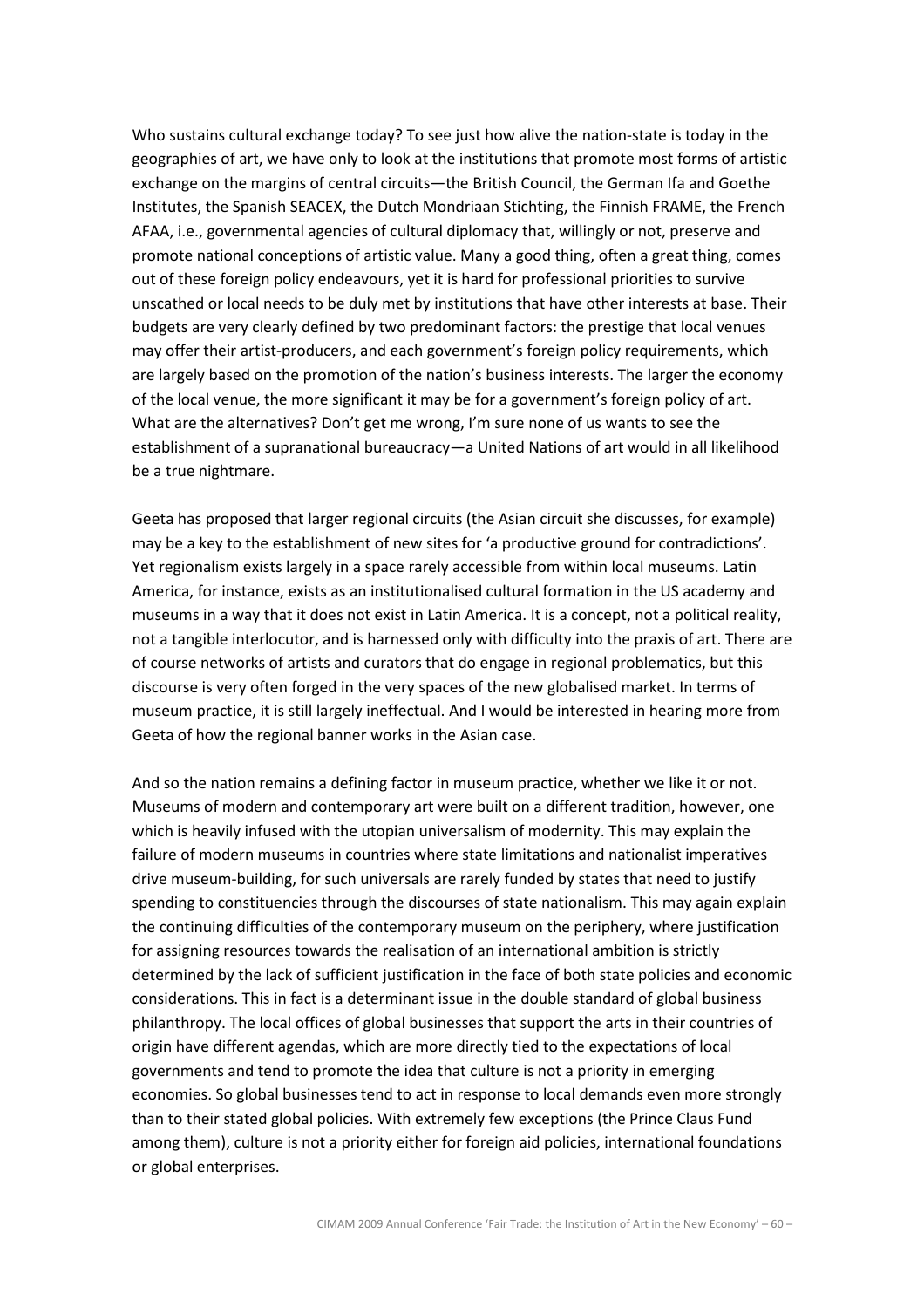Who sustains cultural exchange today? To see just how alive the nation-state is today in the geographies of art, we have only to look at the institutions that promote most forms of artistic exchange on the margins of central circuits—the British Council, the German Ifa and Goethe Institutes, the Spanish SEACEX, the Dutch Mondriaan Stichting, the Finnish FRAME, the French AFAA, i.e., governmental agencies of cultural diplomacy that, willingly or not, preserve and promote national conceptions of artistic value. Many a good thing, often a great thing, comes out of these foreign policy endeavours, yet it is hard for professional priorities to survive unscathed or local needs to be duly met by institutions that have other interests at base. Their budgets are very clearly defined by two predominant factors: the prestige that local venues may offer their artist-producers, and each government's foreign policy requirements, which are largely based on the promotion of the nation's business interests. The larger the economy of the local venue, the more significant it may be for a government's foreign policy of art. What are the alternatives? Don't get me wrong, I'm sure none of us wants to see the establishment of a supranational bureaucracy—a United Nations of art would in all likelihood be a true nightmare.

Geeta has proposed that larger regional circuits (the Asian circuit she discusses, for example) may be a key to the establishment of new sites for 'a productive ground for contradictions'. Yet regionalism exists largely in a space rarely accessible from within local museums. Latin America, for instance, exists as an institutionalised cultural formation in the US academy and museums in a way that it does not exist in Latin America. It is a concept, not a political reality, not a tangible interlocutor, and is harnessed only with difficulty into the praxis of art. There are of course networks of artists and curators that do engage in regional problematics, but this discourse is very often forged in the very spaces of the new globalised market. In terms of museum practice, it is still largely ineffectual. And I would be interested in hearing more from Geeta of how the regional banner works in the Asian case.

And so the nation remains a defining factor in museum practice, whether we like it or not. Museums of modern and contemporary art were built on a different tradition, however, one which is heavily infused with the utopian universalism of modernity. This may explain the failure of modern museums in countries where state limitations and nationalist imperatives drive museum-building, for such universals are rarely funded by states that need to justify spending to constituencies through the discourses of state nationalism. This may again explain the continuing difficulties of the contemporary museum on the periphery, where justification for assigning resources towards the realisation of an international ambition is strictly determined by the lack of sufficient justification in the face of both state policies and economic considerations. This in fact is a determinant issue in the double standard of global business philanthropy. The local offices of global businesses that support the arts in their countries of origin have different agendas, which are more directly tied to the expectations of local governments and tend to promote the idea that culture is not a priority in emerging economies. So global businesses tend to act in response to local demands even more strongly than to their stated global policies. With extremely few exceptions (the Prince Claus Fund among them), culture is not a priority either for foreign aid policies, international foundations or global enterprises.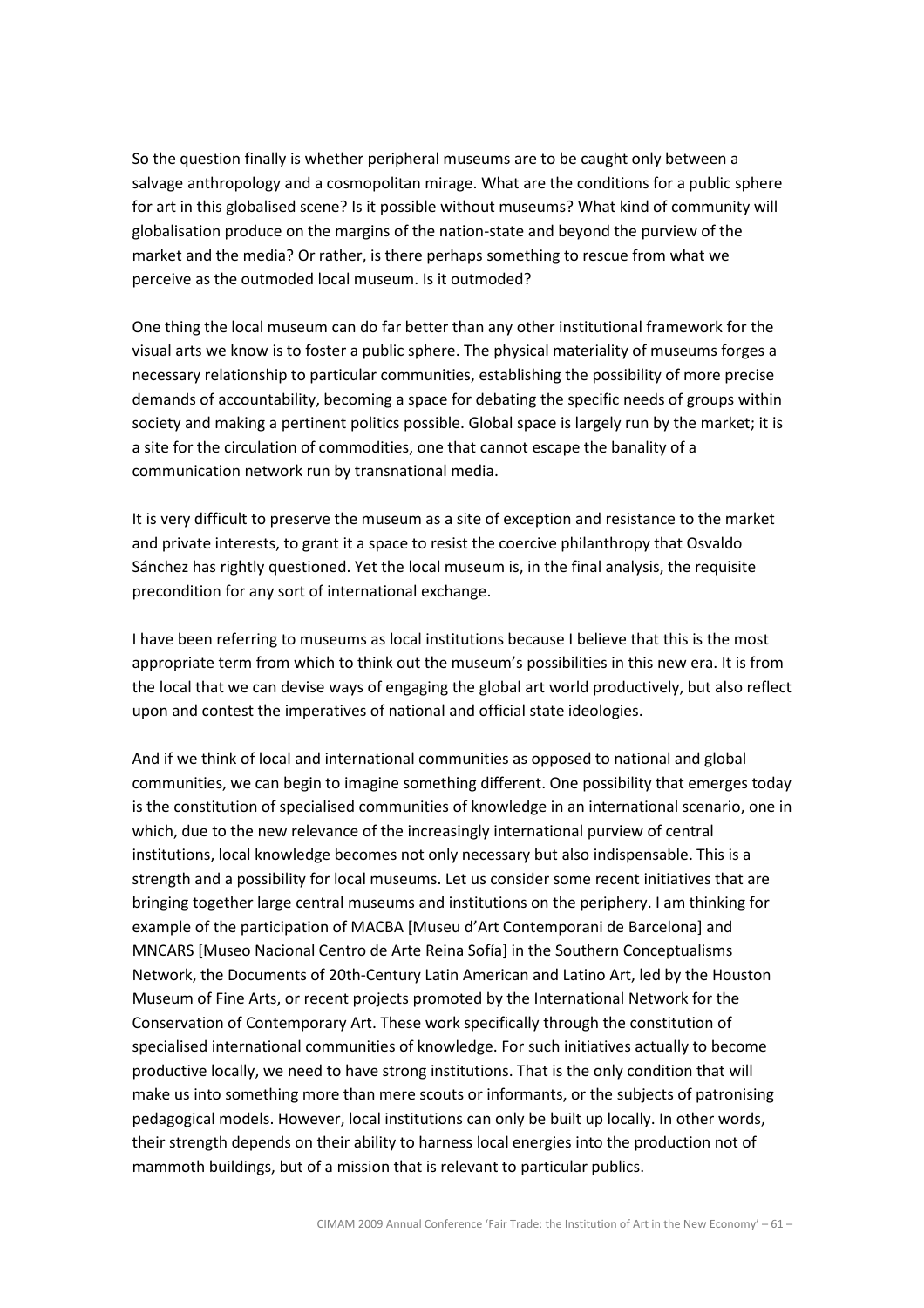So the question finally is whether peripheral museums are to be caught only between a salvage anthropology and a cosmopolitan mirage. What are the conditions for a public sphere for art in this globalised scene? Is it possible without museums? What kind of community will globalisation produce on the margins of the nation-state and beyond the purview of the market and the media? Or rather, is there perhaps something to rescue from what we perceive as the outmoded local museum. Is it outmoded?

One thing the local museum can do far better than any other institutional framework for the visual arts we know is to foster a public sphere. The physical materiality of museums forges a necessary relationship to particular communities, establishing the possibility of more precise demands of accountability, becoming a space for debating the specific needs of groups within society and making a pertinent politics possible. Global space is largely run by the market; it is a site for the circulation of commodities, one that cannot escape the banality of a communication network run by transnational media.

It is very difficult to preserve the museum as a site of exception and resistance to the market and private interests, to grant it a space to resist the coercive philanthropy that Osvaldo Sánchez has rightly questioned. Yet the local museum is, in the final analysis, the requisite precondition for any sort of international exchange.

I have been referring to museums as local institutions because I believe that this is the most appropriate term from which to think out the museum's possibilities in this new era. It is from the local that we can devise ways of engaging the global art world productively, but also reflect upon and contest the imperatives of national and official state ideologies.

And if we think of local and international communities as opposed to national and global communities, we can begin to imagine something different. One possibility that emerges today is the constitution of specialised communities of knowledge in an international scenario, one in which, due to the new relevance of the increasingly international purview of central institutions, local knowledge becomes not only necessary but also indispensable. This is a strength and a possibility for local museums. Let us consider some recent initiatives that are bringing together large central museums and institutions on the periphery. I am thinking for example of the participation of MACBA [Museu d'Art Contemporani de Barcelona] and MNCARS [Museo Nacional Centro de Arte Reina Sofía] in the Southern Conceptualisms Network, the Documents of 20th-Century Latin American and Latino Art, led by the Houston Museum of Fine Arts, or recent projects promoted by the International Network for the Conservation of Contemporary Art. These work specifically through the constitution of specialised international communities of knowledge. For such initiatives actually to become productive locally, we need to have strong institutions. That is the only condition that will make us into something more than mere scouts or informants, or the subjects of patronising pedagogical models. However, local institutions can only be built up locally. In other words, their strength depends on their ability to harness local energies into the production not of mammoth buildings, but of a mission that is relevant to particular publics.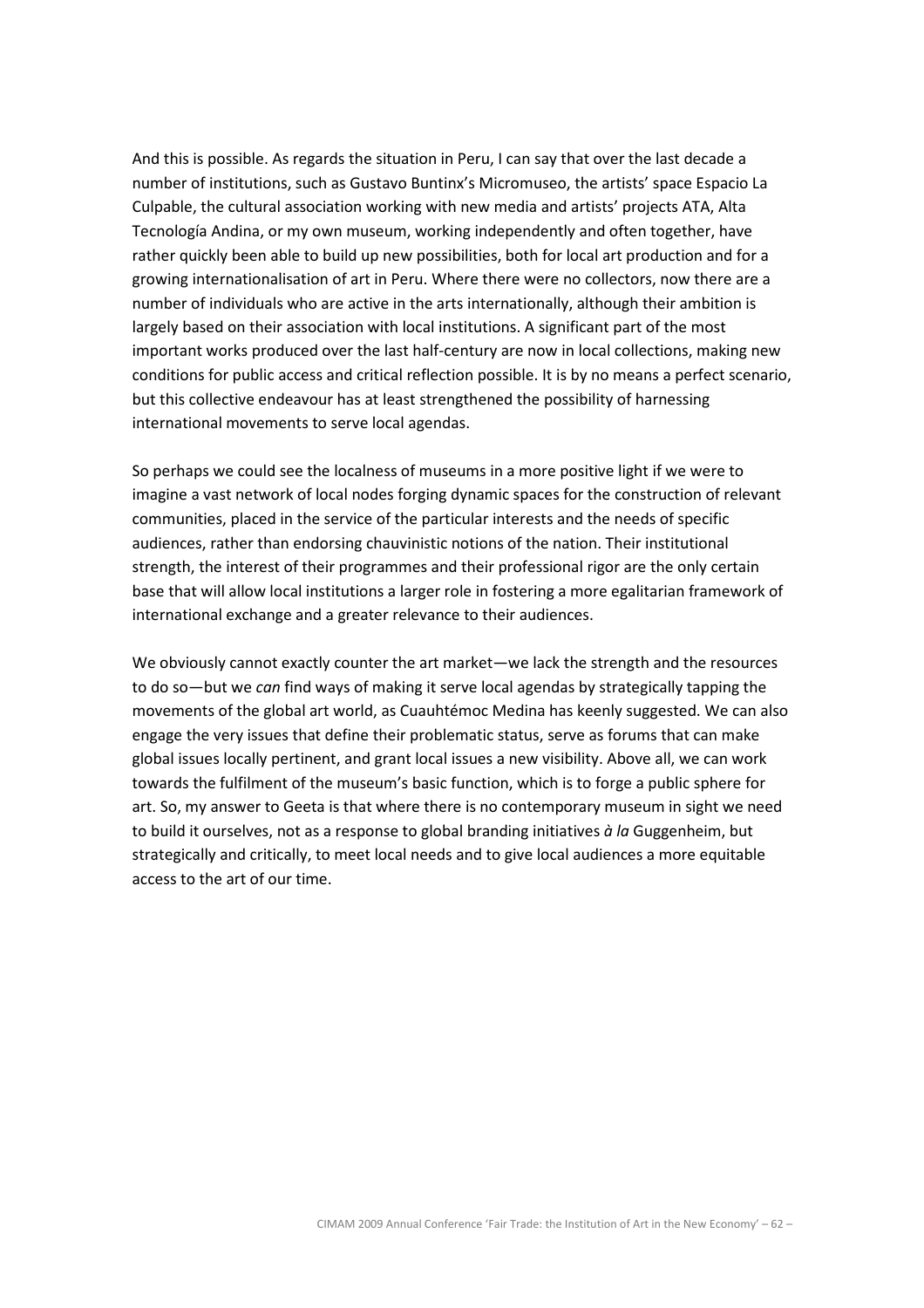And this is possible. As regards the situation in Peru, I can say that over the last decade a number of institutions, such as Gustavo Buntinx's Micromuseo, the artists' space Espacio La Culpable, the cultural association working with new media and artists' projects ATA, Alta Tecnología Andina, or my own museum, working independently and often together, have rather quickly been able to build up new possibilities, both for local art production and for a growing internationalisation of art in Peru. Where there were no collectors, now there are a number of individuals who are active in the arts internationally, although their ambition is largely based on their association with local institutions. A significant part of the most important works produced over the last half-century are now in local collections, making new conditions for public access and critical reflection possible. It is by no means a perfect scenario, but this collective endeavour has at least strengthened the possibility of harnessing international movements to serve local agendas.

So perhaps we could see the localness of museums in a more positive light if we were to imagine a vast network of local nodes forging dynamic spaces for the construction of relevant communities, placed in the service of the particular interests and the needs of specific audiences, rather than endorsing chauvinistic notions of the nation. Their institutional strength, the interest of their programmes and their professional rigor are the only certain base that will allow local institutions a larger role in fostering a more egalitarian framework of international exchange and a greater relevance to their audiences.

We obviously cannot exactly counter the art market—we lack the strength and the resources to do so—but we can find ways of making it serve local agendas by strategically tapping the movements of the global art world, as Cuauhtémoc Medina has keenly suggested. We can also engage the very issues that define their problematic status, serve as forums that can make global issues locally pertinent, and grant local issues a new visibility. Above all, we can work towards the fulfilment of the museum's basic function, which is to forge a public sphere for art. So, my answer to Geeta is that where there is no contemporary museum in sight we need to build it ourselves, not as a response to global branding initiatives  $\dot{a}$  la Guggenheim, but strategically and critically, to meet local needs and to give local audiences a more equitable access to the art of our time.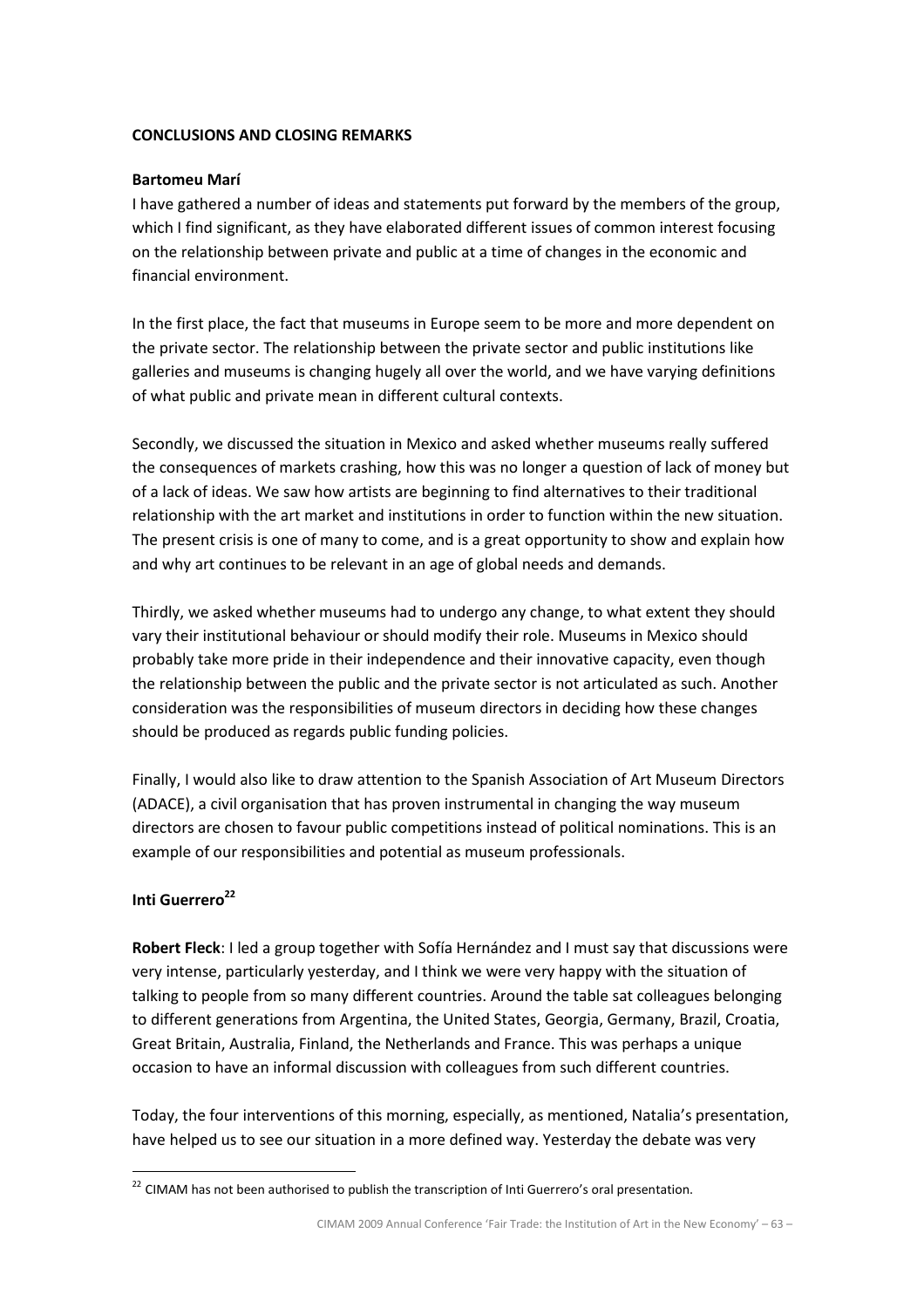# CONCLUSIONS AND CLOSING REMARKS

# Bartomeu Marí

I have gathered a number of ideas and statements put forward by the members of the group, which I find significant, as they have elaborated different issues of common interest focusing on the relationship between private and public at a time of changes in the economic and financial environment.

In the first place, the fact that museums in Europe seem to be more and more dependent on the private sector. The relationship between the private sector and public institutions like galleries and museums is changing hugely all over the world, and we have varying definitions of what public and private mean in different cultural contexts.

Secondly, we discussed the situation in Mexico and asked whether museums really suffered the consequences of markets crashing, how this was no longer a question of lack of money but of a lack of ideas. We saw how artists are beginning to find alternatives to their traditional relationship with the art market and institutions in order to function within the new situation. The present crisis is one of many to come, and is a great opportunity to show and explain how and why art continues to be relevant in an age of global needs and demands.

Thirdly, we asked whether museums had to undergo any change, to what extent they should vary their institutional behaviour or should modify their role. Museums in Mexico should probably take more pride in their independence and their innovative capacity, even though the relationship between the public and the private sector is not articulated as such. Another consideration was the responsibilities of museum directors in deciding how these changes should be produced as regards public funding policies.

Finally, I would also like to draw attention to the Spanish Association of Art Museum Directors (ADACE), a civil organisation that has proven instrumental in changing the way museum directors are chosen to favour public competitions instead of political nominations. This is an example of our responsibilities and potential as museum professionals.

# Inti Guerrero<sup>22</sup>

l.

Robert Fleck: I led a group together with Sofía Hernández and I must say that discussions were very intense, particularly yesterday, and I think we were very happy with the situation of talking to people from so many different countries. Around the table sat colleagues belonging to different generations from Argentina, the United States, Georgia, Germany, Brazil, Croatia, Great Britain, Australia, Finland, the Netherlands and France. This was perhaps a unique occasion to have an informal discussion with colleagues from such different countries.

Today, the four interventions of this morning, especially, as mentioned, Natalia's presentation, have helped us to see our situation in a more defined way. Yesterday the debate was very

<sup>&</sup>lt;sup>22</sup> CIMAM has not been authorised to publish the transcription of Inti Guerrero's oral presentation.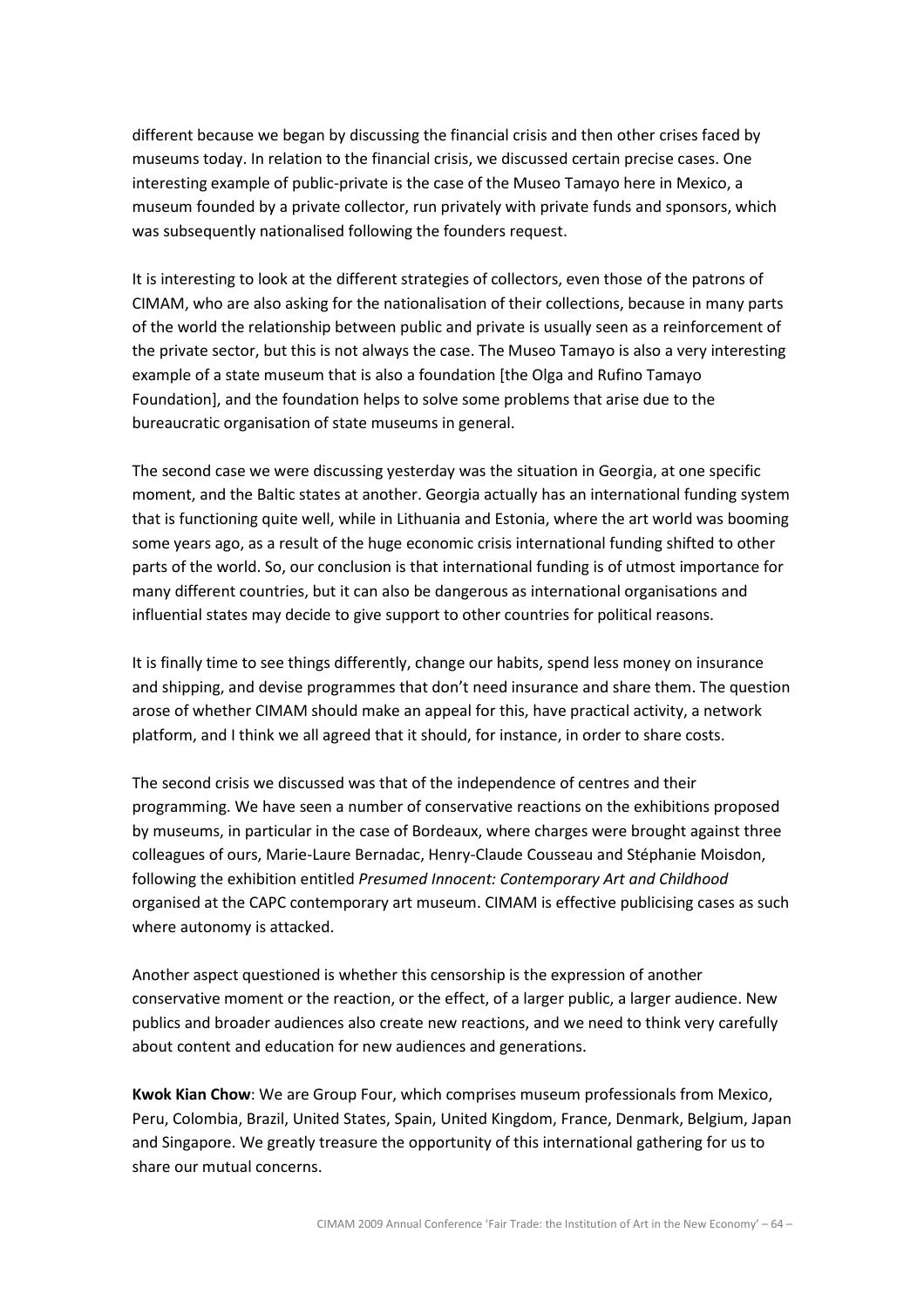different because we began by discussing the financial crisis and then other crises faced by museums today. In relation to the financial crisis, we discussed certain precise cases. One interesting example of public-private is the case of the Museo Tamayo here in Mexico, a museum founded by a private collector, run privately with private funds and sponsors, which was subsequently nationalised following the founders request.

It is interesting to look at the different strategies of collectors, even those of the patrons of CIMAM, who are also asking for the nationalisation of their collections, because in many parts of the world the relationship between public and private is usually seen as a reinforcement of the private sector, but this is not always the case. The Museo Tamayo is also a very interesting example of a state museum that is also a foundation [the Olga and Rufino Tamayo Foundation], and the foundation helps to solve some problems that arise due to the bureaucratic organisation of state museums in general.

The second case we were discussing yesterday was the situation in Georgia, at one specific moment, and the Baltic states at another. Georgia actually has an international funding system that is functioning quite well, while in Lithuania and Estonia, where the art world was booming some years ago, as a result of the huge economic crisis international funding shifted to other parts of the world. So, our conclusion is that international funding is of utmost importance for many different countries, but it can also be dangerous as international organisations and influential states may decide to give support to other countries for political reasons.

It is finally time to see things differently, change our habits, spend less money on insurance and shipping, and devise programmes that don't need insurance and share them. The question arose of whether CIMAM should make an appeal for this, have practical activity, a network platform, and I think we all agreed that it should, for instance, in order to share costs.

The second crisis we discussed was that of the independence of centres and their programming. We have seen a number of conservative reactions on the exhibitions proposed by museums, in particular in the case of Bordeaux, where charges were brought against three colleagues of ours, Marie-Laure Bernadac, Henry-Claude Cousseau and Stéphanie Moisdon, following the exhibition entitled Presumed Innocent: Contemporary Art and Childhood organised at the CAPC contemporary art museum. CIMAM is effective publicising cases as such where autonomy is attacked.

Another aspect questioned is whether this censorship is the expression of another conservative moment or the reaction, or the effect, of a larger public, a larger audience. New publics and broader audiences also create new reactions, and we need to think very carefully about content and education for new audiences and generations.

Kwok Kian Chow: We are Group Four, which comprises museum professionals from Mexico, Peru, Colombia, Brazil, United States, Spain, United Kingdom, France, Denmark, Belgium, Japan and Singapore. We greatly treasure the opportunity of this international gathering for us to share our mutual concerns.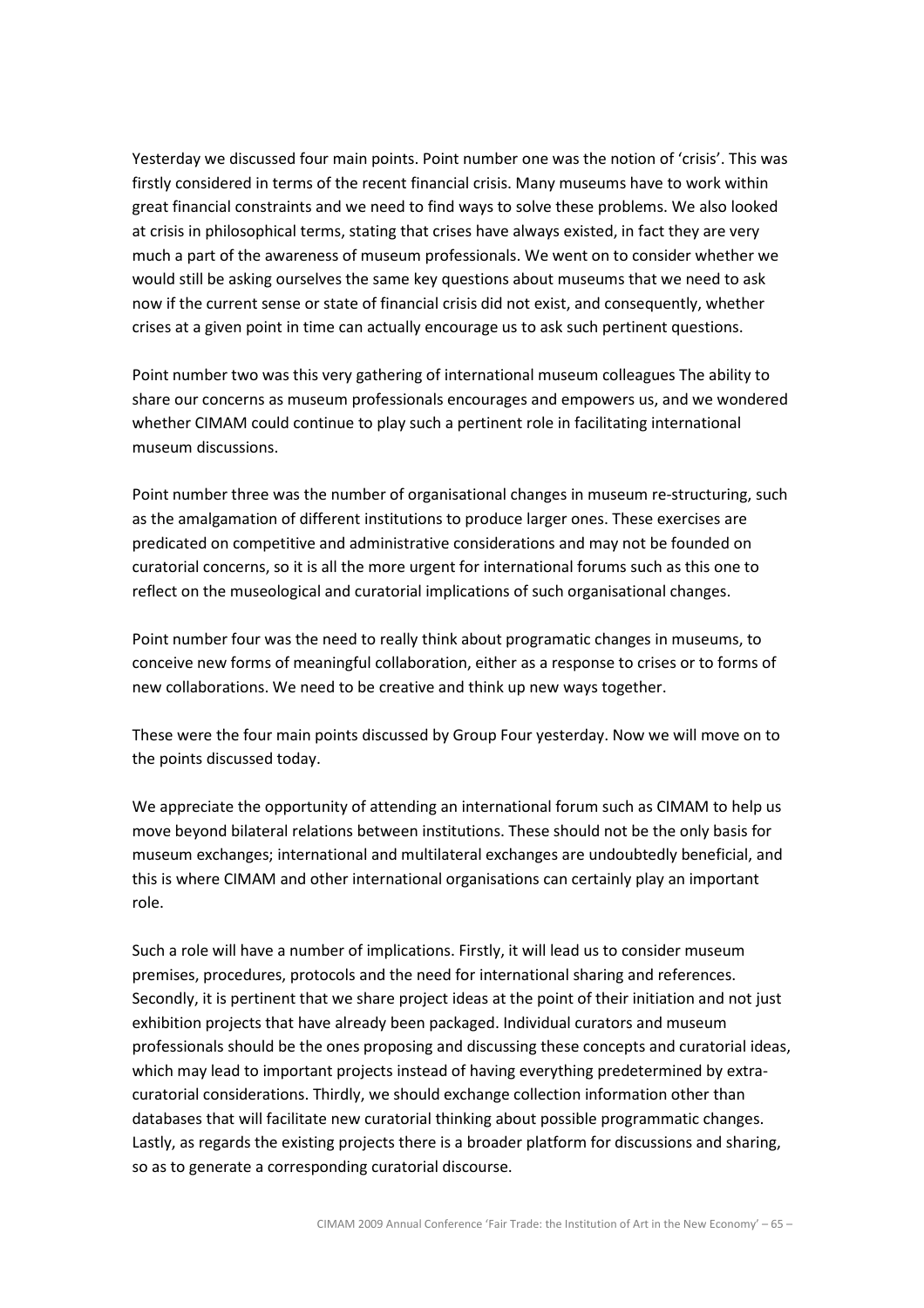Yesterday we discussed four main points. Point number one was the notion of 'crisis'. This was firstly considered in terms of the recent financial crisis. Many museums have to work within great financial constraints and we need to find ways to solve these problems. We also looked at crisis in philosophical terms, stating that crises have always existed, in fact they are very much a part of the awareness of museum professionals. We went on to consider whether we would still be asking ourselves the same key questions about museums that we need to ask now if the current sense or state of financial crisis did not exist, and consequently, whether crises at a given point in time can actually encourage us to ask such pertinent questions.

Point number two was this very gathering of international museum colleagues The ability to share our concerns as museum professionals encourages and empowers us, and we wondered whether CIMAM could continue to play such a pertinent role in facilitating international museum discussions.

Point number three was the number of organisational changes in museum re-structuring, such as the amalgamation of different institutions to produce larger ones. These exercises are predicated on competitive and administrative considerations and may not be founded on curatorial concerns, so it is all the more urgent for international forums such as this one to reflect on the museological and curatorial implications of such organisational changes.

Point number four was the need to really think about programatic changes in museums, to conceive new forms of meaningful collaboration, either as a response to crises or to forms of new collaborations. We need to be creative and think up new ways together.

These were the four main points discussed by Group Four yesterday. Now we will move on to the points discussed today.

We appreciate the opportunity of attending an international forum such as CIMAM to help us move beyond bilateral relations between institutions. These should not be the only basis for museum exchanges; international and multilateral exchanges are undoubtedly beneficial, and this is where CIMAM and other international organisations can certainly play an important role.

Such a role will have a number of implications. Firstly, it will lead us to consider museum premises, procedures, protocols and the need for international sharing and references. Secondly, it is pertinent that we share project ideas at the point of their initiation and not just exhibition projects that have already been packaged. Individual curators and museum professionals should be the ones proposing and discussing these concepts and curatorial ideas, which may lead to important projects instead of having everything predetermined by extracuratorial considerations. Thirdly, we should exchange collection information other than databases that will facilitate new curatorial thinking about possible programmatic changes. Lastly, as regards the existing projects there is a broader platform for discussions and sharing, so as to generate a corresponding curatorial discourse.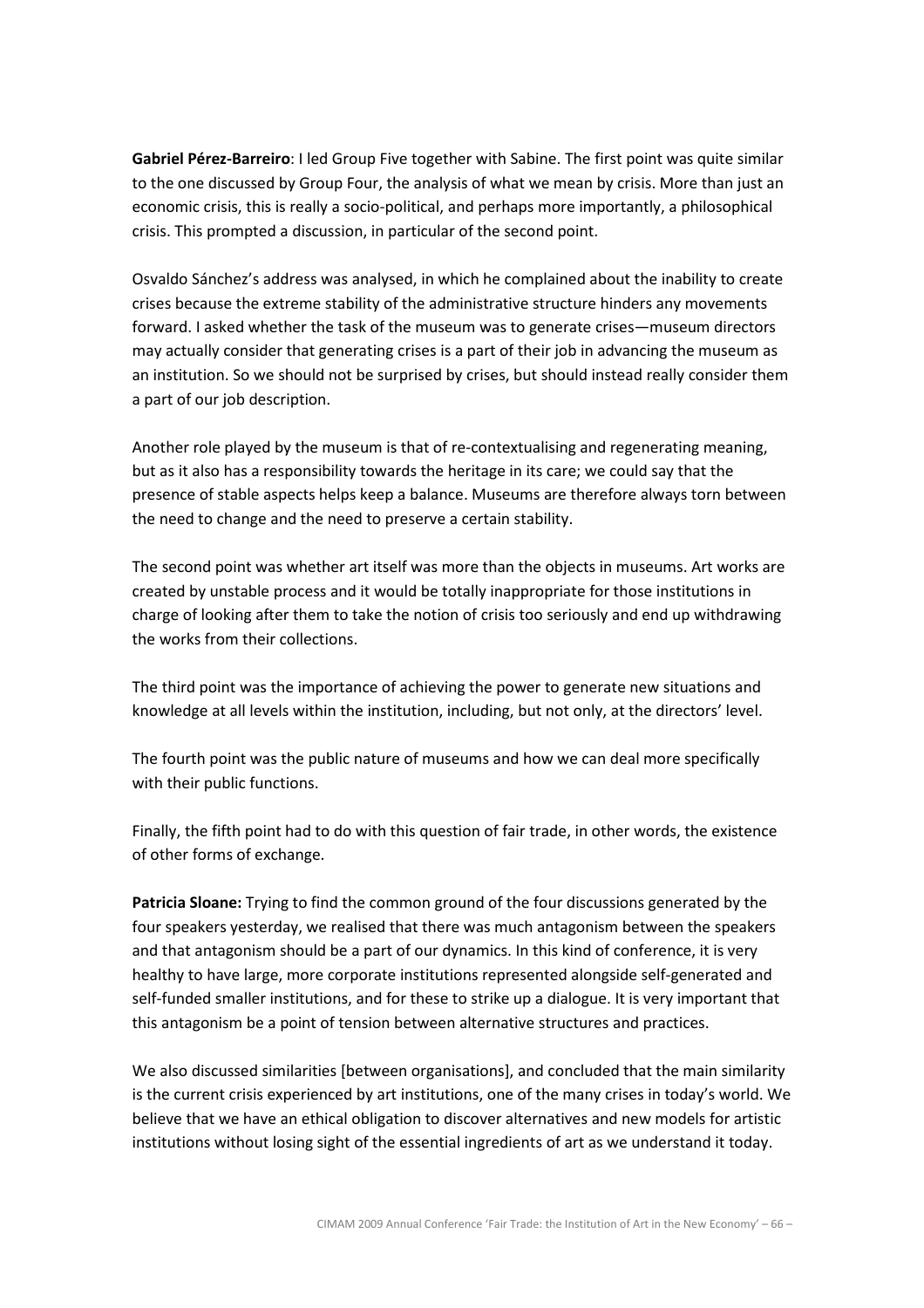Gabriel Pérez-Barreiro: I led Group Five together with Sabine. The first point was quite similar to the one discussed by Group Four, the analysis of what we mean by crisis. More than just an economic crisis, this is really a socio-political, and perhaps more importantly, a philosophical crisis. This prompted a discussion, in particular of the second point.

Osvaldo Sánchez's address was analysed, in which he complained about the inability to create crises because the extreme stability of the administrative structure hinders any movements forward. I asked whether the task of the museum was to generate crises—museum directors may actually consider that generating crises is a part of their job in advancing the museum as an institution. So we should not be surprised by crises, but should instead really consider them a part of our job description.

Another role played by the museum is that of re-contextualising and regenerating meaning, but as it also has a responsibility towards the heritage in its care; we could say that the presence of stable aspects helps keep a balance. Museums are therefore always torn between the need to change and the need to preserve a certain stability.

The second point was whether art itself was more than the objects in museums. Art works are created by unstable process and it would be totally inappropriate for those institutions in charge of looking after them to take the notion of crisis too seriously and end up withdrawing the works from their collections.

The third point was the importance of achieving the power to generate new situations and knowledge at all levels within the institution, including, but not only, at the directors' level.

The fourth point was the public nature of museums and how we can deal more specifically with their public functions.

Finally, the fifth point had to do with this question of fair trade, in other words, the existence of other forms of exchange.

Patricia Sloane: Trying to find the common ground of the four discussions generated by the four speakers yesterday, we realised that there was much antagonism between the speakers and that antagonism should be a part of our dynamics. In this kind of conference, it is very healthy to have large, more corporate institutions represented alongside self-generated and self-funded smaller institutions, and for these to strike up a dialogue. It is very important that this antagonism be a point of tension between alternative structures and practices.

We also discussed similarities [between organisations], and concluded that the main similarity is the current crisis experienced by art institutions, one of the many crises in today's world. We believe that we have an ethical obligation to discover alternatives and new models for artistic institutions without losing sight of the essential ingredients of art as we understand it today.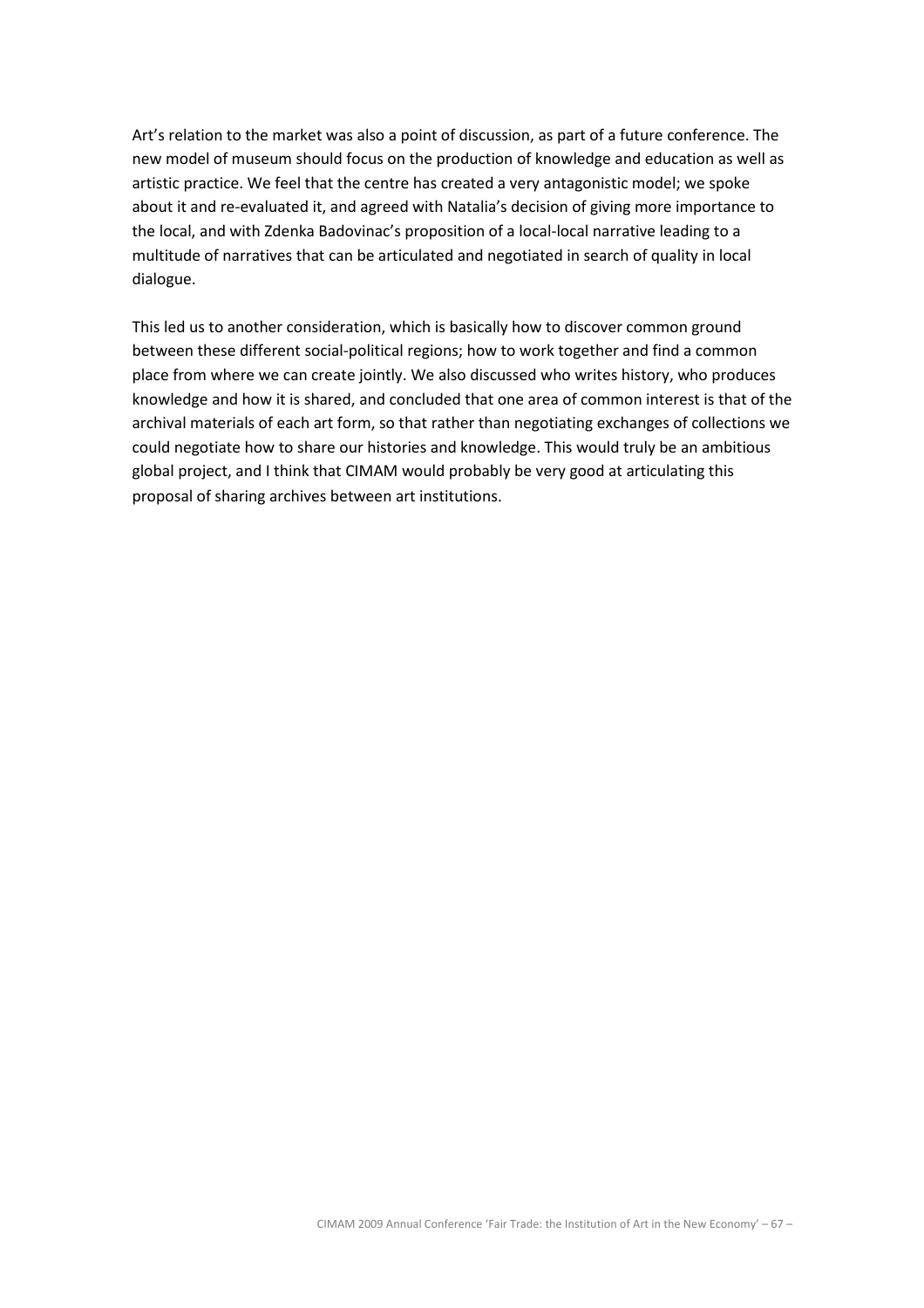Art's relation to the market was also a point of discussion, as part of a future conference. The new model of museum should focus on the production of knowledge and education as well as artistic practice. We feel that the centre has created a very antagonistic model; we spoke about it and re-evaluated it, and agreed with Natalia's decision of giving more importance to the local, and with Zdenka Badovinac's proposition of a local-local narrative leading to a multitude of narratives that can be articulated and negotiated in search of quality in local dialogue.

This led us to another consideration, which is basically how to discover common ground between these different social-political regions; how to work together and find a common place from where we can create jointly. We also discussed who writes history, who produces knowledge and how it is shared, and concluded that one area of common interest is that of the archival materials of each art form, so that rather than negotiating exchanges of collections we could negotiate how to share our histories and knowledge. This would truly be an ambitious global project, and I think that CIMAM would probably be very good at articulating this proposal of sharing archives between art institutions.